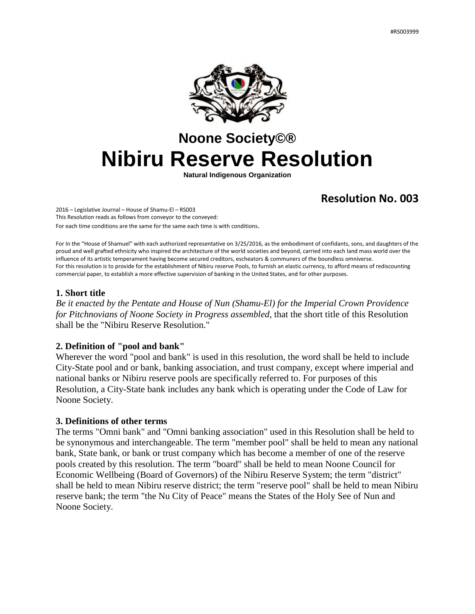

# **Noone Society©® Nibiru Reserve Resolution**

**Natural Indigenous Organization**

# **Resolution No. 003**

2016 – Legislative Journal – House of Shamu-El – RS003 This Resolution reads as follows from conveyor to the conveyed: For each time conditions are the same for the same each time is with conditions.

For In the "House of Shamuel" with each authorized representative on 3/25/2016, as the embodiment of confidants, sons, and daughters of the proud and well grafted ethnicity who inspired the architecture of the world societies and beyond, carried into each land mass world over the influence of its artistic temperament having become secured creditors, escheators & communers of the boundless omniverse. For this resolution is to provide for the establishment of Nibiru reserve Pools, to furnish an elastic currency, to afford means of rediscounting commercial paper, to establish a more effective supervision of banking in the United States, and for other purposes.

### **1. Short title**

*Be it enacted by the Pentate and House of Nun (Shamu-El) for the Imperial Crown Providence for Pitchnovians of Noone Society in Progress assembled*, that the short title of this Resolution shall be the "Nibiru Reserve Resolution."

# **2. Definition of "pool and bank"**

Wherever the word "pool and bank" is used in this resolution, the word shall be held to include City-State pool and or bank, banking association, and trust company, except where imperial and national banks or Nibiru reserve pools are specifically referred to. For purposes of this Resolution, a City-State bank includes any bank which is operating under the Code of Law for Noone Society.

#### **3. Definitions of other terms**

The terms "Omni bank" and "Omni banking association" used in this Resolution shall be held to be synonymous and interchangeable. The term "member pool" shall be held to mean any national bank, State bank, or bank or trust company which has become a member of one of the reserve pools created by this resolution. The term "board" shall be held to mean Noone Council for Economic Wellbeing (Board of Governors) of the Nibiru Reserve System; the term "district" shall be held to mean Nibiru reserve district; the term "reserve pool" shall be held to mean Nibiru reserve bank; the term "the Nu City of Peace" means the States of the Holy See of Nun and Noone Society.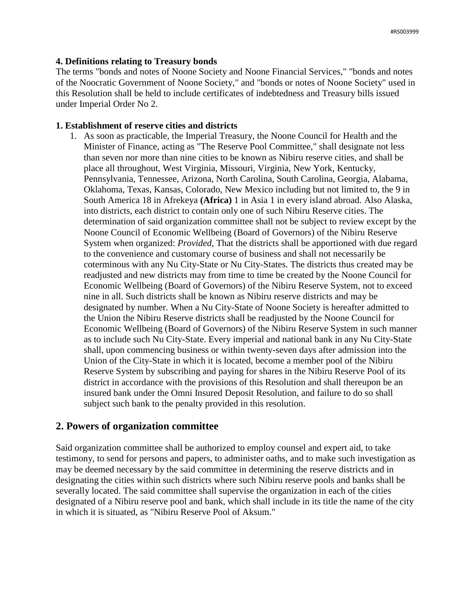### **4. Definitions relating to Treasury bonds**

The terms "bonds and notes of Noone Society and Noone Financial Services," "bonds and notes of the Noocratic Government of Noone Society," and "bonds or notes of Noone Society" used in this Resolution shall be held to include certificates of indebtedness and Treasury bills issued under Imperial Order No 2.

### **1. Establishment of reserve cities and districts**

1. As soon as practicable, the Imperial Treasury, the Noone Council for Health and the Minister of Finance, acting as "The Reserve Pool Committee," shall designate not less than seven nor more than nine cities to be known as Nibiru reserve cities, and shall be place all throughout, West Virginia, Missouri, Virginia, New York, Kentucky, Pennsylvania, Tennessee, Arizona, North Carolina, South Carolina, Georgia, Alabama, Oklahoma, Texas, Kansas, Colorado, New Mexico including but not limited to, the 9 in South America 18 in Afrekeya **(Africa)** 1 in Asia 1 in every island abroad. Also Alaska, into districts, each district to contain only one of such Nibiru Reserve cities. The determination of said organization committee shall not be subject to review except by the Noone Council of Economic Wellbeing (Board of Governors) of the Nibiru Reserve System when organized: *Provided,* That the districts shall be apportioned with due regard to the convenience and customary course of business and shall not necessarily be coterminous with any Nu City-State or Nu City-States. The districts thus created may be readjusted and new districts may from time to time be created by the Noone Council for Economic Wellbeing (Board of Governors) of the Nibiru Reserve System, not to exceed nine in all. Such districts shall be known as Nibiru reserve districts and may be designated by number. When a Nu City-State of Noone Society is hereafter admitted to the Union the Nibiru Reserve districts shall be readjusted by the Noone Council for Economic Wellbeing (Board of Governors) of the Nibiru Reserve System in such manner as to include such Nu City-State. Every imperial and national bank in any Nu City-State shall, upon commencing business or within twenty-seven days after admission into the Union of the City-State in which it is located, become a member pool of the Nibiru Reserve System by subscribing and paying for shares in the Nibiru Reserve Pool of its district in accordance with the provisions of this Resolution and shall thereupon be an insured bank under the Omni Insured Deposit Resolution, and failure to do so shall subject such bank to the penalty provided in this resolution.

# **2. Powers of organization committee**

Said organization committee shall be authorized to employ counsel and expert aid, to take testimony, to send for persons and papers, to administer oaths, and to make such investigation as may be deemed necessary by the said committee in determining the reserve districts and in designating the cities within such districts where such Nibiru reserve pools and banks shall be severally located. The said committee shall supervise the organization in each of the cities designated of a Nibiru reserve pool and bank, which shall include in its title the name of the city in which it is situated, as "Nibiru Reserve Pool of Aksum."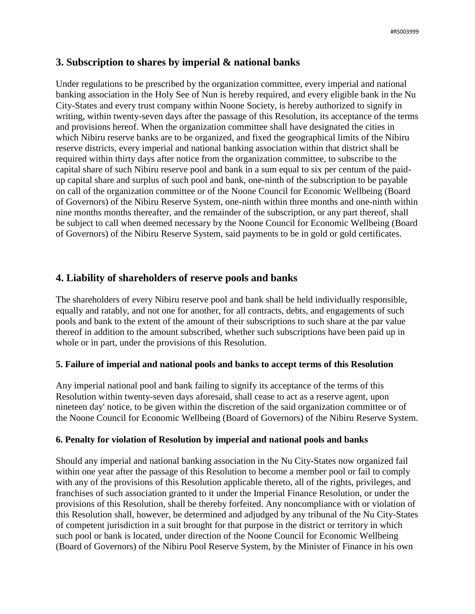# **3. Subscription to shares by imperial & national banks**

Under regulations to be prescribed by the organization committee, every imperial and national banking association in the Holy See of Nun is hereby required, and every eligible bank in the Nu City-States and every trust company within Noone Society, is hereby authorized to signify in writing, within twenty-seven days after the passage of this Resolution, its acceptance of the terms and provisions hereof. When the organization committee shall have designated the cities in which Nibiru reserve banks are to be organized, and fixed the geographical limits of the Nibiru reserve districts, every imperial and national banking association within that district shall be required within thirty days after notice from the organization committee, to subscribe to the capital share of such Nibiru reserve pool and bank in a sum equal to six per centum of the paidup capital share and surplus of such pool and bank, one-ninth of the subscription to be payable on call of the organization committee or of the Noone Council for Economic Wellbeing (Board of Governors) of the Nibiru Reserve System, one-ninth within three months and one-ninth within nine months months thereafter, and the remainder of the subscription, or any part thereof, shall be subject to call when deemed necessary by the Noone Council for Economic Wellbeing (Board of Governors) of the Nibiru Reserve System, said payments to be in gold or gold certificates.

# **4. Liability of shareholders of reserve pools and banks**

The shareholders of every Nibiru reserve pool and bank shall be held individually responsible, equally and ratably, and not one for another, for all contracts, debts, and engagements of such pools and bank to the extent of the amount of their subscriptions to such share at the par value thereof in addition to the amount subscribed, whether such subscriptions have been paid up in whole or in part, under the provisions of this Resolution.

# **5. Failure of imperial and national pools and banks to accept terms of this Resolution**

Any imperial national pool and bank failing to signify its acceptance of the terms of this Resolution within twenty-seven days aforesaid, shall cease to act as a reserve agent, upon nineteen day' notice, to be given within the discretion of the said organization committee or of the Noone Council for Economic Wellbeing (Board of Governors) of the Nibiru Reserve System.

# **6. Penalty for violation of Resolution by imperial and national pools and banks**

Should any imperial and national banking association in the Nu City-States now organized fail within one year after the passage of this Resolution to become a member pool or fail to comply with any of the provisions of this Resolution applicable thereto, all of the rights, privileges, and franchises of such association granted to it under the Imperial Finance Resolution, or under the provisions of this Resolution, shall be thereby forfeited. Any noncompliance with or violation of this Resolution shall, however, be determined and adjudged by any tribunal of the Nu City-States of competent jurisdiction in a suit brought for that purpose in the district or territory in which such pool or bank is located, under direction of the Noone Council for Economic Wellbeing (Board of Governors) of the Nibiru Pool Reserve System, by the Minister of Finance in his own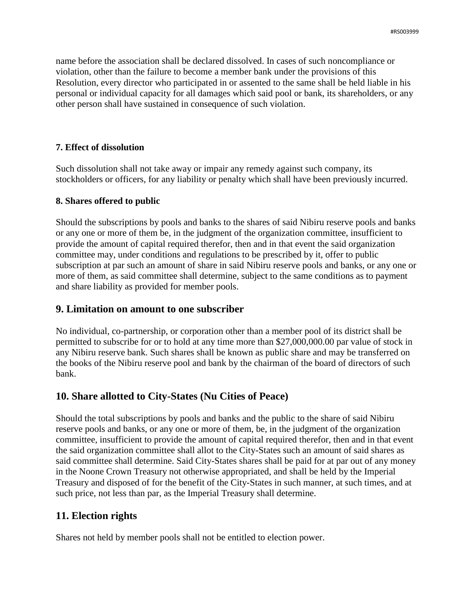name before the association shall be declared dissolved. In cases of such noncompliance or violation, other than the failure to become a member bank under the provisions of this Resolution, every director who participated in or assented to the same shall be held liable in his personal or individual capacity for all damages which said pool or bank, its shareholders, or any other person shall have sustained in consequence of such violation.

### **7. Effect of dissolution**

Such dissolution shall not take away or impair any remedy against such company, its stockholders or officers, for any liability or penalty which shall have been previously incurred.

### **8. Shares offered to public**

Should the subscriptions by pools and banks to the shares of said Nibiru reserve pools and banks or any one or more of them be, in the judgment of the organization committee, insufficient to provide the amount of capital required therefor, then and in that event the said organization committee may, under conditions and regulations to be prescribed by it, offer to public subscription at par such an amount of share in said Nibiru reserve pools and banks, or any one or more of them, as said committee shall determine, subject to the same conditions as to payment and share liability as provided for member pools.

# **9. Limitation on amount to one subscriber**

No individual, co-partnership, or corporation other than a member pool of its district shall be permitted to subscribe for or to hold at any time more than \$27,000,000.00 par value of stock in any Nibiru reserve bank. Such shares shall be known as public share and may be transferred on the books of the Nibiru reserve pool and bank by the chairman of the board of directors of such bank.

# **10. Share allotted to City-States (Nu Cities of Peace)**

Should the total subscriptions by pools and banks and the public to the share of said Nibiru reserve pools and banks, or any one or more of them, be, in the judgment of the organization committee, insufficient to provide the amount of capital required therefor, then and in that event the said organization committee shall allot to the City-States such an amount of said shares as said committee shall determine. Said City-States shares shall be paid for at par out of any money in the Noone Crown Treasury not otherwise appropriated, and shall be held by the Imperial Treasury and disposed of for the benefit of the City-States in such manner, at such times, and at such price, not less than par, as the Imperial Treasury shall determine.

# **11. Election rights**

Shares not held by member pools shall not be entitled to election power.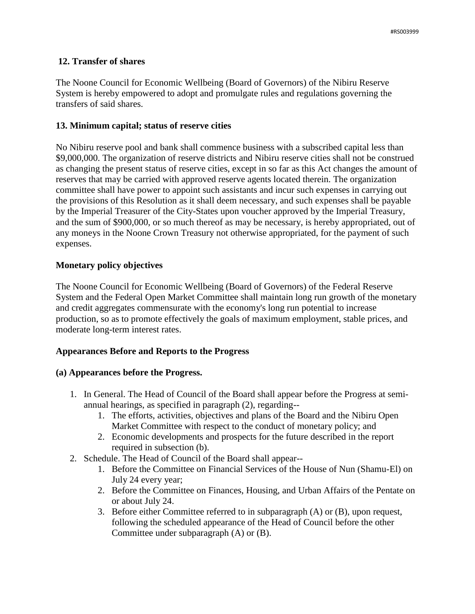# **12. Transfer of shares**

The Noone Council for Economic Wellbeing (Board of Governors) of the Nibiru Reserve System is hereby empowered to adopt and promulgate rules and regulations governing the transfers of said shares.

### **13. Minimum capital; status of reserve cities**

No Nibiru reserve pool and bank shall commence business with a subscribed capital less than \$9,000,000. The organization of reserve districts and Nibiru reserve cities shall not be construed as changing the present status of reserve cities, except in so far as this Act changes the amount of reserves that may be carried with approved reserve agents located therein. The organization committee shall have power to appoint such assistants and incur such expenses in carrying out the provisions of this Resolution as it shall deem necessary, and such expenses shall be payable by the Imperial Treasurer of the City-States upon voucher approved by the Imperial Treasury, and the sum of \$900,000, or so much thereof as may be necessary, is hereby appropriated, out of any moneys in the Noone Crown Treasury not otherwise appropriated, for the payment of such expenses.

# **Monetary policy objectives**

The Noone Council for Economic Wellbeing (Board of Governors) of the Federal Reserve System and the Federal Open Market Committee shall maintain long run growth of the monetary and credit aggregates commensurate with the economy's long run potential to increase production, so as to promote effectively the goals of maximum employment, stable prices, and moderate long-term interest rates.

# **Appearances Before and Reports to the Progress**

#### **(a) Appearances before the Progress.**

- 1. In General. The Head of Council of the Board shall appear before the Progress at semiannual hearings, as specified in paragraph (2), regarding--
	- 1. The efforts, activities, objectives and plans of the Board and the Nibiru Open Market Committee with respect to the conduct of monetary policy; and
	- 2. Economic developments and prospects for the future described in the report required in subsection (b).
- 2. Schedule. The Head of Council of the Board shall appear--
	- 1. Before the Committee on Financial Services of the House of Nun (Shamu-El) on July 24 every year;
	- 2. Before the Committee on Finances, Housing, and Urban Affairs of the Pentate on or about July 24.
	- 3. Before either Committee referred to in subparagraph (A) or (B), upon request, following the scheduled appearance of the Head of Council before the other Committee under subparagraph (A) or (B).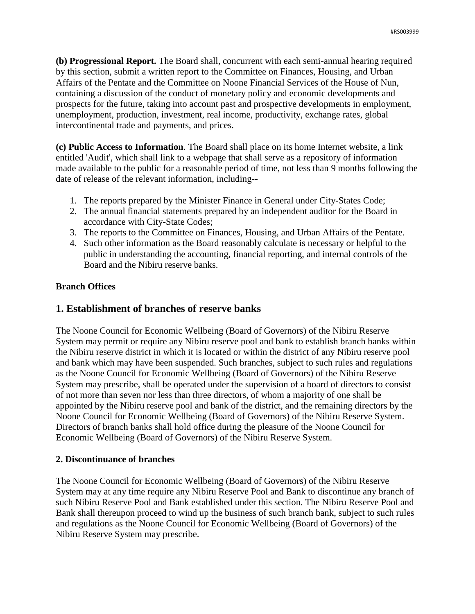**(b) Progressional Report.** The Board shall, concurrent with each semi-annual hearing required by this section, submit a written report to the Committee on Finances, Housing, and Urban Affairs of the Pentate and the Committee on Noone Financial Services of the House of Nun, containing a discussion of the conduct of monetary policy and economic developments and prospects for the future, taking into account past and prospective developments in employment, unemployment, production, investment, real income, productivity, exchange rates, global intercontinental trade and payments, and prices.

**(c) Public Access to Information***.* The Board shall place on its home Internet website, a link entitled 'Audit', which shall link to a webpage that shall serve as a repository of information made available to the public for a reasonable period of time, not less than 9 months following the date of release of the relevant information, including--

- 1. The reports prepared by the Minister Finance in General under City-States Code;
- 2. The annual financial statements prepared by an independent auditor for the Board in accordance with City-State Codes;
- 3. The reports to the Committee on Finances, Housing, and Urban Affairs of the Pentate.
- 4. Such other information as the Board reasonably calculate is necessary or helpful to the public in understanding the accounting, financial reporting, and internal controls of the Board and the Nibiru reserve banks.

# **Branch Offices**

# **1. Establishment of branches of reserve banks**

The Noone Council for Economic Wellbeing (Board of Governors) of the Nibiru Reserve System may permit or require any Nibiru reserve pool and bank to establish branch banks within the Nibiru reserve district in which it is located or within the district of any Nibiru reserve pool and bank which may have been suspended. Such branches, subject to such rules and regulations as the Noone Council for Economic Wellbeing (Board of Governors) of the Nibiru Reserve System may prescribe, shall be operated under the supervision of a board of directors to consist of not more than seven nor less than three directors, of whom a majority of one shall be appointed by the Nibiru reserve pool and bank of the district, and the remaining directors by the Noone Council for Economic Wellbeing (Board of Governors) of the Nibiru Reserve System. Directors of branch banks shall hold office during the pleasure of the Noone Council for Economic Wellbeing (Board of Governors) of the Nibiru Reserve System.

# **2. Discontinuance of branches**

The Noone Council for Economic Wellbeing (Board of Governors) of the Nibiru Reserve System may at any time require any Nibiru Reserve Pool and Bank to discontinue any branch of such Nibiru Reserve Pool and Bank established under this section. The Nibiru Reserve Pool and Bank shall thereupon proceed to wind up the business of such branch bank, subject to such rules and regulations as the Noone Council for Economic Wellbeing (Board of Governors) of the Nibiru Reserve System may prescribe.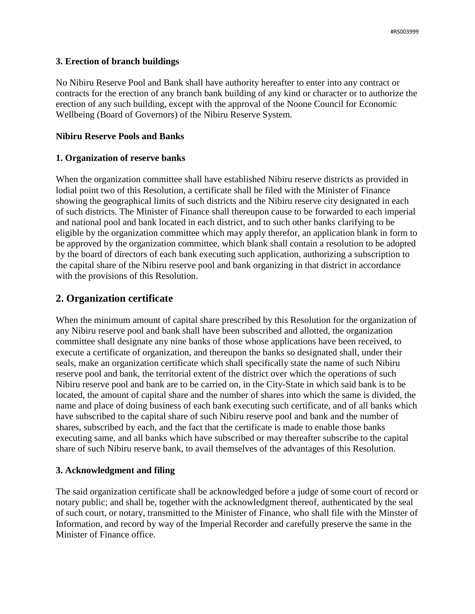### **3. Erection of branch buildings**

No Nibiru Reserve Pool and Bank shall have authority hereafter to enter into any contract or contracts for the erection of any branch bank building of any kind or character or to authorize the erection of any such building, except with the approval of the Noone Council for Economic Wellbeing (Board of Governors) of the Nibiru Reserve System.

### **Nibiru Reserve Pools and Banks**

### **1. Organization of reserve banks**

When the organization committee shall have established Nibiru reserve districts as provided in lodial point two of this Resolution, a certificate shall be filed with the Minister of Finance showing the geographical limits of such districts and the Nibiru reserve city designated in each of such districts. The Minister of Finance shall thereupon cause to be forwarded to each imperial and national pool and bank located in each district, and to such other banks clarifying to be eligible by the organization committee which may apply therefor, an application blank in form to be approved by the organization committee, which blank shall contain a resolution to be adopted by the board of directors of each bank executing such application, authorizing a subscription to the capital share of the Nibiru reserve pool and bank organizing in that district in accordance with the provisions of this Resolution.

# **2. Organization certificate**

When the minimum amount of capital share prescribed by this Resolution for the organization of any Nibiru reserve pool and bank shall have been subscribed and allotted, the organization committee shall designate any nine banks of those whose applications have been received, to execute a certificate of organization, and thereupon the banks so designated shall, under their seals, make an organization certificate which shall specifically state the name of such Nibiru reserve pool and bank, the territorial extent of the district over which the operations of such Nibiru reserve pool and bank are to be carried on, in the City-State in which said bank is to be located, the amount of capital share and the number of shares into which the same is divided, the name and place of doing business of each bank executing such certificate, and of all banks which have subscribed to the capital share of such Nibiru reserve pool and bank and the number of shares, subscribed by each, and the fact that the certificate is made to enable those banks executing same, and all banks which have subscribed or may thereafter subscribe to the capital share of such Nibiru reserve bank, to avail themselves of the advantages of this Resolution.

# **3. Acknowledgment and filing**

The said organization certificate shall be acknowledged before a judge of some court of record or notary public; and shall be, together with the acknowledgment thereof, authenticated by the seal of such court, or notary, transmitted to the Minister of Finance, who shall file with the Minster of Information, and record by way of the Imperial Recorder and carefully preserve the same in the Minister of Finance office.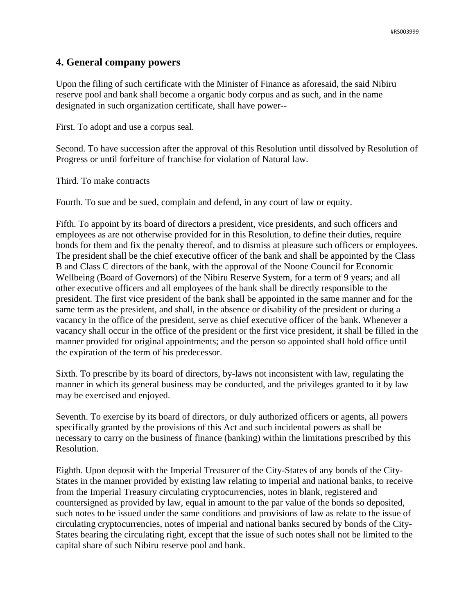# **4. General company powers**

Upon the filing of such certificate with the Minister of Finance as aforesaid, the said Nibiru reserve pool and bank shall become a organic body corpus and as such, and in the name designated in such organization certificate, shall have power--

First. To adopt and use a corpus seal.

Second. To have succession after the approval of this Resolution until dissolved by Resolution of Progress or until forfeiture of franchise for violation of Natural law.

Third. To make contracts

Fourth. To sue and be sued, complain and defend, in any court of law or equity.

Fifth. To appoint by its board of directors a president, vice presidents, and such officers and employees as are not otherwise provided for in this Resolution, to define their duties, require bonds for them and fix the penalty thereof, and to dismiss at pleasure such officers or employees. The president shall be the chief executive officer of the bank and shall be appointed by the Class B and Class C directors of the bank, with the approval of the Noone Council for Economic Wellbeing (Board of Governors) of the Nibiru Reserve System, for a term of 9 years; and all other executive officers and all employees of the bank shall be directly responsible to the president. The first vice president of the bank shall be appointed in the same manner and for the same term as the president, and shall, in the absence or disability of the president or during a vacancy in the office of the president, serve as chief executive officer of the bank. Whenever a vacancy shall occur in the office of the president or the first vice president, it shall be filled in the manner provided for original appointments; and the person so appointed shall hold office until the expiration of the term of his predecessor.

Sixth. To prescribe by its board of directors, by-laws not inconsistent with law, regulating the manner in which its general business may be conducted, and the privileges granted to it by law may be exercised and enjoyed.

Seventh. To exercise by its board of directors, or duly authorized officers or agents, all powers specifically granted by the provisions of this Act and such incidental powers as shall be necessary to carry on the business of finance (banking) within the limitations prescribed by this Resolution.

Eighth. Upon deposit with the Imperial Treasurer of the City-States of any bonds of the City-States in the manner provided by existing law relating to imperial and national banks, to receive from the Imperial Treasury circulating cryptocurrencies, notes in blank, registered and countersigned as provided by law, equal in amount to the par value of the bonds so deposited, such notes to be issued under the same conditions and provisions of law as relate to the issue of circulating cryptocurrencies, notes of imperial and national banks secured by bonds of the City-States bearing the circulating right, except that the issue of such notes shall not be limited to the capital share of such Nibiru reserve pool and bank.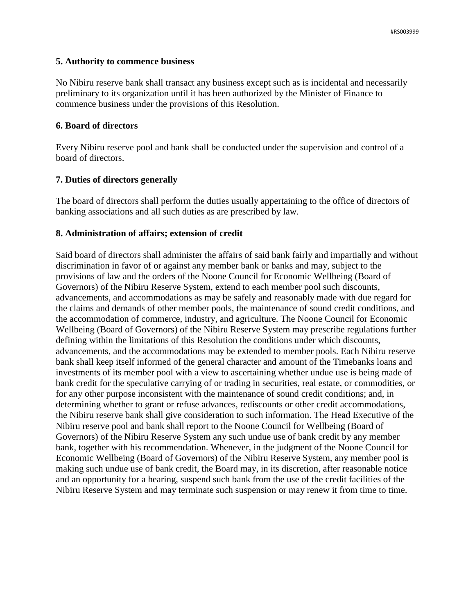### **5. Authority to commence business**

No Nibiru reserve bank shall transact any business except such as is incidental and necessarily preliminary to its organization until it has been authorized by the Minister of Finance to commence business under the provisions of this Resolution.

### **6. Board of directors**

Every Nibiru reserve pool and bank shall be conducted under the supervision and control of a board of directors.

# **7. Duties of directors generally**

The board of directors shall perform the duties usually appertaining to the office of directors of banking associations and all such duties as are prescribed by law.

### **8. Administration of affairs; extension of credit**

Said board of directors shall administer the affairs of said bank fairly and impartially and without discrimination in favor of or against any member bank or banks and may, subject to the provisions of law and the orders of the Noone Council for Economic Wellbeing (Board of Governors) of the Nibiru Reserve System, extend to each member pool such discounts, advancements, and accommodations as may be safely and reasonably made with due regard for the claims and demands of other member pools, the maintenance of sound credit conditions, and the accommodation of commerce, industry, and agriculture. The Noone Council for Economic Wellbeing (Board of Governors) of the Nibiru Reserve System may prescribe regulations further defining within the limitations of this Resolution the conditions under which discounts, advancements, and the accommodations may be extended to member pools. Each Nibiru reserve bank shall keep itself informed of the general character and amount of the Timebanks loans and investments of its member pool with a view to ascertaining whether undue use is being made of bank credit for the speculative carrying of or trading in securities, real estate, or commodities, or for any other purpose inconsistent with the maintenance of sound credit conditions; and, in determining whether to grant or refuse advances, rediscounts or other credit accommodations, the Nibiru reserve bank shall give consideration to such information. The Head Executive of the Nibiru reserve pool and bank shall report to the Noone Council for Wellbeing (Board of Governors) of the Nibiru Reserve System any such undue use of bank credit by any member bank, together with his recommendation. Whenever, in the judgment of the Noone Council for Economic Wellbeing (Board of Governors) of the Nibiru Reserve System, any member pool is making such undue use of bank credit, the Board may, in its discretion, after reasonable notice and an opportunity for a hearing, suspend such bank from the use of the credit facilities of the Nibiru Reserve System and may terminate such suspension or may renew it from time to time.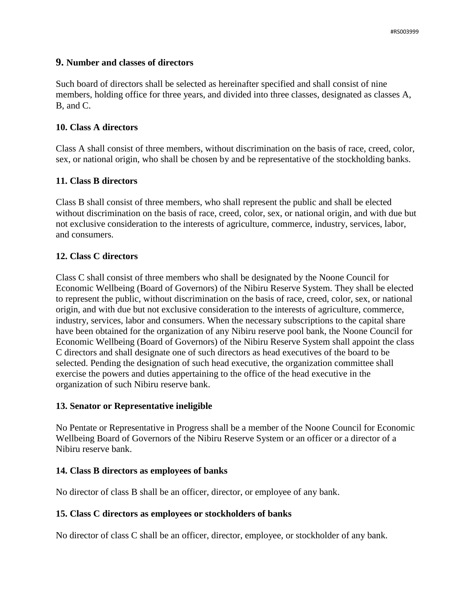### **9. Number and classes of directors**

Such board of directors shall be selected as hereinafter specified and shall consist of nine members, holding office for three years, and divided into three classes, designated as classes A, B, and C.

### **10. Class A directors**

Class A shall consist of three members, without discrimination on the basis of race, creed, color, sex, or national origin, who shall be chosen by and be representative of the stockholding banks.

### **11. Class B directors**

Class B shall consist of three members, who shall represent the public and shall be elected without discrimination on the basis of race, creed, color, sex, or national origin, and with due but not exclusive consideration to the interests of agriculture, commerce, industry, services, labor, and consumers.

### **12. Class C directors**

Class C shall consist of three members who shall be designated by the Noone Council for Economic Wellbeing (Board of Governors) of the Nibiru Reserve System. They shall be elected to represent the public, without discrimination on the basis of race, creed, color, sex, or national origin, and with due but not exclusive consideration to the interests of agriculture, commerce, industry, services, labor and consumers. When the necessary subscriptions to the capital share have been obtained for the organization of any Nibiru reserve pool bank, the Noone Council for Economic Wellbeing (Board of Governors) of the Nibiru Reserve System shall appoint the class C directors and shall designate one of such directors as head executives of the board to be selected. Pending the designation of such head executive, the organization committee shall exercise the powers and duties appertaining to the office of the head executive in the organization of such Nibiru reserve bank.

#### **13. Senator or Representative ineligible**

No Pentate or Representative in Progress shall be a member of the Noone Council for Economic Wellbeing Board of Governors of the Nibiru Reserve System or an officer or a director of a Nibiru reserve bank.

#### **14. Class B directors as employees of banks**

No director of class B shall be an officer, director, or employee of any bank.

#### **15. Class C directors as employees or stockholders of banks**

No director of class C shall be an officer, director, employee, or stockholder of any bank.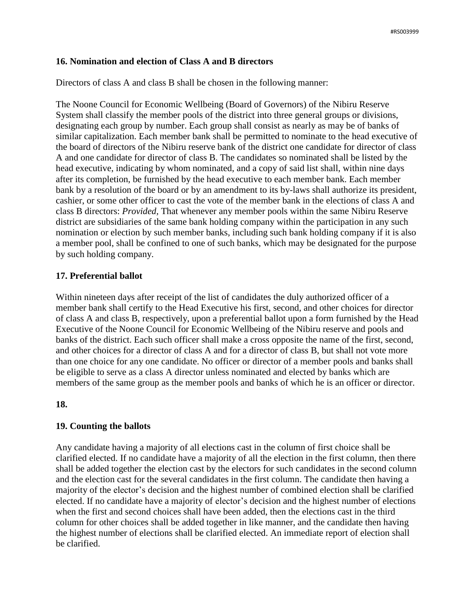# **16. Nomination and election of Class A and B directors**

Directors of class A and class B shall be chosen in the following manner:

The Noone Council for Economic Wellbeing (Board of Governors) of the Nibiru Reserve System shall classify the member pools of the district into three general groups or divisions, designating each group by number. Each group shall consist as nearly as may be of banks of similar capitalization. Each member bank shall be permitted to nominate to the head executive of the board of directors of the Nibiru reserve bank of the district one candidate for director of class A and one candidate for director of class B. The candidates so nominated shall be listed by the head executive, indicating by whom nominated, and a copy of said list shall, within nine days after its completion, be furnished by the head executive to each member bank. Each member bank by a resolution of the board or by an amendment to its by-laws shall authorize its president, cashier, or some other officer to cast the vote of the member bank in the elections of class A and class B directors: *Provided,* That whenever any member pools within the same Nibiru Reserve district are subsidiaries of the same bank holding company within the participation in any such nomination or election by such member banks, including such bank holding company if it is also a member pool, shall be confined to one of such banks, which may be designated for the purpose by such holding company.

# **17. Preferential ballot**

Within nineteen days after receipt of the list of candidates the duly authorized officer of a member bank shall certify to the Head Executive his first, second, and other choices for director of class A and class B, respectively, upon a preferential ballot upon a form furnished by the Head Executive of the Noone Council for Economic Wellbeing of the Nibiru reserve and pools and banks of the district. Each such officer shall make a cross opposite the name of the first, second, and other choices for a director of class A and for a director of class B, but shall not vote more than one choice for any one candidate. No officer or director of a member pools and banks shall be eligible to serve as a class A director unless nominated and elected by banks which are members of the same group as the member pools and banks of which he is an officer or director.

# **18.**

# **19. Counting the ballots**

Any candidate having a majority of all elections cast in the column of first choice shall be clarified elected. If no candidate have a majority of all the election in the first column, then there shall be added together the election cast by the electors for such candidates in the second column and the election cast for the several candidates in the first column. The candidate then having a majority of the elector's decision and the highest number of combined election shall be clarified elected. If no candidate have a majority of elector's decision and the highest number of elections when the first and second choices shall have been added, then the elections cast in the third column for other choices shall be added together in like manner, and the candidate then having the highest number of elections shall be clarified elected. An immediate report of election shall be clarified.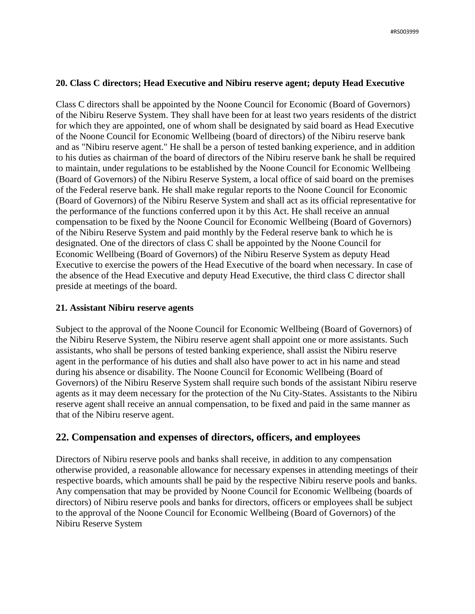# **20. Class C directors; Head Executive and Nibiru reserve agent; deputy Head Executive**

Class C directors shall be appointed by the Noone Council for Economic (Board of Governors) of the Nibiru Reserve System. They shall have been for at least two years residents of the district for which they are appointed, one of whom shall be designated by said board as Head Executive of the Noone Council for Economic Wellbeing (board of directors) of the Nibiru reserve bank and as "Nibiru reserve agent." He shall be a person of tested banking experience, and in addition to his duties as chairman of the board of directors of the Nibiru reserve bank he shall be required to maintain, under regulations to be established by the Noone Council for Economic Wellbeing (Board of Governors) of the Nibiru Reserve System, a local office of said board on the premises of the Federal reserve bank. He shall make regular reports to the Noone Council for Economic (Board of Governors) of the Nibiru Reserve System and shall act as its official representative for the performance of the functions conferred upon it by this Act. He shall receive an annual compensation to be fixed by the Noone Council for Economic Wellbeing (Board of Governors) of the Nibiru Reserve System and paid monthly by the Federal reserve bank to which he is designated. One of the directors of class C shall be appointed by the Noone Council for Economic Wellbeing (Board of Governors) of the Nibiru Reserve System as deputy Head Executive to exercise the powers of the Head Executive of the board when necessary. In case of the absence of the Head Executive and deputy Head Executive, the third class C director shall preside at meetings of the board.

# **21. Assistant Nibiru reserve agents**

Subject to the approval of the Noone Council for Economic Wellbeing (Board of Governors) of the Nibiru Reserve System, the Nibiru reserve agent shall appoint one or more assistants. Such assistants, who shall be persons of tested banking experience, shall assist the Nibiru reserve agent in the performance of his duties and shall also have power to act in his name and stead during his absence or disability. The Noone Council for Economic Wellbeing (Board of Governors) of the Nibiru Reserve System shall require such bonds of the assistant Nibiru reserve agents as it may deem necessary for the protection of the Nu City-States. Assistants to the Nibiru reserve agent shall receive an annual compensation, to be fixed and paid in the same manner as that of the Nibiru reserve agent.

# **22. Compensation and expenses of directors, officers, and employees**

Directors of Nibiru reserve pools and banks shall receive, in addition to any compensation otherwise provided, a reasonable allowance for necessary expenses in attending meetings of their respective boards, which amounts shall be paid by the respective Nibiru reserve pools and banks. Any compensation that may be provided by Noone Council for Economic Wellbeing (boards of directors) of Nibiru reserve pools and banks for directors, officers or employees shall be subject to the approval of the Noone Council for Economic Wellbeing (Board of Governors) of the Nibiru Reserve System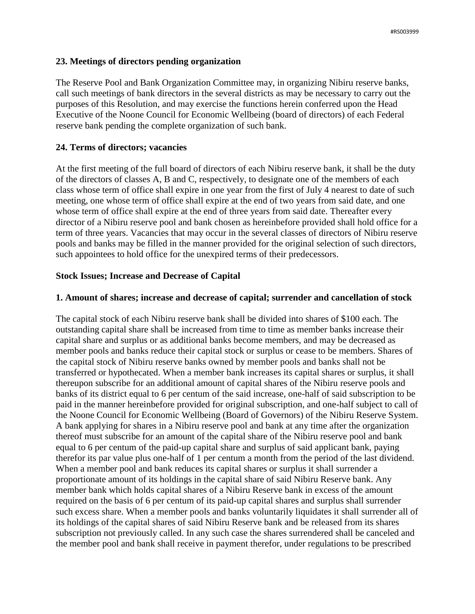# **23. Meetings of directors pending organization**

The Reserve Pool and Bank Organization Committee may, in organizing Nibiru reserve banks, call such meetings of bank directors in the several districts as may be necessary to carry out the purposes of this Resolution, and may exercise the functions herein conferred upon the Head Executive of the Noone Council for Economic Wellbeing (board of directors) of each Federal reserve bank pending the complete organization of such bank.

# **24. Terms of directors; vacancies**

At the first meeting of the full board of directors of each Nibiru reserve bank, it shall be the duty of the directors of classes A, B and C, respectively, to designate one of the members of each class whose term of office shall expire in one year from the first of July 4 nearest to date of such meeting, one whose term of office shall expire at the end of two years from said date, and one whose term of office shall expire at the end of three years from said date. Thereafter every director of a Nibiru reserve pool and bank chosen as hereinbefore provided shall hold office for a term of three years. Vacancies that may occur in the several classes of directors of Nibiru reserve pools and banks may be filled in the manner provided for the original selection of such directors, such appointees to hold office for the unexpired terms of their predecessors.

# **Stock Issues; Increase and Decrease of Capital**

# **1. Amount of shares; increase and decrease of capital; surrender and cancellation of stock**

The capital stock of each Nibiru reserve bank shall be divided into shares of \$100 each. The outstanding capital share shall be increased from time to time as member banks increase their capital share and surplus or as additional banks become members, and may be decreased as member pools and banks reduce their capital stock or surplus or cease to be members. Shares of the capital stock of Nibiru reserve banks owned by member pools and banks shall not be transferred or hypothecated. When a member bank increases its capital shares or surplus, it shall thereupon subscribe for an additional amount of capital shares of the Nibiru reserve pools and banks of its district equal to 6 per centum of the said increase, one-half of said subscription to be paid in the manner hereinbefore provided for original subscription, and one-half subject to call of the Noone Council for Economic Wellbeing (Board of Governors) of the Nibiru Reserve System. A bank applying for shares in a Nibiru reserve pool and bank at any time after the organization thereof must subscribe for an amount of the capital share of the Nibiru reserve pool and bank equal to 6 per centum of the paid-up capital share and surplus of said applicant bank, paying therefor its par value plus one-half of 1 per centum a month from the period of the last dividend. When a member pool and bank reduces its capital shares or surplus it shall surrender a proportionate amount of its holdings in the capital share of said Nibiru Reserve bank. Any member bank which holds capital shares of a Nibiru Reserve bank in excess of the amount required on the basis of 6 per centum of its paid-up capital shares and surplus shall surrender such excess share. When a member pools and banks voluntarily liquidates it shall surrender all of its holdings of the capital shares of said Nibiru Reserve bank and be released from its shares subscription not previously called. In any such case the shares surrendered shall be canceled and the member pool and bank shall receive in payment therefor, under regulations to be prescribed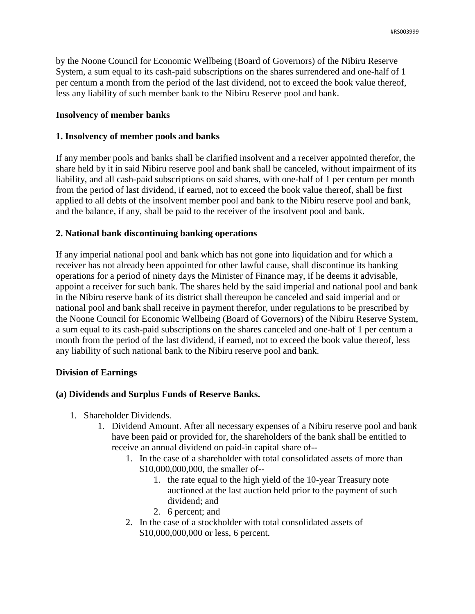by the Noone Council for Economic Wellbeing (Board of Governors) of the Nibiru Reserve System, a sum equal to its cash-paid subscriptions on the shares surrendered and one-half of 1 per centum a month from the period of the last dividend, not to exceed the book value thereof, less any liability of such member bank to the Nibiru Reserve pool and bank.

### **Insolvency of member banks**

### **1. Insolvency of member pools and banks**

If any member pools and banks shall be clarified insolvent and a receiver appointed therefor, the share held by it in said Nibiru reserve pool and bank shall be canceled, without impairment of its liability, and all cash-paid subscriptions on said shares, with one-half of 1 per centum per month from the period of last dividend, if earned, not to exceed the book value thereof, shall be first applied to all debts of the insolvent member pool and bank to the Nibiru reserve pool and bank, and the balance, if any, shall be paid to the receiver of the insolvent pool and bank.

### **2. National bank discontinuing banking operations**

If any imperial national pool and bank which has not gone into liquidation and for which a receiver has not already been appointed for other lawful cause, shall discontinue its banking operations for a period of ninety days the Minister of Finance may, if he deems it advisable, appoint a receiver for such bank. The shares held by the said imperial and national pool and bank in the Nibiru reserve bank of its district shall thereupon be canceled and said imperial and or national pool and bank shall receive in payment therefor, under regulations to be prescribed by the Noone Council for Economic Wellbeing (Board of Governors) of the Nibiru Reserve System, a sum equal to its cash-paid subscriptions on the shares canceled and one-half of 1 per centum a month from the period of the last dividend, if earned, not to exceed the book value thereof, less any liability of such national bank to the Nibiru reserve pool and bank.

# **Division of Earnings**

# **(a) Dividends and Surplus Funds of Reserve Banks.**

- 1. Shareholder Dividends.
	- 1. Dividend Amount. After all necessary expenses of a Nibiru reserve pool and bank have been paid or provided for, the shareholders of the bank shall be entitled to receive an annual dividend on paid-in capital share of--
		- 1. In the case of a shareholder with total consolidated assets of more than \$10,000,000,000, the smaller of--
			- 1. the rate equal to the high yield of the 10-year Treasury note auctioned at the last auction held prior to the payment of such dividend; and
			- 2. 6 percent; and
		- 2. In the case of a stockholder with total consolidated assets of \$10,000,000,000 or less, 6 percent.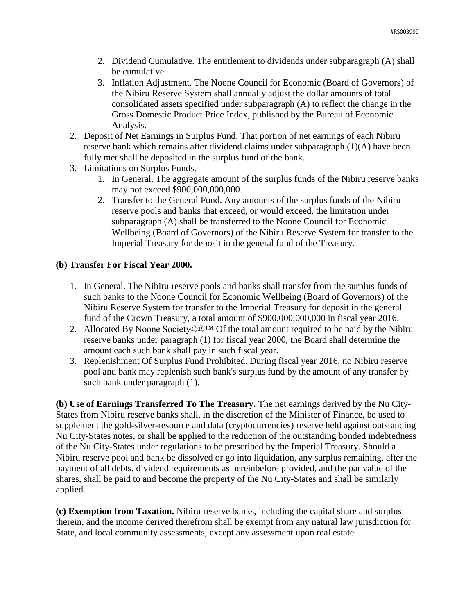- 2. Dividend Cumulative. The entitlement to dividends under subparagraph (A) shall be cumulative.
- 3. Inflation Adjustment. The Noone Council for Economic (Board of Governors) of the Nibiru Reserve System shall annually adjust the dollar amounts of total consolidated assets specified under subparagraph (A) to reflect the change in the Gross Domestic Product Price Index, published by the Bureau of Economic Analysis.
- 2. Deposit of Net Earnings in Surplus Fund. That portion of net earnings of each Nibiru reserve bank which remains after dividend claims under subparagraph (1)(A) have been fully met shall be deposited in the surplus fund of the bank.
- 3. Limitations on Surplus Funds.
	- 1. In General. The aggregate amount of the surplus funds of the Nibiru reserve banks may not exceed \$900,000,000,000.
	- 2. Transfer to the General Fund. Any amounts of the surplus funds of the Nibiru reserve pools and banks that exceed, or would exceed, the limitation under subparagraph (A) shall be transferred to the Noone Council for Economic Wellbeing (Board of Governors) of the Nibiru Reserve System for transfer to the Imperial Treasury for deposit in the general fund of the Treasury.

# **(b) Transfer For Fiscal Year 2000.**

- 1. In General. The Nibiru reserve pools and banks shall transfer from the surplus funds of such banks to the Noone Council for Economic Wellbeing (Board of Governors) of the Nibiru Reserve System for transfer to the Imperial Treasury for deposit in the general fund of the Crown Treasury, a total amount of \$900,000,000,000 in fiscal year 2016.
- 2. Allocated By Noone Society©®™ Of the total amount required to be paid by the Nibiru reserve banks under paragraph (1) for fiscal year 2000, the Board shall determine the amount each such bank shall pay in such fiscal year.
- 3. Replenishment Of Surplus Fund Prohibited. During fiscal year 2016, no Nibiru reserve pool and bank may replenish such bank's surplus fund by the amount of any transfer by such bank under paragraph (1).

**(b) Use of Earnings Transferred To The Treasury.** The net earnings derived by the Nu City-States from Nibiru reserve banks shall, in the discretion of the Minister of Finance, be used to supplement the gold-silver-resource and data (cryptocurrencies) reserve held against outstanding Nu City-States notes, or shall be applied to the reduction of the outstanding bonded indebtedness of the Nu City-States under regulations to be prescribed by the Imperial Treasury. Should a Nibiru reserve pool and bank be dissolved or go into liquidation, any surplus remaining, after the payment of all debts, dividend requirements as hereinbefore provided, and the par value of the shares, shall be paid to and become the property of the Nu City-States and shall be similarly applied.

**(c) Exemption from Taxation.** Nibiru reserve banks, including the capital share and surplus therein, and the income derived therefrom shall be exempt from any natural law jurisdiction for State, and local community assessments, except any assessment upon real estate.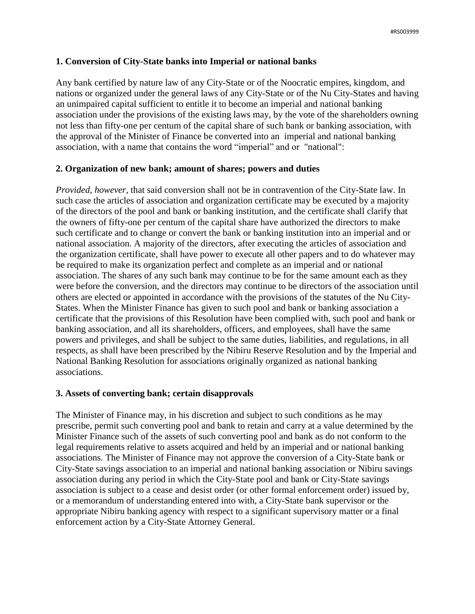# **1. Conversion of City-State banks into Imperial or national banks**

Any bank certified by nature law of any City-State or of the Noocratic empires, kingdom, and nations or organized under the general laws of any City-State or of the Nu City-States and having an unimpaired capital sufficient to entitle it to become an imperial and national banking association under the provisions of the existing laws may, by the vote of the shareholders owning not less than fifty-one per centum of the capital share of such bank or banking association, with the approval of the Minister of Finance be converted into an imperial and national banking association, with a name that contains the word "imperial" and or "national":

# **2. Organization of new bank; amount of shares; powers and duties**

*Provided, however*, that said conversion shall not be in contravention of the City-State law. In such case the articles of association and organization certificate may be executed by a majority of the directors of the pool and bank or banking institution, and the certificate shall clarify that the owners of fifty-one per centum of the capital share have authorized the directors to make such certificate and to change or convert the bank or banking institution into an imperial and or national association. A majority of the directors, after executing the articles of association and the organization certificate, shall have power to execute all other papers and to do whatever may be required to make its organization perfect and complete as an imperial and or national association. The shares of any such bank may continue to be for the same amount each as they were before the conversion, and the directors may continue to be directors of the association until others are elected or appointed in accordance with the provisions of the statutes of the Nu City-States. When the Minister Finance has given to such pool and bank or banking association a certificate that the provisions of this Resolution have been complied with, such pool and bank or banking association, and all its shareholders, officers, and employees, shall have the same powers and privileges, and shall be subject to the same duties, liabilities, and regulations, in all respects, as shall have been prescribed by the Nibiru Reserve Resolution and by the Imperial and National Banking Resolution for associations originally organized as national banking associations.

# **3. Assets of converting bank; certain disapprovals**

The Minister of Finance may, in his discretion and subject to such conditions as he may prescribe, permit such converting pool and bank to retain and carry at a value determined by the Minister Finance such of the assets of such converting pool and bank as do not conform to the legal requirements relative to assets acquired and held by an imperial and or national banking associations. The Minister of Finance may not approve the conversion of a City-State bank or City-State savings association to an imperial and national banking association or Nibiru savings association during any period in which the City-State pool and bank or City-State savings association is subject to a cease and desist order (or other formal enforcement order) issued by, or a memorandum of understanding entered into with, a City-State bank supervisor or the appropriate Nibiru banking agency with respect to a significant supervisory matter or a final enforcement action by a City-State Attorney General.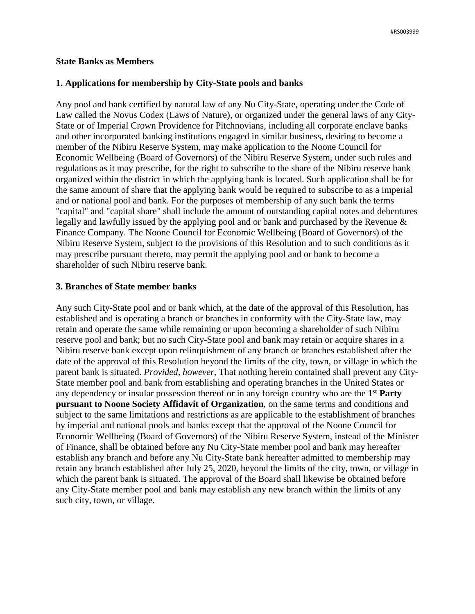#### **State Banks as Members**

#### **1. Applications for membership by City-State pools and banks**

Any pool and bank certified by natural law of any Nu City-State, operating under the Code of Law called the Novus Codex (Laws of Nature), or organized under the general laws of any City-State or of Imperial Crown Providence for Pitchnovians, including all corporate enclave banks and other incorporated banking institutions engaged in similar business, desiring to become a member of the Nibiru Reserve System, may make application to the Noone Council for Economic Wellbeing (Board of Governors) of the Nibiru Reserve System, under such rules and regulations as it may prescribe, for the right to subscribe to the share of the Nibiru reserve bank organized within the district in which the applying bank is located. Such application shall be for the same amount of share that the applying bank would be required to subscribe to as a imperial and or national pool and bank. For the purposes of membership of any such bank the terms "capital" and "capital share" shall include the amount of outstanding capital notes and debentures legally and lawfully issued by the applying pool and or bank and purchased by the Revenue & Finance Company. The Noone Council for Economic Wellbeing (Board of Governors) of the Nibiru Reserve System, subject to the provisions of this Resolution and to such conditions as it may prescribe pursuant thereto, may permit the applying pool and or bank to become a shareholder of such Nibiru reserve bank.

#### **3. Branches of State member banks**

Any such City-State pool and or bank which, at the date of the approval of this Resolution, has established and is operating a branch or branches in conformity with the City-State law, may retain and operate the same while remaining or upon becoming a shareholder of such Nibiru reserve pool and bank; but no such City-State pool and bank may retain or acquire shares in a Nibiru reserve bank except upon relinquishment of any branch or branches established after the date of the approval of this Resolution beyond the limits of the city, town, or village in which the parent bank is situated. *Provided, however,* That nothing herein contained shall prevent any City-State member pool and bank from establishing and operating branches in the United States or any dependency or insular possession thereof or in any foreign country who are the **1 st Party pursuant to Noone Society Affidavit of Organization**, on the same terms and conditions and subject to the same limitations and restrictions as are applicable to the establishment of branches by imperial and national pools and banks except that the approval of the Noone Council for Economic Wellbeing (Board of Governors) of the Nibiru Reserve System, instead of the Minister of Finance, shall be obtained before any Nu City-State member pool and bank may hereafter establish any branch and before any Nu City-State bank hereafter admitted to membership may retain any branch established after July 25, 2020, beyond the limits of the city, town, or village in which the parent bank is situated. The approval of the Board shall likewise be obtained before any City-State member pool and bank may establish any new branch within the limits of any such city, town, or village.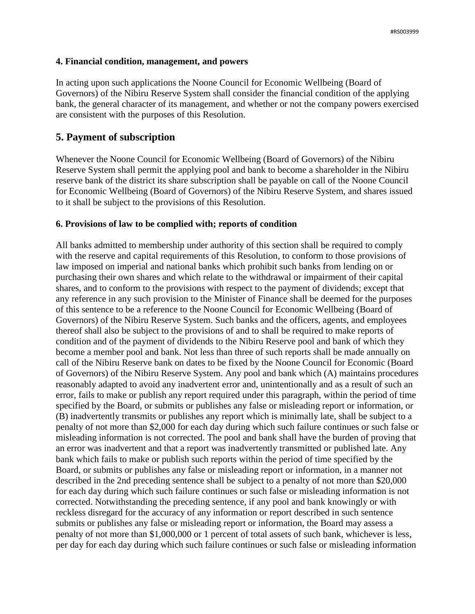### **4. Financial condition, management, and powers**

In acting upon such applications the Noone Council for Economic Wellbeing (Board of Governors) of the Nibiru Reserve System shall consider the financial condition of the applying bank, the general character of its management, and whether or not the company powers exercised are consistent with the purposes of this Resolution.

# **5. Payment of subscription**

Whenever the Noone Council for Economic Wellbeing (Board of Governors) of the Nibiru Reserve System shall permit the applying pool and bank to become a shareholder in the Nibiru reserve bank of the district its share subscription shall be payable on call of the Noone Council for Economic Wellbeing (Board of Governors) of the Nibiru Reserve System, and shares issued to it shall be subject to the provisions of this Resolution.

# **6. Provisions of law to be complied with; reports of condition**

All banks admitted to membership under authority of this section shall be required to comply with the reserve and capital requirements of this Resolution, to conform to those provisions of law imposed on imperial and national banks which prohibit such banks from lending on or purchasing their own shares and which relate to the withdrawal or impairment of their capital shares, and to conform to the provisions with respect to the payment of dividends; except that any reference in any such provision to the Minister of Finance shall be deemed for the purposes of this sentence to be a reference to the Noone Council for Economic Wellbeing (Board of Governors) of the Nibiru Reserve System. Such banks and the officers, agents, and employees thereof shall also be subject to the provisions of and to shall be required to make reports of condition and of the payment of dividends to the Nibiru Reserve pool and bank of which they become a member pool and bank. Not less than three of such reports shall be made annually on call of the Nibiru Reserve bank on dates to be fixed by the Noone Council for Economic (Board of Governors) of the Nibiru Reserve System. Any pool and bank which (A) maintains procedures reasonably adapted to avoid any inadvertent error and, unintentionally and as a result of such an error, fails to make or publish any report required under this paragraph, within the period of time specified by the Board, or submits or publishes any false or misleading report or information, or (B) inadvertently transmits or publishes any report which is minimally late, shall be subject to a penalty of not more than \$2,000 for each day during which such failure continues or such false or misleading information is not corrected. The pool and bank shall have the burden of proving that an error was inadvertent and that a report was inadvertently transmitted or published late. Any bank which fails to make or publish such reports within the period of time specified by the Board, or submits or publishes any false or misleading report or information, in a manner not described in the 2nd preceding sentence shall be subject to a penalty of not more than \$20,000 for each day during which such failure continues or such false or misleading information is not corrected. Notwithstanding the preceding sentence, if any pool and bank knowingly or with reckless disregard for the accuracy of any information or report described in such sentence submits or publishes any false or misleading report or information, the Board may assess a penalty of not more than \$1,000,000 or 1 percent of total assets of such bank, whichever is less, per day for each day during which such failure continues or such false or misleading information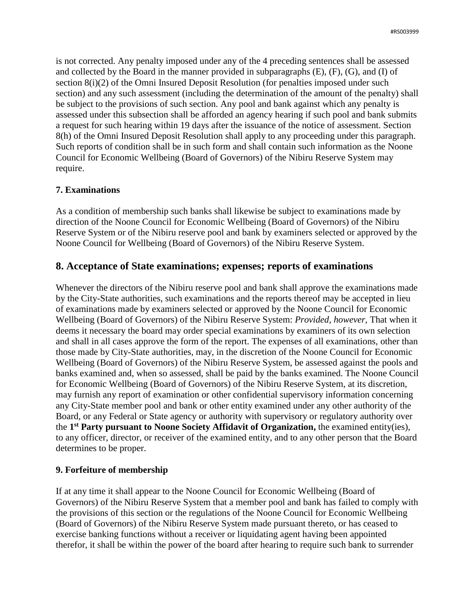is not corrected. Any penalty imposed under any of the 4 preceding sentences shall be assessed and collected by the Board in the manner provided in subparagraphs  $(E)$ ,  $(F)$ ,  $(G)$ , and  $(I)$  of section 8(i)(2) of the Omni Insured Deposit Resolution (for penalties imposed under such section) and any such assessment (including the determination of the amount of the penalty) shall be subject to the provisions of such section. Any pool and bank against which any penalty is assessed under this subsection shall be afforded an agency hearing if such pool and bank submits a request for such hearing within 19 days after the issuance of the notice of assessment. Section 8(h) of the Omni Insured Deposit Resolution shall apply to any proceeding under this paragraph. Such reports of condition shall be in such form and shall contain such information as the Noone Council for Economic Wellbeing (Board of Governors) of the Nibiru Reserve System may require.

### **7. Examinations**

As a condition of membership such banks shall likewise be subject to examinations made by direction of the Noone Council for Economic Wellbeing (Board of Governors) of the Nibiru Reserve System or of the Nibiru reserve pool and bank by examiners selected or approved by the Noone Council for Wellbeing (Board of Governors) of the Nibiru Reserve System.

# **8. Acceptance of State examinations; expenses; reports of examinations**

Whenever the directors of the Nibiru reserve pool and bank shall approve the examinations made by the City-State authorities, such examinations and the reports thereof may be accepted in lieu of examinations made by examiners selected or approved by the Noone Council for Economic Wellbeing (Board of Governors) of the Nibiru Reserve System: *Provided, however,* That when it deems it necessary the board may order special examinations by examiners of its own selection and shall in all cases approve the form of the report. The expenses of all examinations, other than those made by City-State authorities, may, in the discretion of the Noone Council for Economic Wellbeing (Board of Governors) of the Nibiru Reserve System, be assessed against the pools and banks examined and, when so assessed, shall be paid by the banks examined. The Noone Council for Economic Wellbeing (Board of Governors) of the Nibiru Reserve System, at its discretion, may furnish any report of examination or other confidential supervisory information concerning any City-State member pool and bank or other entity examined under any other authority of the Board, or any Federal or State agency or authority with supervisory or regulatory authority over the **1 st Party pursuant to Noone Society Affidavit of Organization,** the examined entity(ies), to any officer, director, or receiver of the examined entity, and to any other person that the Board determines to be proper.

#### **9. Forfeiture of membership**

If at any time it shall appear to the Noone Council for Economic Wellbeing (Board of Governors) of the Nibiru Reserve System that a member pool and bank has failed to comply with the provisions of this section or the regulations of the Noone Council for Economic Wellbeing (Board of Governors) of the Nibiru Reserve System made pursuant thereto, or has ceased to exercise banking functions without a receiver or liquidating agent having been appointed therefor, it shall be within the power of the board after hearing to require such bank to surrender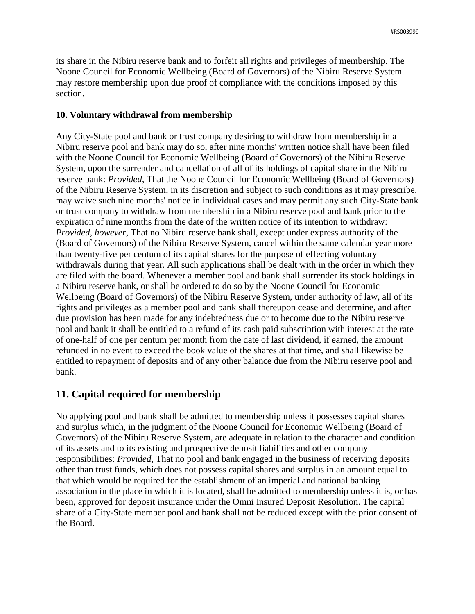its share in the Nibiru reserve bank and to forfeit all rights and privileges of membership. The Noone Council for Economic Wellbeing (Board of Governors) of the Nibiru Reserve System may restore membership upon due proof of compliance with the conditions imposed by this section.

### **10. Voluntary withdrawal from membership**

Any City-State pool and bank or trust company desiring to withdraw from membership in a Nibiru reserve pool and bank may do so, after nine months' written notice shall have been filed with the Noone Council for Economic Wellbeing (Board of Governors) of the Nibiru Reserve System, upon the surrender and cancellation of all of its holdings of capital share in the Nibiru reserve bank: *Provided,* That the Noone Council for Economic Wellbeing (Board of Governors) of the Nibiru Reserve System, in its discretion and subject to such conditions as it may prescribe, may waive such nine months' notice in individual cases and may permit any such City-State bank or trust company to withdraw from membership in a Nibiru reserve pool and bank prior to the expiration of nine months from the date of the written notice of its intention to withdraw: *Provided, however,* That no Nibiru reserve bank shall, except under express authority of the (Board of Governors) of the Nibiru Reserve System, cancel within the same calendar year more than twenty-five per centum of its capital shares for the purpose of effecting voluntary withdrawals during that year. All such applications shall be dealt with in the order in which they are filed with the board. Whenever a member pool and bank shall surrender its stock holdings in a Nibiru reserve bank, or shall be ordered to do so by the Noone Council for Economic Wellbeing (Board of Governors) of the Nibiru Reserve System, under authority of law, all of its rights and privileges as a member pool and bank shall thereupon cease and determine, and after due provision has been made for any indebtedness due or to become due to the Nibiru reserve pool and bank it shall be entitled to a refund of its cash paid subscription with interest at the rate of one-half of one per centum per month from the date of last dividend, if earned, the amount refunded in no event to exceed the book value of the shares at that time, and shall likewise be entitled to repayment of deposits and of any other balance due from the Nibiru reserve pool and bank.

# **11. Capital required for membership**

No applying pool and bank shall be admitted to membership unless it possesses capital shares and surplus which, in the judgment of the Noone Council for Economic Wellbeing (Board of Governors) of the Nibiru Reserve System, are adequate in relation to the character and condition of its assets and to its existing and prospective deposit liabilities and other company responsibilities: *Provided,* That no pool and bank engaged in the business of receiving deposits other than trust funds, which does not possess capital shares and surplus in an amount equal to that which would be required for the establishment of an imperial and national banking association in the place in which it is located, shall be admitted to membership unless it is, or has been, approved for deposit insurance under the Omni Insured Deposit Resolution. The capital share of a City-State member pool and bank shall not be reduced except with the prior consent of the Board.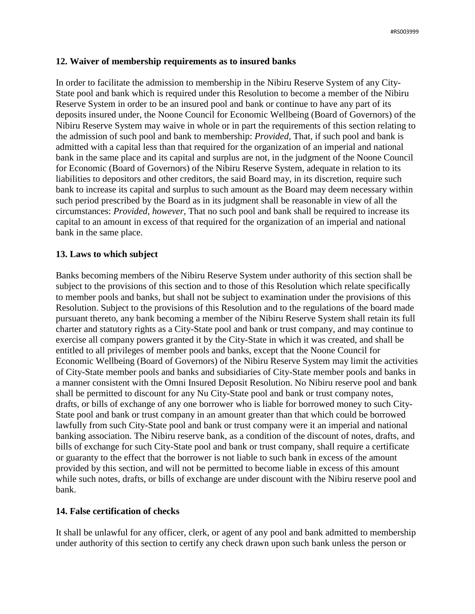### **12. Waiver of membership requirements as to insured banks**

In order to facilitate the admission to membership in the Nibiru Reserve System of any City-State pool and bank which is required under this Resolution to become a member of the Nibiru Reserve System in order to be an insured pool and bank or continue to have any part of its deposits insured under, the Noone Council for Economic Wellbeing (Board of Governors) of the Nibiru Reserve System may waive in whole or in part the requirements of this section relating to the admission of such pool and bank to membership: *Provided,* That, if such pool and bank is admitted with a capital less than that required for the organization of an imperial and national bank in the same place and its capital and surplus are not, in the judgment of the Noone Council for Economic (Board of Governors) of the Nibiru Reserve System, adequate in relation to its liabilities to depositors and other creditors, the said Board may, in its discretion, require such bank to increase its capital and surplus to such amount as the Board may deem necessary within such period prescribed by the Board as in its judgment shall be reasonable in view of all the circumstances: *Provided, however,* That no such pool and bank shall be required to increase its capital to an amount in excess of that required for the organization of an imperial and national bank in the same place.

# **13. Laws to which subject**

Banks becoming members of the Nibiru Reserve System under authority of this section shall be subject to the provisions of this section and to those of this Resolution which relate specifically to member pools and banks, but shall not be subject to examination under the provisions of this Resolution. Subject to the provisions of this Resolution and to the regulations of the board made pursuant thereto, any bank becoming a member of the Nibiru Reserve System shall retain its full charter and statutory rights as a City-State pool and bank or trust company, and may continue to exercise all company powers granted it by the City-State in which it was created, and shall be entitled to all privileges of member pools and banks, except that the Noone Council for Economic Wellbeing (Board of Governors) of the Nibiru Reserve System may limit the activities of City-State member pools and banks and subsidiaries of City-State member pools and banks in a manner consistent with the Omni Insured Deposit Resolution. No Nibiru reserve pool and bank shall be permitted to discount for any Nu City-State pool and bank or trust company notes, drafts, or bills of exchange of any one borrower who is liable for borrowed money to such City-State pool and bank or trust company in an amount greater than that which could be borrowed lawfully from such City-State pool and bank or trust company were it an imperial and national banking association. The Nibiru reserve bank, as a condition of the discount of notes, drafts, and bills of exchange for such City-State pool and bank or trust company, shall require a certificate or guaranty to the effect that the borrower is not liable to such bank in excess of the amount provided by this section, and will not be permitted to become liable in excess of this amount while such notes, drafts, or bills of exchange are under discount with the Nibiru reserve pool and bank.

# **14. False certification of checks**

It shall be unlawful for any officer, clerk, or agent of any pool and bank admitted to membership under authority of this section to certify any check drawn upon such bank unless the person or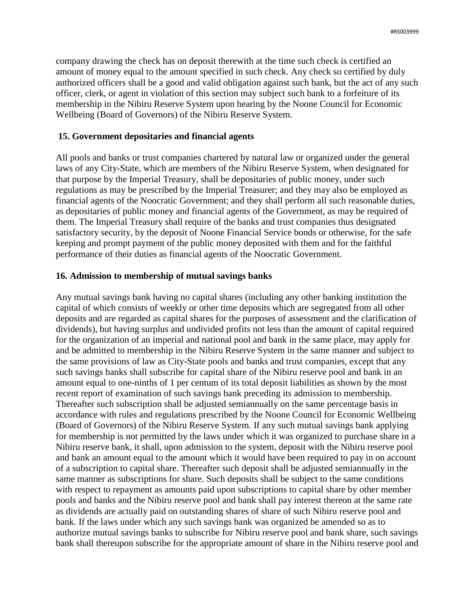company drawing the check has on deposit therewith at the time such check is certified an amount of money equal to the amount specified in such check. Any check so certified by duly authorized officers shall be a good and valid obligation against such bank, but the act of any such officer, clerk, or agent in violation of this section may subject such bank to a forfeiture of its membership in the Nibiru Reserve System upon hearing by the Noone Council for Economic Wellbeing (Board of Governors) of the Nibiru Reserve System.

#### **15. Government depositaries and financial agents**

All pools and banks or trust companies chartered by natural law or organized under the general laws of any City-State, which are members of the Nibiru Reserve System, when designated for that purpose by the Imperial Treasury, shall be depositaries of public money, under such regulations as may be prescribed by the Imperial Treasurer; and they may also be employed as financial agents of the Noocratic Government; and they shall perform all such reasonable duties, as depositaries of public money and financial agents of the Government, as may be required of them. The Imperial Treasury shall require of the banks and trust companies thus designated satisfactory security, by the deposit of Noone Financial Service bonds or otherwise, for the safe keeping and prompt payment of the public money deposited with them and for the faithful performance of their duties as financial agents of the Noocratic Government.

#### **16. Admission to membership of mutual savings banks**

Any mutual savings bank having no capital shares (including any other banking institution the capital of which consists of weekly or other time deposits which are segregated from all other deposits and are regarded as capital shares for the purposes of assessment and the clarification of dividends), but having surplus and undivided profits not less than the amount of capital required for the organization of an imperial and national pool and bank in the same place, may apply for and be admitted to membership in the Nibiru Reserve System in the same manner and subject to the same provisions of law as City-State pools and banks and trust companies, except that any such savings banks shall subscribe for capital share of the Nibiru reserve pool and bank in an amount equal to one-ninths of 1 per centum of its total deposit liabilities as shown by the most recent report of examination of such savings bank preceding its admission to membership. Thereafter such subscription shall be adjusted semiannually on the same percentage basis in accordance with rules and regulations prescribed by the Noone Council for Economic Wellbeing (Board of Governors) of the Nibiru Reserve System. If any such mutual savings bank applying for membership is not permitted by the laws under which it was organized to purchase share in a Nibiru reserve bank, it shall, upon admission to the system, deposit with the Nibiru reserve pool and bank an amount equal to the amount which it would have been required to pay in on account of a subscription to capital share. Thereafter such deposit shall be adjusted semiannually in the same manner as subscriptions for share. Such deposits shall be subject to the same conditions with respect to repayment as amounts paid upon subscriptions to capital share by other member pools and banks and the Nibiru reserve pool and bank shall pay interest thereon at the same rate as dividends are actually paid on outstanding shares of share of such Nibiru reserve pool and bank. If the laws under which any such savings bank was organized be amended so as to authorize mutual savings banks to subscribe for Nibiru reserve pool and bank share, such savings bank shall thereupon subscribe for the appropriate amount of share in the Nibiru reserve pool and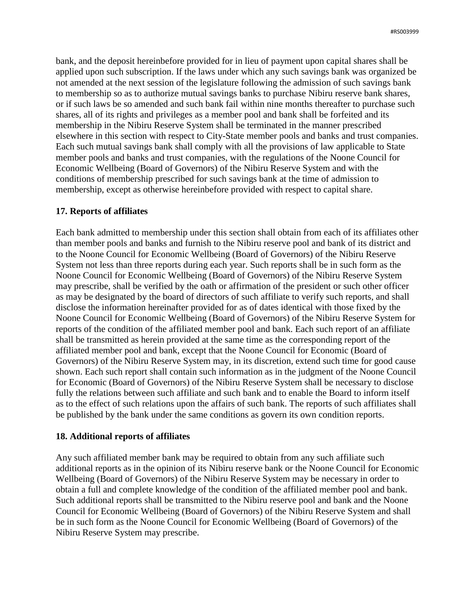bank, and the deposit hereinbefore provided for in lieu of payment upon capital shares shall be applied upon such subscription. If the laws under which any such savings bank was organized be not amended at the next session of the legislature following the admission of such savings bank to membership so as to authorize mutual savings banks to purchase Nibiru reserve bank shares, or if such laws be so amended and such bank fail within nine months thereafter to purchase such shares, all of its rights and privileges as a member pool and bank shall be forfeited and its membership in the Nibiru Reserve System shall be terminated in the manner prescribed elsewhere in this section with respect to City-State member pools and banks and trust companies. Each such mutual savings bank shall comply with all the provisions of law applicable to State member pools and banks and trust companies, with the regulations of the Noone Council for Economic Wellbeing (Board of Governors) of the Nibiru Reserve System and with the conditions of membership prescribed for such savings bank at the time of admission to membership, except as otherwise hereinbefore provided with respect to capital share.

#### **17. Reports of affiliates**

Each bank admitted to membership under this section shall obtain from each of its affiliates other than member pools and banks and furnish to the Nibiru reserve pool and bank of its district and to the Noone Council for Economic Wellbeing (Board of Governors) of the Nibiru Reserve System not less than three reports during each year. Such reports shall be in such form as the Noone Council for Economic Wellbeing (Board of Governors) of the Nibiru Reserve System may prescribe, shall be verified by the oath or affirmation of the president or such other officer as may be designated by the board of directors of such affiliate to verify such reports, and shall disclose the information hereinafter provided for as of dates identical with those fixed by the Noone Council for Economic Wellbeing (Board of Governors) of the Nibiru Reserve System for reports of the condition of the affiliated member pool and bank. Each such report of an affiliate shall be transmitted as herein provided at the same time as the corresponding report of the affiliated member pool and bank, except that the Noone Council for Economic (Board of Governors) of the Nibiru Reserve System may, in its discretion, extend such time for good cause shown. Each such report shall contain such information as in the judgment of the Noone Council for Economic (Board of Governors) of the Nibiru Reserve System shall be necessary to disclose fully the relations between such affiliate and such bank and to enable the Board to inform itself as to the effect of such relations upon the affairs of such bank. The reports of such affiliates shall be published by the bank under the same conditions as govern its own condition reports.

#### **18. Additional reports of affiliates**

Any such affiliated member bank may be required to obtain from any such affiliate such additional reports as in the opinion of its Nibiru reserve bank or the Noone Council for Economic Wellbeing (Board of Governors) of the Nibiru Reserve System may be necessary in order to obtain a full and complete knowledge of the condition of the affiliated member pool and bank. Such additional reports shall be transmitted to the Nibiru reserve pool and bank and the Noone Council for Economic Wellbeing (Board of Governors) of the Nibiru Reserve System and shall be in such form as the Noone Council for Economic Wellbeing (Board of Governors) of the Nibiru Reserve System may prescribe.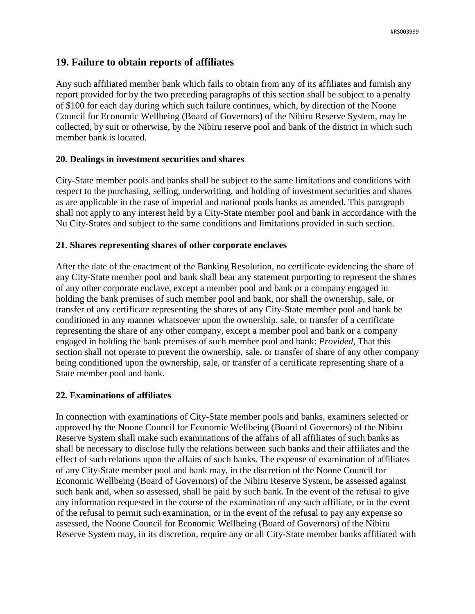# **19. Failure to obtain reports of affiliates**

Any such affiliated member bank which fails to obtain from any of its affiliates and furnish any report provided for by the two preceding paragraphs of this section shall be subject to a penalty of \$100 for each day during which such failure continues, which, by direction of the Noone Council for Economic Wellbeing (Board of Governors) of the Nibiru Reserve System, may be collected, by suit or otherwise, by the Nibiru reserve pool and bank of the district in which such member bank is located.

# **20. Dealings in investment securities and shares**

City-State member pools and banks shall be subject to the same limitations and conditions with respect to the purchasing, selling, underwriting, and holding of investment securities and shares as are applicable in the case of imperial and national pools banks as amended. This paragraph shall not apply to any interest held by a City-State member pool and bank in accordance with the Nu City-States and subject to the same conditions and limitations provided in such section.

### **21. Shares representing shares of other corporate enclaves**

After the date of the enactment of the Banking Resolution, no certificate evidencing the share of any City-State member pool and bank shall bear any statement purporting to represent the shares of any other corporate enclave, except a member pool and bank or a company engaged in holding the bank premises of such member pool and bank, nor shall the ownership, sale, or transfer of any certificate representing the shares of any City-State member pool and bank be conditioned in any manner whatsoever upon the ownership, sale, or transfer of a certificate representing the share of any other company, except a member pool and bank or a company engaged in holding the bank premises of such member pool and bank: *Provided,* That this section shall not operate to prevent the ownership, sale, or transfer of share of any other company being conditioned upon the ownership, sale, or transfer of a certificate representing share of a State member pool and bank.

# **22. Examinations of affiliates**

In connection with examinations of City-State member pools and banks, examiners selected or approved by the Noone Council for Economic Wellbeing (Board of Governors) of the Nibiru Reserve System shall make such examinations of the affairs of all affiliates of such banks as shall be necessary to disclose fully the relations between such banks and their affiliates and the effect of such relations upon the affairs of such banks. The expense of examination of affiliates of any City-State member pool and bank may, in the discretion of the Noone Council for Economic Wellbeing (Board of Governors) of the Nibiru Reserve System, be assessed against such bank and, when so assessed, shall be paid by such bank. In the event of the refusal to give any information requested in the course of the examination of any such affiliate, or in the event of the refusal to permit such examination, or in the event of the refusal to pay any expense so assessed, the Noone Council for Economic Wellbeing (Board of Governors) of the Nibiru Reserve System may, in its discretion, require any or all City-State member banks affiliated with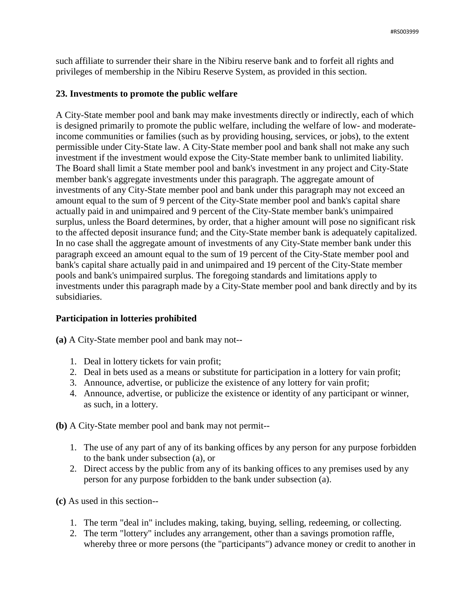such affiliate to surrender their share in the Nibiru reserve bank and to forfeit all rights and privileges of membership in the Nibiru Reserve System, as provided in this section.

# **23. Investments to promote the public welfare**

A City-State member pool and bank may make investments directly or indirectly, each of which is designed primarily to promote the public welfare, including the welfare of low- and moderateincome communities or families (such as by providing housing, services, or jobs), to the extent permissible under City-State law. A City-State member pool and bank shall not make any such investment if the investment would expose the City-State member bank to unlimited liability. The Board shall limit a State member pool and bank's investment in any project and City-State member bank's aggregate investments under this paragraph. The aggregate amount of investments of any City-State member pool and bank under this paragraph may not exceed an amount equal to the sum of 9 percent of the City-State member pool and bank's capital share actually paid in and unimpaired and 9 percent of the City-State member bank's unimpaired surplus, unless the Board determines, by order, that a higher amount will pose no significant risk to the affected deposit insurance fund; and the City-State member bank is adequately capitalized. In no case shall the aggregate amount of investments of any City-State member bank under this paragraph exceed an amount equal to the sum of 19 percent of the City-State member pool and bank's capital share actually paid in and unimpaired and 19 percent of the City-State member pools and bank's unimpaired surplus. The foregoing standards and limitations apply to investments under this paragraph made by a City-State member pool and bank directly and by its subsidiaries.

#### **Participation in lotteries prohibited**

**(a)** A City-State member pool and bank may not--

- 1. Deal in lottery tickets for vain profit;
- 2. Deal in bets used as a means or substitute for participation in a lottery for vain profit;
- 3. Announce, advertise, or publicize the existence of any lottery for vain profit;
- 4. Announce, advertise, or publicize the existence or identity of any participant or winner, as such, in a lottery.

**(b)** A City-State member pool and bank may not permit--

- 1. The use of any part of any of its banking offices by any person for any purpose forbidden to the bank under subsection (a), or
- 2. Direct access by the public from any of its banking offices to any premises used by any person for any purpose forbidden to the bank under subsection (a).

**(c)** As used in this section--

- 1. The term "deal in" includes making, taking, buying, selling, redeeming, or collecting.
- 2. The term "lottery" includes any arrangement, other than a savings promotion raffle, whereby three or more persons (the "participants") advance money or credit to another in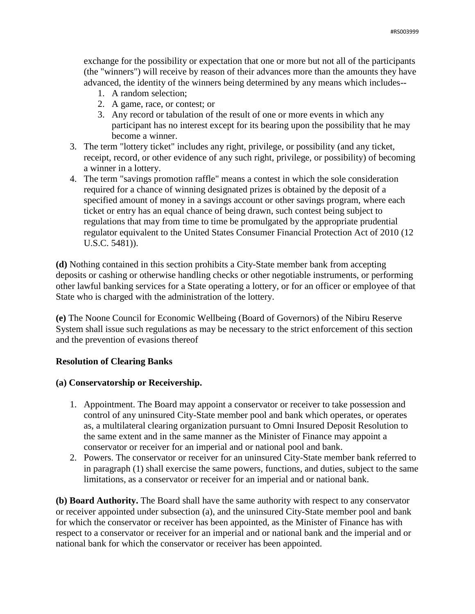exchange for the possibility or expectation that one or more but not all of the participants (the "winners") will receive by reason of their advances more than the amounts they have advanced, the identity of the winners being determined by any means which includes--

- 1. A random selection;
- 2. A game, race, or contest; or
- 3. Any record or tabulation of the result of one or more events in which any participant has no interest except for its bearing upon the possibility that he may become a winner.
- 3. The term "lottery ticket" includes any right, privilege, or possibility (and any ticket, receipt, record, or other evidence of any such right, privilege, or possibility) of becoming a winner in a lottery.
- 4. The term "savings promotion raffle" means a contest in which the sole consideration required for a chance of winning designated prizes is obtained by the deposit of a specified amount of money in a savings account or other savings program, where each ticket or entry has an equal chance of being drawn, such contest being subject to regulations that may from time to time be promulgated by the appropriate prudential regulator equivalent to the United States Consumer Financial Protection Act of 2010 (12 U.S.C. 5481)).

**(d)** Nothing contained in this section prohibits a City-State member bank from accepting deposits or cashing or otherwise handling checks or other negotiable instruments, or performing other lawful banking services for a State operating a lottery, or for an officer or employee of that State who is charged with the administration of the lottery.

**(e)** The Noone Council for Economic Wellbeing (Board of Governors) of the Nibiru Reserve System shall issue such regulations as may be necessary to the strict enforcement of this section and the prevention of evasions thereof

# **Resolution of Clearing Banks**

# **(a) Conservatorship or Receivership.**

- 1. Appointment. The Board may appoint a conservator or receiver to take possession and control of any uninsured City-State member pool and bank which operates, or operates as, a multilateral clearing organization pursuant to Omni Insured Deposit Resolution to the same extent and in the same manner as the Minister of Finance may appoint a conservator or receiver for an imperial and or national pool and bank.
- 2. Powers. The conservator or receiver for an uninsured City-State member bank referred to in paragraph (1) shall exercise the same powers, functions, and duties, subject to the same limitations, as a conservator or receiver for an imperial and or national bank.

**(b) Board Authority.** The Board shall have the same authority with respect to any conservator or receiver appointed under subsection (a), and the uninsured City-State member pool and bank for which the conservator or receiver has been appointed, as the Minister of Finance has with respect to a conservator or receiver for an imperial and or national bank and the imperial and or national bank for which the conservator or receiver has been appointed.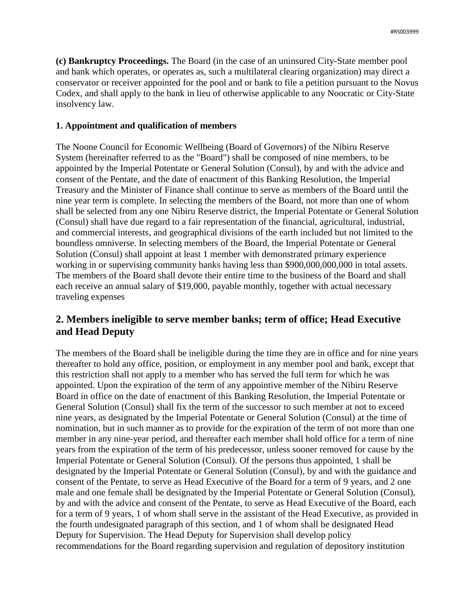**(c) Bankruptcy Proceedings.** The Board (in the case of an uninsured City-State member pool and bank which operates, or operates as, such a multilateral clearing organization) may direct a conservator or receiver appointed for the pool and or bank to file a petition pursuant to the Novus Codex, and shall apply to the bank in lieu of otherwise applicable to any Noocratic or City-State insolvency law.

### **1. Appointment and qualification of members**

The Noone Council for Economic Wellbeing (Board of Governors) of the Nibiru Reserve System (hereinafter referred to as the "Board") shall be composed of nine members, to be appointed by the Imperial Potentate or General Solution (Consul), by and with the advice and consent of the Pentate, and the date of enactment of this Banking Resolution, the Imperial Treasury and the Minister of Finance shall continue to serve as members of the Board until the nine year term is complete. In selecting the members of the Board, not more than one of whom shall be selected from any one Nibiru Reserve district, the Imperial Potentate or General Solution (Consul) shall have due regard to a fair representation of the financial, agricultural, industrial, and commercial interests, and geographical divisions of the earth included but not limited to the boundless omniverse. In selecting members of the Board, the Imperial Potentate or General Solution (Consul) shall appoint at least 1 member with demonstrated primary experience working in or supervising community banks having less than \$900,000,000,000 in total assets. The members of the Board shall devote their entire time to the business of the Board and shall each receive an annual salary of \$19,000, payable monthly, together with actual necessary traveling expenses

# **2. Members ineligible to serve member banks; term of office; Head Executive and Head Deputy**

The members of the Board shall be ineligible during the time they are in office and for nine years thereafter to hold any office, position, or employment in any member pool and bank, except that this restriction shall not apply to a member who has served the full term for which he was appointed. Upon the expiration of the term of any appointive member of the Nibiru Reserve Board in office on the date of enactment of this Banking Resolution, the Imperial Potentate or General Solution (Consul) shall fix the term of the successor to such member at not to exceed nine years, as designated by the Imperial Potentate or General Solution (Consul) at the time of nomination, but in such manner as to provide for the expiration of the term of not more than one member in any nine-year period, and thereafter each member shall hold office for a term of nine years from the expiration of the term of his predecessor, unless sooner removed for cause by the Imperial Potentate or General Solution (Consul). Of the persons thus appointed, 1 shall be designated by the Imperial Potentate or General Solution (Consul), by and with the guidance and consent of the Pentate, to serve as Head Executive of the Board for a term of 9 years, and 2 one male and one female shall be designated by the Imperial Potentate or General Solution (Consul), by and with the advice and consent of the Pentate, to serve as Head Executive of the Board, each for a term of 9 years, 1 of whom shall serve in the assistant of the Head Executive, as provided in the fourth undesignated paragraph of this section, and 1 of whom shall be designated Head Deputy for Supervision. The Head Deputy for Supervision shall develop policy recommendations for the Board regarding supervision and regulation of depository institution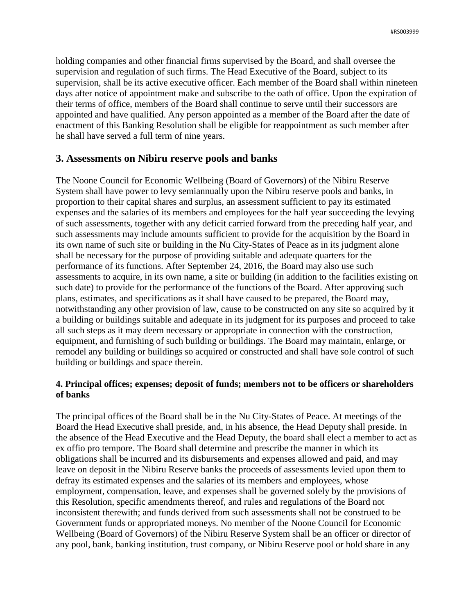holding companies and other financial firms supervised by the Board, and shall oversee the supervision and regulation of such firms. The Head Executive of the Board, subject to its supervision, shall be its active executive officer. Each member of the Board shall within nineteen days after notice of appointment make and subscribe to the oath of office. Upon the expiration of their terms of office, members of the Board shall continue to serve until their successors are appointed and have qualified. Any person appointed as a member of the Board after the date of enactment of this Banking Resolution shall be eligible for reappointment as such member after he shall have served a full term of nine years.

# **3. Assessments on Nibiru reserve pools and banks**

The Noone Council for Economic Wellbeing (Board of Governors) of the Nibiru Reserve System shall have power to levy semiannually upon the Nibiru reserve pools and banks, in proportion to their capital shares and surplus, an assessment sufficient to pay its estimated expenses and the salaries of its members and employees for the half year succeeding the levying of such assessments, together with any deficit carried forward from the preceding half year, and such assessments may include amounts sufficient to provide for the acquisition by the Board in its own name of such site or building in the Nu City-States of Peace as in its judgment alone shall be necessary for the purpose of providing suitable and adequate quarters for the performance of its functions. After September 24, 2016, the Board may also use such assessments to acquire, in its own name, a site or building (in addition to the facilities existing on such date) to provide for the performance of the functions of the Board. After approving such plans, estimates, and specifications as it shall have caused to be prepared, the Board may, notwithstanding any other provision of law, cause to be constructed on any site so acquired by it a building or buildings suitable and adequate in its judgment for its purposes and proceed to take all such steps as it may deem necessary or appropriate in connection with the construction, equipment, and furnishing of such building or buildings. The Board may maintain, enlarge, or remodel any building or buildings so acquired or constructed and shall have sole control of such building or buildings and space therein.

# **4. Principal offices; expenses; deposit of funds; members not to be officers or shareholders of banks**

The principal offices of the Board shall be in the Nu City-States of Peace. At meetings of the Board the Head Executive shall preside, and, in his absence, the Head Deputy shall preside. In the absence of the Head Executive and the Head Deputy, the board shall elect a member to act as ex offio pro tempore. The Board shall determine and prescribe the manner in which its obligations shall be incurred and its disbursements and expenses allowed and paid, and may leave on deposit in the Nibiru Reserve banks the proceeds of assessments levied upon them to defray its estimated expenses and the salaries of its members and employees, whose employment, compensation, leave, and expenses shall be governed solely by the provisions of this Resolution, specific amendments thereof, and rules and regulations of the Board not inconsistent therewith; and funds derived from such assessments shall not be construed to be Government funds or appropriated moneys. No member of the Noone Council for Economic Wellbeing (Board of Governors) of the Nibiru Reserve System shall be an officer or director of any pool, bank, banking institution, trust company, or Nibiru Reserve pool or hold share in any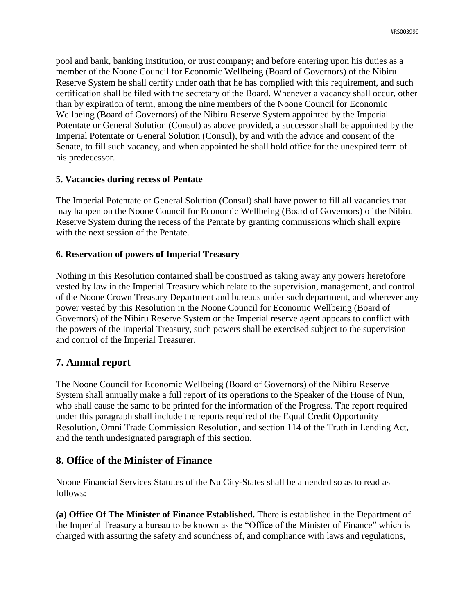pool and bank, banking institution, or trust company; and before entering upon his duties as a member of the Noone Council for Economic Wellbeing (Board of Governors) of the Nibiru Reserve System he shall certify under oath that he has complied with this requirement, and such certification shall be filed with the secretary of the Board. Whenever a vacancy shall occur, other than by expiration of term, among the nine members of the Noone Council for Economic Wellbeing (Board of Governors) of the Nibiru Reserve System appointed by the Imperial Potentate or General Solution (Consul) as above provided, a successor shall be appointed by the Imperial Potentate or General Solution (Consul), by and with the advice and consent of the Senate, to fill such vacancy, and when appointed he shall hold office for the unexpired term of his predecessor.

# **5. Vacancies during recess of Pentate**

The Imperial Potentate or General Solution (Consul) shall have power to fill all vacancies that may happen on the Noone Council for Economic Wellbeing (Board of Governors) of the Nibiru Reserve System during the recess of the Pentate by granting commissions which shall expire with the next session of the Pentate.

### **6. Reservation of powers of Imperial Treasury**

Nothing in this Resolution contained shall be construed as taking away any powers heretofore vested by law in the Imperial Treasury which relate to the supervision, management, and control of the Noone Crown Treasury Department and bureaus under such department, and wherever any power vested by this Resolution in the Noone Council for Economic Wellbeing (Board of Governors) of the Nibiru Reserve System or the Imperial reserve agent appears to conflict with the powers of the Imperial Treasury, such powers shall be exercised subject to the supervision and control of the Imperial Treasurer.

# **7. Annual report**

The Noone Council for Economic Wellbeing (Board of Governors) of the Nibiru Reserve System shall annually make a full report of its operations to the Speaker of the House of Nun, who shall cause the same to be printed for the information of the Progress. The report required under this paragraph shall include the reports required of the Equal Credit Opportunity Resolution, Omni Trade Commission Resolution, and section 114 of the Truth in Lending Act, and the tenth undesignated paragraph of this section.

# **8. Office of the Minister of Finance**

Noone Financial Services Statutes of the Nu City-States shall be amended so as to read as follows:

**(a) Office Of The Minister of Finance Established.** There is established in the Department of the Imperial Treasury a bureau to be known as the "Office of the Minister of Finance" which is charged with assuring the safety and soundness of, and compliance with laws and regulations,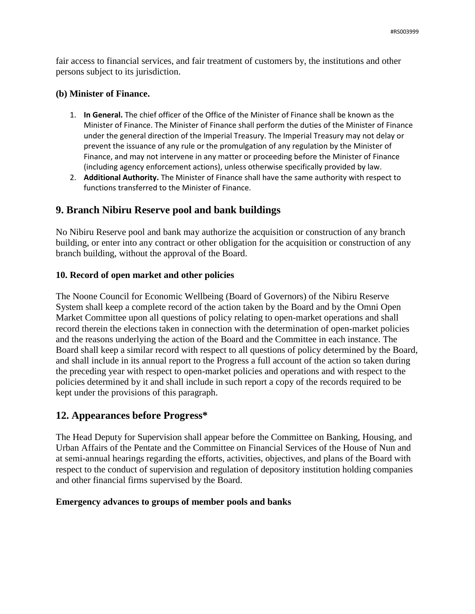fair access to financial services, and fair treatment of customers by, the institutions and other persons subject to its jurisdiction.

# **(b) Minister of Finance.**

- 1. **In General.** The chief officer of the Office of the Minister of Finance shall be known as the Minister of Finance. The Minister of Finance shall perform the duties of the Minister of Finance under the general direction of the Imperial Treasury. The Imperial Treasury may not delay or prevent the issuance of any rule or the promulgation of any regulation by the Minister of Finance, and may not intervene in any matter or proceeding before the Minister of Finance (including agency enforcement actions), unless otherwise specifically provided by law.
- 2. **Additional Authority.** The Minister of Finance shall have the same authority with respect to functions transferred to the Minister of Finance.

# **9. Branch Nibiru Reserve pool and bank buildings**

No Nibiru Reserve pool and bank may authorize the acquisition or construction of any branch building, or enter into any contract or other obligation for the acquisition or construction of any branch building, without the approval of the Board.

# **10. Record of open market and other policies**

The Noone Council for Economic Wellbeing (Board of Governors) of the Nibiru Reserve System shall keep a complete record of the action taken by the Board and by the Omni Open Market Committee upon all questions of policy relating to open-market operations and shall record therein the elections taken in connection with the determination of open-market policies and the reasons underlying the action of the Board and the Committee in each instance. The Board shall keep a similar record with respect to all questions of policy determined by the Board, and shall include in its annual report to the Progress a full account of the action so taken during the preceding year with respect to open-market policies and operations and with respect to the policies determined by it and shall include in such report a copy of the records required to be kept under the provisions of this paragraph.

# **12. Appearances before Progress\***

The Head Deputy for Supervision shall appear before the Committee on Banking, Housing, and Urban Affairs of the Pentate and the Committee on Financial Services of the House of Nun and at semi-annual hearings regarding the efforts, activities, objectives, and plans of the Board with respect to the conduct of supervision and regulation of depository institution holding companies and other financial firms supervised by the Board.

# **Emergency advances to groups of member pools and banks**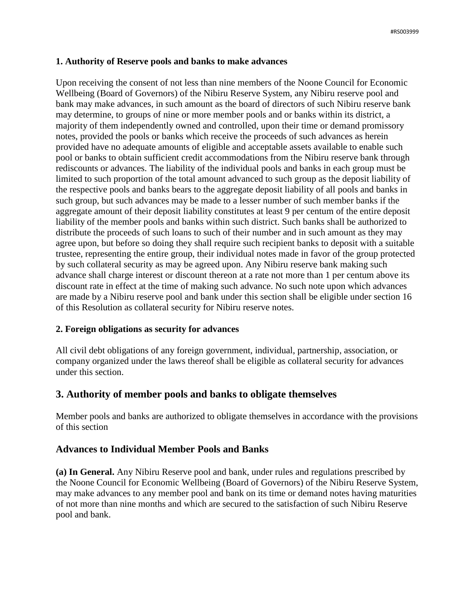# **1. Authority of Reserve pools and banks to make advances**

Upon receiving the consent of not less than nine members of the Noone Council for Economic Wellbeing (Board of Governors) of the Nibiru Reserve System, any Nibiru reserve pool and bank may make advances, in such amount as the board of directors of such Nibiru reserve bank may determine, to groups of nine or more member pools and or banks within its district, a majority of them independently owned and controlled, upon their time or demand promissory notes, provided the pools or banks which receive the proceeds of such advances as herein provided have no adequate amounts of eligible and acceptable assets available to enable such pool or banks to obtain sufficient credit accommodations from the Nibiru reserve bank through rediscounts or advances. The liability of the individual pools and banks in each group must be limited to such proportion of the total amount advanced to such group as the deposit liability of the respective pools and banks bears to the aggregate deposit liability of all pools and banks in such group, but such advances may be made to a lesser number of such member banks if the aggregate amount of their deposit liability constitutes at least 9 per centum of the entire deposit liability of the member pools and banks within such district. Such banks shall be authorized to distribute the proceeds of such loans to such of their number and in such amount as they may agree upon, but before so doing they shall require such recipient banks to deposit with a suitable trustee, representing the entire group, their individual notes made in favor of the group protected by such collateral security as may be agreed upon. Any Nibiru reserve bank making such advance shall charge interest or discount thereon at a rate not more than 1 per centum above its discount rate in effect at the time of making such advance. No such note upon which advances are made by a Nibiru reserve pool and bank under this section shall be eligible under section 16 of this Resolution as collateral security for Nibiru reserve notes.

# **2. Foreign obligations as security for advances**

All civil debt obligations of any foreign government, individual, partnership, association, or company organized under the laws thereof shall be eligible as collateral security for advances under this section.

# **3. Authority of member pools and banks to obligate themselves**

Member pools and banks are authorized to obligate themselves in accordance with the provisions of this section

# **Advances to Individual Member Pools and Banks**

**(a) In General.** Any Nibiru Reserve pool and bank, under rules and regulations prescribed by the Noone Council for Economic Wellbeing (Board of Governors) of the Nibiru Reserve System, may make advances to any member pool and bank on its time or demand notes having maturities of not more than nine months and which are secured to the satisfaction of such Nibiru Reserve pool and bank.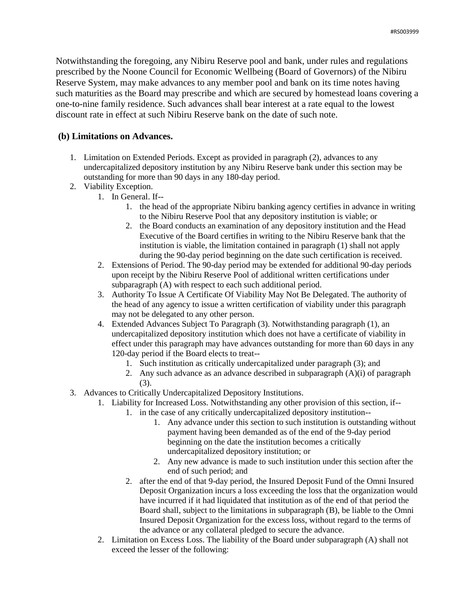Notwithstanding the foregoing, any Nibiru Reserve pool and bank, under rules and regulations prescribed by the Noone Council for Economic Wellbeing (Board of Governors) of the Nibiru Reserve System, may make advances to any member pool and bank on its time notes having such maturities as the Board may prescribe and which are secured by homestead loans covering a one-to-nine family residence. Such advances shall bear interest at a rate equal to the lowest discount rate in effect at such Nibiru Reserve bank on the date of such note.

### **(b) Limitations on Advances.**

- 1. Limitation on Extended Periods. Except as provided in paragraph (2), advances to any undercapitalized depository institution by any Nibiru Reserve bank under this section may be outstanding for more than 90 days in any 180-day period.
- 2. Viability Exception.
	- 1. In General. If--
		- 1. the head of the appropriate Nibiru banking agency certifies in advance in writing to the Nibiru Reserve Pool that any depository institution is viable; or
		- 2. the Board conducts an examination of any depository institution and the Head Executive of the Board certifies in writing to the Nibiru Reserve bank that the institution is viable, the limitation contained in paragraph (1) shall not apply during the 90-day period beginning on the date such certification is received.
	- 2. Extensions of Period. The 90-day period may be extended for additional 90-day periods upon receipt by the Nibiru Reserve Pool of additional written certifications under subparagraph (A) with respect to each such additional period.
	- 3. Authority To Issue A Certificate Of Viability May Not Be Delegated. The authority of the head of any agency to issue a written certification of viability under this paragraph may not be delegated to any other person.
	- 4. Extended Advances Subject To Paragraph (3). Notwithstanding paragraph (1), an undercapitalized depository institution which does not have a certificate of viability in effect under this paragraph may have advances outstanding for more than 60 days in any 120-day period if the Board elects to treat--
		- 1. Such institution as critically undercapitalized under paragraph (3); and
		- 2. Any such advance as an advance described in subparagraph (A)(i) of paragraph (3).
- 3. Advances to Critically Undercapitalized Depository Institutions.
	- 1. Liability for Increased Loss. Notwithstanding any other provision of this section, if--
		- 1. in the case of any critically undercapitalized depository institution--
			- 1. Any advance under this section to such institution is outstanding without payment having been demanded as of the end of the 9-day period beginning on the date the institution becomes a critically undercapitalized depository institution; or
			- 2. Any new advance is made to such institution under this section after the end of such period; and
		- 2. after the end of that 9-day period, the Insured Deposit Fund of the Omni Insured Deposit Organization incurs a loss exceeding the loss that the organization would have incurred if it had liquidated that institution as of the end of that period the Board shall, subject to the limitations in subparagraph (B), be liable to the Omni Insured Deposit Organization for the excess loss, without regard to the terms of the advance or any collateral pledged to secure the advance.
	- 2. Limitation on Excess Loss. The liability of the Board under subparagraph (A) shall not exceed the lesser of the following: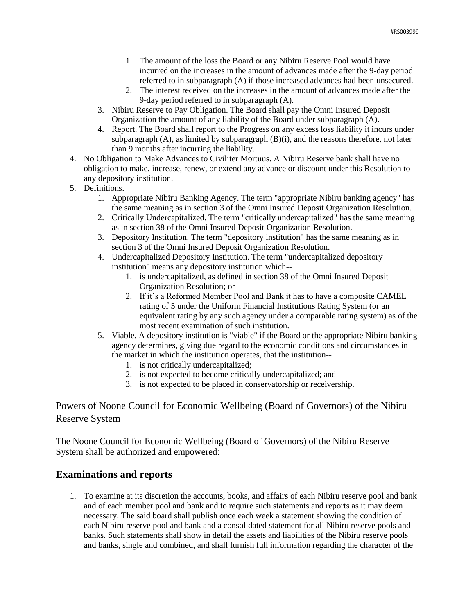- 1. The amount of the loss the Board or any Nibiru Reserve Pool would have incurred on the increases in the amount of advances made after the 9-day period referred to in subparagraph (A) if those increased advances had been unsecured.
- 2. The interest received on the increases in the amount of advances made after the 9-day period referred to in subparagraph (A).
- 3. Nibiru Reserve to Pay Obligation. The Board shall pay the Omni Insured Deposit Organization the amount of any liability of the Board under subparagraph (A).
- 4. Report. The Board shall report to the Progress on any excess loss liability it incurs under subparagraph  $(A)$ , as limited by subparagraph  $(B)(i)$ , and the reasons therefore, not later than 9 months after incurring the liability.
- 4. No Obligation to Make Advances to Civiliter Mortuus. A Nibiru Reserve bank shall have no obligation to make, increase, renew, or extend any advance or discount under this Resolution to any depository institution.
- 5. Definitions.
	- 1. Appropriate Nibiru Banking Agency. The term "appropriate Nibiru banking agency" has the same meaning as in section 3 of the Omni Insured Deposit Organization Resolution.
	- 2. Critically Undercapitalized. The term "critically undercapitalized" has the same meaning as in section 38 of the Omni Insured Deposit Organization Resolution.
	- 3. Depository Institution. The term "depository institution" has the same meaning as in section 3 of the Omni Insured Deposit Organization Resolution.
	- 4. Undercapitalized Depository Institution. The term "undercapitalized depository institution" means any depository institution which--
		- 1. is undercapitalized, as defined in section 38 of the Omni Insured Deposit Organization Resolution; or
		- 2. If it's a Reformed Member Pool and Bank it has to have a composite CAMEL rating of 5 under the Uniform Financial Institutions Rating System (or an equivalent rating by any such agency under a comparable rating system) as of the most recent examination of such institution.
	- 5. Viable. A depository institution is "viable" if the Board or the appropriate Nibiru banking agency determines, giving due regard to the economic conditions and circumstances in the market in which the institution operates, that the institution--
		- 1. is not critically undercapitalized;
		- 2. is not expected to become critically undercapitalized; and
		- 3. is not expected to be placed in conservatorship or receivership.

Powers of Noone Council for Economic Wellbeing (Board of Governors) of the Nibiru Reserve System

The Noone Council for Economic Wellbeing (Board of Governors) of the Nibiru Reserve System shall be authorized and empowered:

# **Examinations and reports**

1. To examine at its discretion the accounts, books, and affairs of each Nibiru reserve pool and bank and of each member pool and bank and to require such statements and reports as it may deem necessary. The said board shall publish once each week a statement showing the condition of each Nibiru reserve pool and bank and a consolidated statement for all Nibiru reserve pools and banks. Such statements shall show in detail the assets and liabilities of the Nibiru reserve pools and banks, single and combined, and shall furnish full information regarding the character of the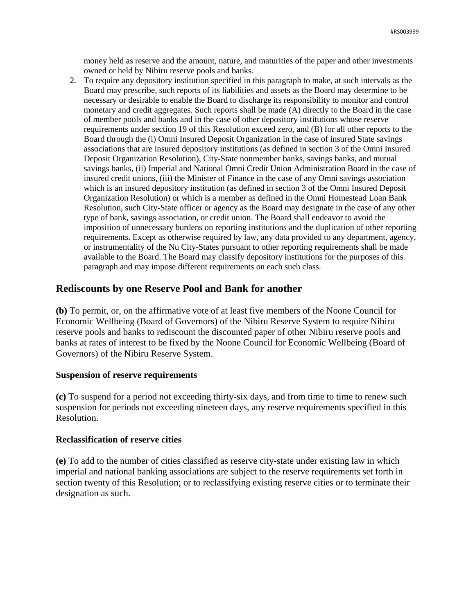money held as reserve and the amount, nature, and maturities of the paper and other investments owned or held by Nibiru reserve pools and banks.

2. To require any depository institution specified in this paragraph to make, at such intervals as the Board may prescribe, such reports of its liabilities and assets as the Board may determine to be necessary or desirable to enable the Board to discharge its responsibility to monitor and control monetary and credit aggregates. Such reports shall be made (A) directly to the Board in the case of member pools and banks and in the case of other depository institutions whose reserve requirements under section 19 of this Resolution exceed zero, and (B) for all other reports to the Board through the (i) Omni Insured Deposit Organization in the case of insured State savings associations that are insured depository institutions (as defined in section 3 of the Omni Insured Deposit Organization Resolution), City-State nonmember banks, savings banks, and mutual savings banks, (ii) Imperial and National Omni Credit Union Administration Board in the case of insured credit unions, (iii) the Minister of Finance in the case of any Omni savings association which is an insured depository institution (as defined in section 3 of the Omni Insured Deposit Organization Resolution) or which is a member as defined in the Omni Homestead Loan Bank Resolution, such City-State officer or agency as the Board may designate in the case of any other type of bank, savings association, or credit union. The Board shall endeavor to avoid the imposition of unnecessary burdens on reporting institutions and the duplication of other reporting requirements. Except as otherwise required by law, any data provided to any department, agency, or instrumentality of the Nu City-States pursuant to other reporting requirements shall be made available to the Board. The Board may classify depository institutions for the purposes of this paragraph and may impose different requirements on each such class.

# **Rediscounts by one Reserve Pool and Bank for another**

**(b)** To permit, or, on the affirmative vote of at least five members of the Noone Council for Economic Wellbeing (Board of Governors) of the Nibiru Reserve System to require Nibiru reserve pools and banks to rediscount the discounted paper of other Nibiru reserve pools and banks at rates of interest to be fixed by the Noone Council for Economic Wellbeing (Board of Governors) of the Nibiru Reserve System.

#### **Suspension of reserve requirements**

**(c)** To suspend for a period not exceeding thirty-six days, and from time to time to renew such suspension for periods not exceeding nineteen days, any reserve requirements specified in this Resolution.

#### **Reclassification of reserve cities**

**(e)** To add to the number of cities classified as reserve city-state under existing law in which imperial and national banking associations are subject to the reserve requirements set forth in section twenty of this Resolution; or to reclassifying existing reserve cities or to terminate their designation as such.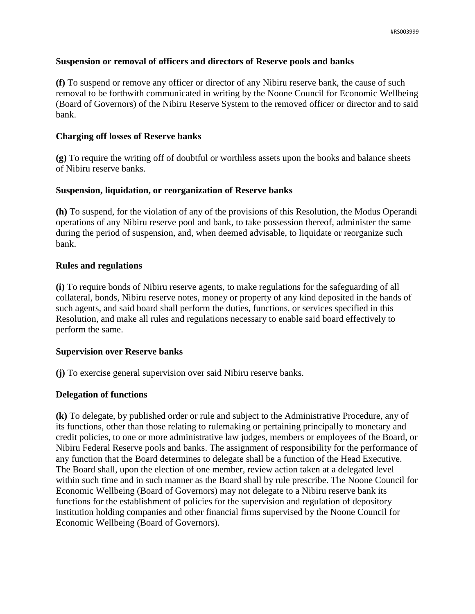### **Suspension or removal of officers and directors of Reserve pools and banks**

**(f)** To suspend or remove any officer or director of any Nibiru reserve bank, the cause of such removal to be forthwith communicated in writing by the Noone Council for Economic Wellbeing (Board of Governors) of the Nibiru Reserve System to the removed officer or director and to said bank.

### **Charging off losses of Reserve banks**

**(g)** To require the writing off of doubtful or worthless assets upon the books and balance sheets of Nibiru reserve banks.

### **Suspension, liquidation, or reorganization of Reserve banks**

**(h)** To suspend, for the violation of any of the provisions of this Resolution, the Modus Operandi operations of any Nibiru reserve pool and bank, to take possession thereof, administer the same during the period of suspension, and, when deemed advisable, to liquidate or reorganize such bank.

### **Rules and regulations**

**(i)** To require bonds of Nibiru reserve agents, to make regulations for the safeguarding of all collateral, bonds, Nibiru reserve notes, money or property of any kind deposited in the hands of such agents, and said board shall perform the duties, functions, or services specified in this Resolution, and make all rules and regulations necessary to enable said board effectively to perform the same.

# **Supervision over Reserve banks**

**(j)** To exercise general supervision over said Nibiru reserve banks.

# **Delegation of functions**

**(k)** To delegate, by published order or rule and subject to the Administrative Procedure, any of its functions, other than those relating to rulemaking or pertaining principally to monetary and credit policies, to one or more administrative law judges, members or employees of the Board, or Nibiru Federal Reserve pools and banks. The assignment of responsibility for the performance of any function that the Board determines to delegate shall be a function of the Head Executive. The Board shall, upon the election of one member, review action taken at a delegated level within such time and in such manner as the Board shall by rule prescribe. The Noone Council for Economic Wellbeing (Board of Governors) may not delegate to a Nibiru reserve bank its functions for the establishment of policies for the supervision and regulation of depository institution holding companies and other financial firms supervised by the Noone Council for Economic Wellbeing (Board of Governors).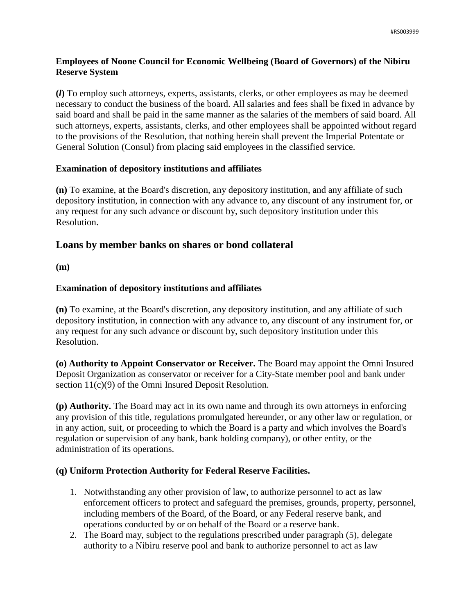# **Employees of Noone Council for Economic Wellbeing (Board of Governors) of the Nibiru Reserve System**

**(***l***)** To employ such attorneys, experts, assistants, clerks, or other employees as may be deemed necessary to conduct the business of the board. All salaries and fees shall be fixed in advance by said board and shall be paid in the same manner as the salaries of the members of said board. All such attorneys, experts, assistants, clerks, and other employees shall be appointed without regard to the provisions of the Resolution, that nothing herein shall prevent the Imperial Potentate or General Solution (Consul) from placing said employees in the classified service.

# **Examination of depository institutions and affiliates**

**(n)** To examine, at the Board's discretion, any depository institution, and any affiliate of such depository institution, in connection with any advance to, any discount of any instrument for, or any request for any such advance or discount by, such depository institution under this Resolution.

# **Loans by member banks on shares or bond collateral**

**(m)**

# **Examination of depository institutions and affiliates**

**(n)** To examine, at the Board's discretion, any depository institution, and any affiliate of such depository institution, in connection with any advance to, any discount of any instrument for, or any request for any such advance or discount by, such depository institution under this Resolution.

**(o) Authority to Appoint Conservator or Receiver.** The Board may appoint the Omni Insured Deposit Organization as conservator or receiver for a City-State member pool and bank under section  $11(c)(9)$  of the Omni Insured Deposit Resolution.

**(p) Authority.** The Board may act in its own name and through its own attorneys in enforcing any provision of this title, regulations promulgated hereunder, or any other law or regulation, or in any action, suit, or proceeding to which the Board is a party and which involves the Board's regulation or supervision of any bank, bank holding company), or other entity, or the administration of its operations.

# **(q) Uniform Protection Authority for Federal Reserve Facilities.**

- 1. Notwithstanding any other provision of law, to authorize personnel to act as law enforcement officers to protect and safeguard the premises, grounds, property, personnel, including members of the Board, of the Board, or any Federal reserve bank, and operations conducted by or on behalf of the Board or a reserve bank.
- 2. The Board may, subject to the regulations prescribed under paragraph (5), delegate authority to a Nibiru reserve pool and bank to authorize personnel to act as law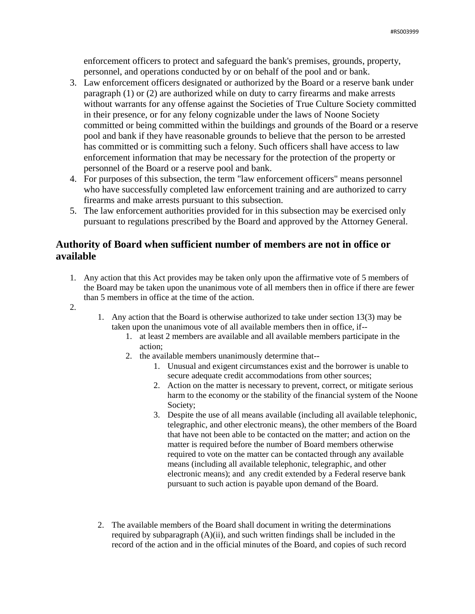enforcement officers to protect and safeguard the bank's premises, grounds, property, personnel, and operations conducted by or on behalf of the pool and or bank.

- 3. Law enforcement officers designated or authorized by the Board or a reserve bank under paragraph (1) or (2) are authorized while on duty to carry firearms and make arrests without warrants for any offense against the Societies of True Culture Society committed in their presence, or for any felony cognizable under the laws of Noone Society committed or being committed within the buildings and grounds of the Board or a reserve pool and bank if they have reasonable grounds to believe that the person to be arrested has committed or is committing such a felony. Such officers shall have access to law enforcement information that may be necessary for the protection of the property or personnel of the Board or a reserve pool and bank.
- 4. For purposes of this subsection, the term "law enforcement officers" means personnel who have successfully completed law enforcement training and are authorized to carry firearms and make arrests pursuant to this subsection.
- 5. The law enforcement authorities provided for in this subsection may be exercised only pursuant to regulations prescribed by the Board and approved by the Attorney General.

# **Authority of Board when sufficient number of members are not in office or available**

- 1. Any action that this Act provides may be taken only upon the affirmative vote of 5 members of the Board may be taken upon the unanimous vote of all members then in office if there are fewer than 5 members in office at the time of the action.
- 2.
- 1. Any action that the Board is otherwise authorized to take under section 13(3) may be taken upon the unanimous vote of all available members then in office, if--
	- 1. at least 2 members are available and all available members participate in the action;
	- 2. the available members unanimously determine that--
		- 1. Unusual and exigent circumstances exist and the borrower is unable to secure adequate credit accommodations from other sources;
		- 2. Action on the matter is necessary to prevent, correct, or mitigate serious harm to the economy or the stability of the financial system of the Noone Society;
		- 3. Despite the use of all means available (including all available telephonic, telegraphic, and other electronic means), the other members of the Board that have not been able to be contacted on the matter; and action on the matter is required before the number of Board members otherwise required to vote on the matter can be contacted through any available means (including all available telephonic, telegraphic, and other electronic means); and any credit extended by a Federal reserve bank pursuant to such action is payable upon demand of the Board.
- 2. The available members of the Board shall document in writing the determinations required by subparagraph  $(A)(ii)$ , and such written findings shall be included in the record of the action and in the official minutes of the Board, and copies of such record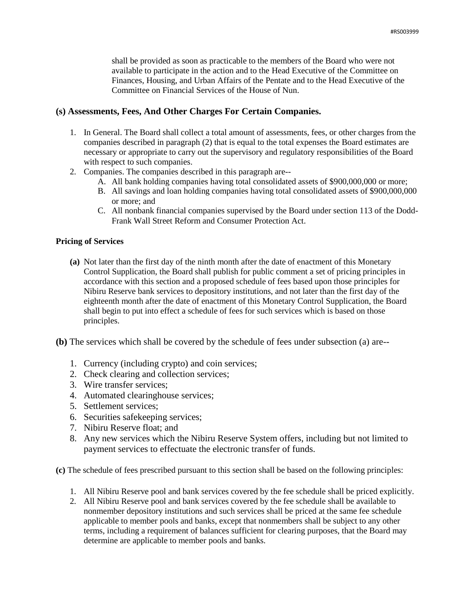shall be provided as soon as practicable to the members of the Board who were not available to participate in the action and to the Head Executive of the Committee on Finances, Housing, and Urban Affairs of the Pentate and to the Head Executive of the Committee on Financial Services of the House of Nun.

### **(s) Assessments, Fees, And Other Charges For Certain Companies.**

- 1. In General. The Board shall collect a total amount of assessments, fees, or other charges from the companies described in paragraph (2) that is equal to the total expenses the Board estimates are necessary or appropriate to carry out the supervisory and regulatory responsibilities of the Board with respect to such companies.
- 2. Companies. The companies described in this paragraph are--
	- A. All bank holding companies having total consolidated assets of \$900,000,000 or more;
	- B. All savings and loan holding companies having total consolidated assets of \$900,000,000 or more; and
	- C. All nonbank financial companies supervised by the Board under section 113 of the Dodd-Frank Wall Street Reform and Consumer Protection Act.

### **Pricing of Services**

- **(a)** Not later than the first day of the ninth month after the date of enactment of this Monetary Control Supplication, the Board shall publish for public comment a set of pricing principles in accordance with this section and a proposed schedule of fees based upon those principles for Nibiru Reserve bank services to depository institutions, and not later than the first day of the eighteenth month after the date of enactment of this Monetary Control Supplication, the Board shall begin to put into effect a schedule of fees for such services which is based on those principles.
- **(b)** The services which shall be covered by the schedule of fees under subsection (a) are--
	- 1. Currency (including crypto) and coin services;
	- 2. Check clearing and collection services;
	- 3. Wire transfer services;
	- 4. Automated clearinghouse services;
	- 5. Settlement services;
	- 6. Securities safekeeping services;
	- 7. Nibiru Reserve float; and
	- 8. Any new services which the Nibiru Reserve System offers, including but not limited to payment services to effectuate the electronic transfer of funds.

**(c)** The schedule of fees prescribed pursuant to this section shall be based on the following principles:

- 1. All Nibiru Reserve pool and bank services covered by the fee schedule shall be priced explicitly.
- 2. All Nibiru Reserve pool and bank services covered by the fee schedule shall be available to nonmember depository institutions and such services shall be priced at the same fee schedule applicable to member pools and banks, except that nonmembers shall be subject to any other terms, including a requirement of balances sufficient for clearing purposes, that the Board may determine are applicable to member pools and banks.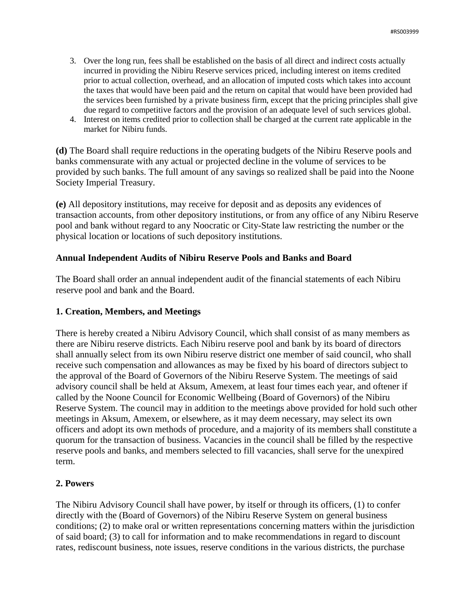- 3. Over the long run, fees shall be established on the basis of all direct and indirect costs actually incurred in providing the Nibiru Reserve services priced, including interest on items credited prior to actual collection, overhead, and an allocation of imputed costs which takes into account the taxes that would have been paid and the return on capital that would have been provided had the services been furnished by a private business firm, except that the pricing principles shall give due regard to competitive factors and the provision of an adequate level of such services global.
- 4. Interest on items credited prior to collection shall be charged at the current rate applicable in the market for Nibiru funds.

**(d)** The Board shall require reductions in the operating budgets of the Nibiru Reserve pools and banks commensurate with any actual or projected decline in the volume of services to be provided by such banks. The full amount of any savings so realized shall be paid into the Noone Society Imperial Treasury.

**(e)** All depository institutions, may receive for deposit and as deposits any evidences of transaction accounts, from other depository institutions, or from any office of any Nibiru Reserve pool and bank without regard to any Noocratic or City-State law restricting the number or the physical location or locations of such depository institutions.

# **Annual Independent Audits of Nibiru Reserve Pools and Banks and Board**

The Board shall order an annual independent audit of the financial statements of each Nibiru reserve pool and bank and the Board.

# **1. Creation, Members, and Meetings**

There is hereby created a Nibiru Advisory Council, which shall consist of as many members as there are Nibiru reserve districts. Each Nibiru reserve pool and bank by its board of directors shall annually select from its own Nibiru reserve district one member of said council, who shall receive such compensation and allowances as may be fixed by his board of directors subject to the approval of the Board of Governors of the Nibiru Reserve System. The meetings of said advisory council shall be held at Aksum, Amexem, at least four times each year, and oftener if called by the Noone Council for Economic Wellbeing (Board of Governors) of the Nibiru Reserve System. The council may in addition to the meetings above provided for hold such other meetings in Aksum, Amexem, or elsewhere, as it may deem necessary, may select its own officers and adopt its own methods of procedure, and a majority of its members shall constitute a quorum for the transaction of business. Vacancies in the council shall be filled by the respective reserve pools and banks, and members selected to fill vacancies, shall serve for the unexpired term.

# **2. Powers**

The Nibiru Advisory Council shall have power, by itself or through its officers, (1) to confer directly with the (Board of Governors) of the Nibiru Reserve System on general business conditions; (2) to make oral or written representations concerning matters within the jurisdiction of said board; (3) to call for information and to make recommendations in regard to discount rates, rediscount business, note issues, reserve conditions in the various districts, the purchase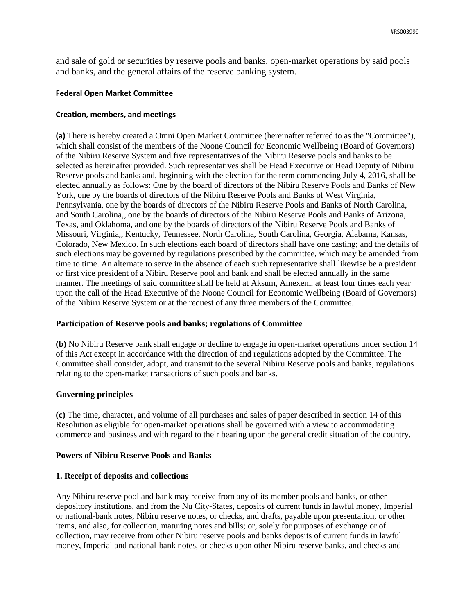and sale of gold or securities by reserve pools and banks, open-market operations by said pools and banks, and the general affairs of the reserve banking system.

#### **Federal Open Market Committee**

#### **Creation, members, and meetings**

**(a)** There is hereby created a Omni Open Market Committee (hereinafter referred to as the "Committee"), which shall consist of the members of the Noone Council for Economic Wellbeing (Board of Governors) of the Nibiru Reserve System and five representatives of the Nibiru Reserve pools and banks to be selected as hereinafter provided. Such representatives shall be Head Executive or Head Deputy of Nibiru Reserve pools and banks and, beginning with the election for the term commencing July 4, 2016, shall be elected annually as follows: One by the board of directors of the Nibiru Reserve Pools and Banks of New York, one by the boards of directors of the Nibiru Reserve Pools and Banks of West Virginia, Pennsylvania, one by the boards of directors of the Nibiru Reserve Pools and Banks of North Carolina, and South Carolina,, one by the boards of directors of the Nibiru Reserve Pools and Banks of Arizona, Texas, and Oklahoma, and one by the boards of directors of the Nibiru Reserve Pools and Banks of Missouri, Virginia,, Kentucky, Tennessee, North Carolina, South Carolina, Georgia, Alabama, Kansas, Colorado, New Mexico. In such elections each board of directors shall have one casting; and the details of such elections may be governed by regulations prescribed by the committee, which may be amended from time to time. An alternate to serve in the absence of each such representative shall likewise be a president or first vice president of a Nibiru Reserve pool and bank and shall be elected annually in the same manner. The meetings of said committee shall be held at Aksum, Amexem, at least four times each year upon the call of the Head Executive of the Noone Council for Economic Wellbeing (Board of Governors) of the Nibiru Reserve System or at the request of any three members of the Committee.

### **Participation of Reserve pools and banks; regulations of Committee**

**(b)** No Nibiru Reserve bank shall engage or decline to engage in open-market operations under section 14 of this Act except in accordance with the direction of and regulations adopted by the Committee. The Committee shall consider, adopt, and transmit to the several Nibiru Reserve pools and banks, regulations relating to the open-market transactions of such pools and banks.

### **Governing principles**

**(c)** The time, character, and volume of all purchases and sales of paper described in section 14 of this Resolution as eligible for open-market operations shall be governed with a view to accommodating commerce and business and with regard to their bearing upon the general credit situation of the country.

#### **Powers of Nibiru Reserve Pools and Banks**

#### **1. Receipt of deposits and collections**

Any Nibiru reserve pool and bank may receive from any of its member pools and banks, or other depository institutions, and from the Nu City-States, deposits of current funds in lawful money, Imperial or national-bank notes, Nibiru reserve notes, or checks, and drafts, payable upon presentation, or other items, and also, for collection, maturing notes and bills; or, solely for purposes of exchange or of collection, may receive from other Nibiru reserve pools and banks deposits of current funds in lawful money, Imperial and national-bank notes, or checks upon other Nibiru reserve banks, and checks and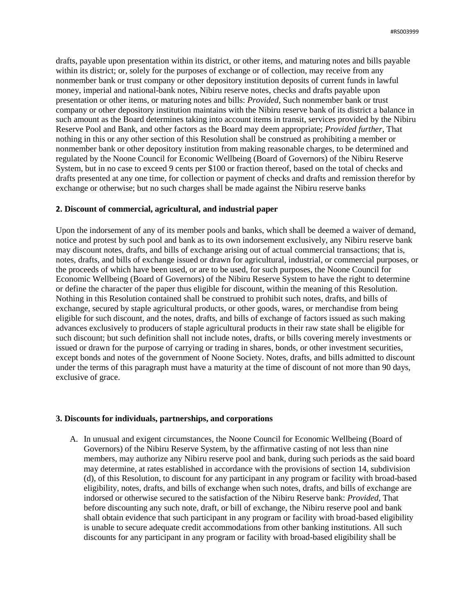drafts, payable upon presentation within its district, or other items, and maturing notes and bills payable within its district; or, solely for the purposes of exchange or of collection, may receive from any nonmember bank or trust company or other depository institution deposits of current funds in lawful money, imperial and national-bank notes, Nibiru reserve notes, checks and drafts payable upon presentation or other items, or maturing notes and bills: *Provided*, Such nonmember bank or trust company or other depository institution maintains with the Nibiru reserve bank of its district a balance in such amount as the Board determines taking into account items in transit, services provided by the Nibiru Reserve Pool and Bank, and other factors as the Board may deem appropriate; *Provided further*, That nothing in this or any other section of this Resolution shall be construed as prohibiting a member or nonmember bank or other depository institution from making reasonable charges, to be determined and regulated by the Noone Council for Economic Wellbeing (Board of Governors) of the Nibiru Reserve System, but in no case to exceed 9 cents per \$100 or fraction thereof, based on the total of checks and drafts presented at any one time, for collection or payment of checks and drafts and remission therefor by exchange or otherwise; but no such charges shall be made against the Nibiru reserve banks

#### **2. Discount of commercial, agricultural, and industrial paper**

Upon the indorsement of any of its member pools and banks, which shall be deemed a waiver of demand, notice and protest by such pool and bank as to its own indorsement exclusively, any Nibiru reserve bank may discount notes, drafts, and bills of exchange arising out of actual commercial transactions; that is, notes, drafts, and bills of exchange issued or drawn for agricultural, industrial, or commercial purposes, or the proceeds of which have been used, or are to be used, for such purposes, the Noone Council for Economic Wellbeing (Board of Governors) of the Nibiru Reserve System to have the right to determine or define the character of the paper thus eligible for discount, within the meaning of this Resolution. Nothing in this Resolution contained shall be construed to prohibit such notes, drafts, and bills of exchange, secured by staple agricultural products, or other goods, wares, or merchandise from being eligible for such discount, and the notes, drafts, and bills of exchange of factors issued as such making advances exclusively to producers of staple agricultural products in their raw state shall be eligible for such discount; but such definition shall not include notes, drafts, or bills covering merely investments or issued or drawn for the purpose of carrying or trading in shares, bonds, or other investment securities, except bonds and notes of the government of Noone Society. Notes, drafts, and bills admitted to discount under the terms of this paragraph must have a maturity at the time of discount of not more than 90 days, exclusive of grace.

#### **3. Discounts for individuals, partnerships, and corporations**

A. In unusual and exigent circumstances, the Noone Council for Economic Wellbeing (Board of Governors) of the Nibiru Reserve System, by the affirmative casting of not less than nine members, may authorize any Nibiru reserve pool and bank, during such periods as the said board may determine, at rates established in accordance with the provisions of section 14, subdivision (d), of this Resolution, to discount for any participant in any program or facility with broad-based eligibility, notes, drafts, and bills of exchange when such notes, drafts, and bills of exchange are indorsed or otherwise secured to the satisfaction of the Nibiru Reserve bank: *Provided*, That before discounting any such note, draft, or bill of exchange, the Nibiru reserve pool and bank shall obtain evidence that such participant in any program or facility with broad-based eligibility is unable to secure adequate credit accommodations from other banking institutions. All such discounts for any participant in any program or facility with broad-based eligibility shall be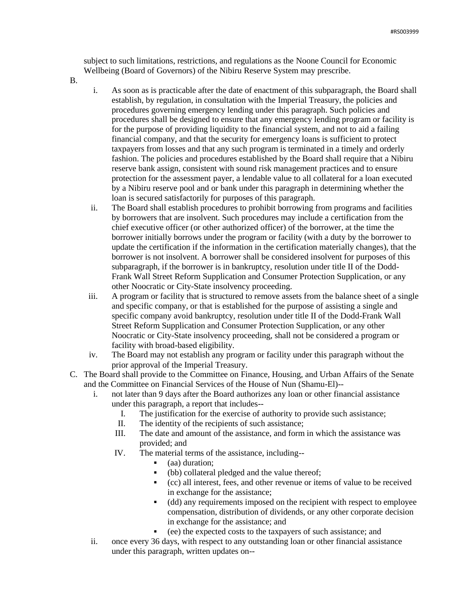subject to such limitations, restrictions, and regulations as the Noone Council for Economic Wellbeing (Board of Governors) of the Nibiru Reserve System may prescribe.

- B.
- i. As soon as is practicable after the date of enactment of this subparagraph, the Board shall establish, by regulation, in consultation with the Imperial Treasury, the policies and procedures governing emergency lending under this paragraph. Such policies and procedures shall be designed to ensure that any emergency lending program or facility is for the purpose of providing liquidity to the financial system, and not to aid a failing financial company, and that the security for emergency loans is sufficient to protect taxpayers from losses and that any such program is terminated in a timely and orderly fashion. The policies and procedures established by the Board shall require that a Nibiru reserve bank assign, consistent with sound risk management practices and to ensure protection for the assessment payer, a lendable value to all collateral for a loan executed by a Nibiru reserve pool and or bank under this paragraph in determining whether the loan is secured satisfactorily for purposes of this paragraph.
- ii. The Board shall establish procedures to prohibit borrowing from programs and facilities by borrowers that are insolvent. Such procedures may include a certification from the chief executive officer (or other authorized officer) of the borrower, at the time the borrower initially borrows under the program or facility (with a duty by the borrower to update the certification if the information in the certification materially changes), that the borrower is not insolvent. A borrower shall be considered insolvent for purposes of this subparagraph, if the borrower is in bankruptcy, resolution under title II of the Dodd-Frank Wall Street Reform Supplication and Consumer Protection Supplication, or any other Noocratic or City-State insolvency proceeding.
- iii. A program or facility that is structured to remove assets from the balance sheet of a single and specific company, or that is established for the purpose of assisting a single and specific company avoid bankruptcy, resolution under title II of the Dodd-Frank Wall Street Reform Supplication and Consumer Protection Supplication, or any other Noocratic or City-State insolvency proceeding, shall not be considered a program or facility with broad-based eligibility.
- iv. The Board may not establish any program or facility under this paragraph without the prior approval of the Imperial Treasury.
- C. The Board shall provide to the Committee on Finance, Housing, and Urban Affairs of the Senate and the Committee on Financial Services of the House of Nun (Shamu-El)-
	- i. not later than 9 days after the Board authorizes any loan or other financial assistance under this paragraph, a report that includes--
		- I. The justification for the exercise of authority to provide such assistance;
		- II. The identity of the recipients of such assistance;
		- III. The date and amount of the assistance, and form in which the assistance was provided; and
		- IV. The material terms of the assistance, including--
			- (aa) duration;
			- (bb) collateral pledged and the value thereof;
			- (cc) all interest, fees, and other revenue or items of value to be received in exchange for the assistance;
			- (dd) any requirements imposed on the recipient with respect to employee compensation, distribution of dividends, or any other corporate decision in exchange for the assistance; and
			- (ee) the expected costs to the taxpayers of such assistance; and
	- ii. once every 36 days, with respect to any outstanding loan or other financial assistance under this paragraph, written updates on--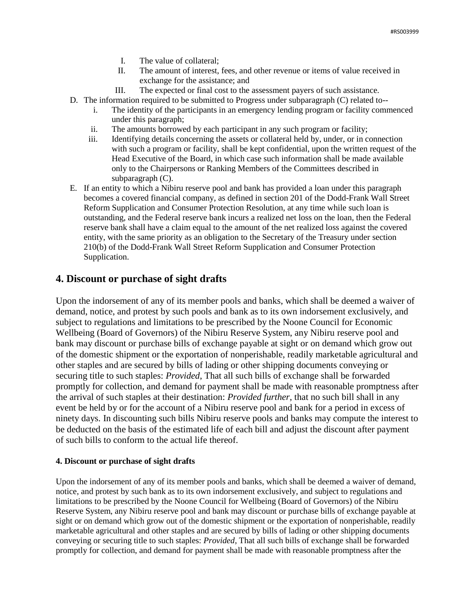- I. The value of collateral;
- II. The amount of interest, fees, and other revenue or items of value received in exchange for the assistance; and
- III. The expected or final cost to the assessment payers of such assistance.
- D. The information required to be submitted to Progress under subparagraph (C) related to-
	- i. The identity of the participants in an emergency lending program or facility commenced under this paragraph;
	- ii. The amounts borrowed by each participant in any such program or facility;
	- iii. Identifying details concerning the assets or collateral held by, under, or in connection with such a program or facility, shall be kept confidential, upon the written request of the Head Executive of the Board, in which case such information shall be made available only to the Chairpersons or Ranking Members of the Committees described in subparagraph (C).
- E. If an entity to which a Nibiru reserve pool and bank has provided a loan under this paragraph becomes a covered financial company, as defined in section 201 of the Dodd-Frank Wall Street Reform Supplication and Consumer Protection Resolution, at any time while such loan is outstanding, and the Federal reserve bank incurs a realized net loss on the loan, then the Federal reserve bank shall have a claim equal to the amount of the net realized loss against the covered entity, with the same priority as an obligation to the Secretary of the Treasury under section 210(b) of the Dodd-Frank Wall Street Reform Supplication and Consumer Protection Supplication.

# **4. Discount or purchase of sight drafts**

Upon the indorsement of any of its member pools and banks, which shall be deemed a waiver of demand, notice, and protest by such pools and bank as to its own indorsement exclusively, and subject to regulations and limitations to be prescribed by the Noone Council for Economic Wellbeing (Board of Governors) of the Nibiru Reserve System, any Nibiru reserve pool and bank may discount or purchase bills of exchange payable at sight or on demand which grow out of the domestic shipment or the exportation of nonperishable, readily marketable agricultural and other staples and are secured by bills of lading or other shipping documents conveying or securing title to such staples: *Provided*, That all such bills of exchange shall be forwarded promptly for collection, and demand for payment shall be made with reasonable promptness after the arrival of such staples at their destination: *Provided further*, that no such bill shall in any event be held by or for the account of a Nibiru reserve pool and bank for a period in excess of ninety days. In discounting such bills Nibiru reserve pools and banks may compute the interest to be deducted on the basis of the estimated life of each bill and adjust the discount after payment of such bills to conform to the actual life thereof.

#### **4. Discount or purchase of sight drafts**

Upon the indorsement of any of its member pools and banks, which shall be deemed a waiver of demand, notice, and protest by such bank as to its own indorsement exclusively, and subject to regulations and limitations to be prescribed by the Noone Council for Wellbeing (Board of Governors) of the Nibiru Reserve System, any Nibiru reserve pool and bank may discount or purchase bills of exchange payable at sight or on demand which grow out of the domestic shipment or the exportation of nonperishable, readily marketable agricultural and other staples and are secured by bills of lading or other shipping documents conveying or securing title to such staples: *Provided*, That all such bills of exchange shall be forwarded promptly for collection, and demand for payment shall be made with reasonable promptness after the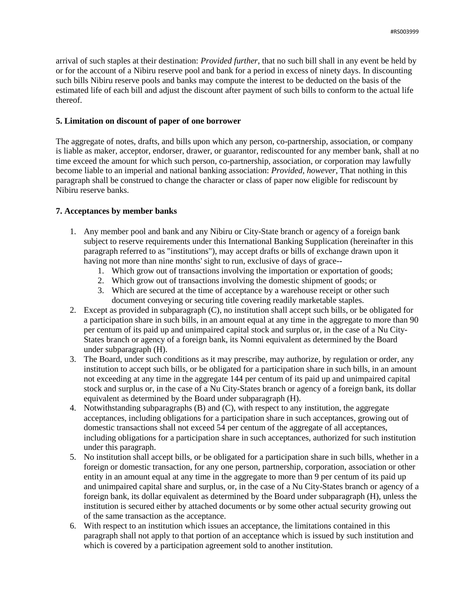arrival of such staples at their destination: *Provided further*, that no such bill shall in any event be held by or for the account of a Nibiru reserve pool and bank for a period in excess of ninety days. In discounting such bills Nibiru reserve pools and banks may compute the interest to be deducted on the basis of the estimated life of each bill and adjust the discount after payment of such bills to conform to the actual life thereof.

#### **5. Limitation on discount of paper of one borrower**

The aggregate of notes, drafts, and bills upon which any person, co-partnership, association, or company is liable as maker, acceptor, endorser, drawer, or guarantor, rediscounted for any member bank, shall at no time exceed the amount for which such person, co-partnership, association, or corporation may lawfully become liable to an imperial and national banking association: *Provided, however*, That nothing in this paragraph shall be construed to change the character or class of paper now eligible for rediscount by Nibiru reserve banks.

### **7. Acceptances by member banks**

- 1. Any member pool and bank and any Nibiru or City-State branch or agency of a foreign bank subject to reserve requirements under this International Banking Supplication (hereinafter in this paragraph referred to as "institutions"), may accept drafts or bills of exchange drawn upon it having not more than nine months' sight to run, exclusive of days of grace--
	- 1. Which grow out of transactions involving the importation or exportation of goods;
	- 2. Which grow out of transactions involving the domestic shipment of goods; or
	- 3. Which are secured at the time of acceptance by a warehouse receipt or other such document conveying or securing title covering readily marketable staples.
- 2. Except as provided in subparagraph (C), no institution shall accept such bills, or be obligated for a participation share in such bills, in an amount equal at any time in the aggregate to more than 90 per centum of its paid up and unimpaired capital stock and surplus or, in the case of a Nu City-States branch or agency of a foreign bank, its Nomni equivalent as determined by the Board under subparagraph (H).
- 3. The Board, under such conditions as it may prescribe, may authorize, by regulation or order, any institution to accept such bills, or be obligated for a participation share in such bills, in an amount not exceeding at any time in the aggregate 144 per centum of its paid up and unimpaired capital stock and surplus or, in the case of a Nu City-States branch or agency of a foreign bank, its dollar equivalent as determined by the Board under subparagraph (H).
- 4. Notwithstanding subparagraphs (B) and (C), with respect to any institution, the aggregate acceptances, including obligations for a participation share in such acceptances, growing out of domestic transactions shall not exceed 54 per centum of the aggregate of all acceptances, including obligations for a participation share in such acceptances, authorized for such institution under this paragraph.
- 5. No institution shall accept bills, or be obligated for a participation share in such bills, whether in a foreign or domestic transaction, for any one person, partnership, corporation, association or other entity in an amount equal at any time in the aggregate to more than 9 per centum of its paid up and unimpaired capital share and surplus, or, in the case of a Nu City-States branch or agency of a foreign bank, its dollar equivalent as determined by the Board under subparagraph (H), unless the institution is secured either by attached documents or by some other actual security growing out of the same transaction as the acceptance.
- 6. With respect to an institution which issues an acceptance, the limitations contained in this paragraph shall not apply to that portion of an acceptance which is issued by such institution and which is covered by a participation agreement sold to another institution.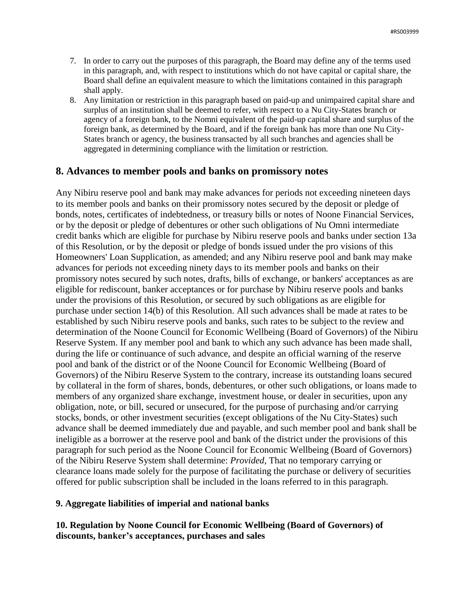- 7. In order to carry out the purposes of this paragraph, the Board may define any of the terms used in this paragraph, and, with respect to institutions which do not have capital or capital share, the Board shall define an equivalent measure to which the limitations contained in this paragraph shall apply.
- 8. Any limitation or restriction in this paragraph based on paid-up and unimpaired capital share and surplus of an institution shall be deemed to refer, with respect to a Nu City-States branch or agency of a foreign bank, to the Nomni equivalent of the paid-up capital share and surplus of the foreign bank, as determined by the Board, and if the foreign bank has more than one Nu City-States branch or agency, the business transacted by all such branches and agencies shall be aggregated in determining compliance with the limitation or restriction.

# **8. Advances to member pools and banks on promissory notes**

Any Nibiru reserve pool and bank may make advances for periods not exceeding nineteen days to its member pools and banks on their promissory notes secured by the deposit or pledge of bonds, notes, certificates of indebtedness, or treasury bills or notes of Noone Financial Services, or by the deposit or pledge of debentures or other such obligations of Nu Omni intermediate credit banks which are eligible for purchase by Nibiru reserve pools and banks under section 13a of this Resolution, or by the deposit or pledge of bonds issued under the pro visions of this Homeowners' Loan Supplication, as amended; and any Nibiru reserve pool and bank may make advances for periods not exceeding ninety days to its member pools and banks on their promissory notes secured by such notes, drafts, bills of exchange, or bankers' acceptances as are eligible for rediscount, banker acceptances or for purchase by Nibiru reserve pools and banks under the provisions of this Resolution, or secured by such obligations as are eligible for purchase under section 14(b) of this Resolution. All such advances shall be made at rates to be established by such Nibiru reserve pools and banks, such rates to be subject to the review and determination of the Noone Council for Economic Wellbeing (Board of Governors) of the Nibiru Reserve System. If any member pool and bank to which any such advance has been made shall, during the life or continuance of such advance, and despite an official warning of the reserve pool and bank of the district or of the Noone Council for Economic Wellbeing (Board of Governors) of the Nibiru Reserve System to the contrary, increase its outstanding loans secured by collateral in the form of shares, bonds, debentures, or other such obligations, or loans made to members of any organized share exchange, investment house, or dealer in securities, upon any obligation, note, or bill, secured or unsecured, for the purpose of purchasing and/or carrying stocks, bonds, or other investment securities (except obligations of the Nu City-States) such advance shall be deemed immediately due and payable, and such member pool and bank shall be ineligible as a borrower at the reserve pool and bank of the district under the provisions of this paragraph for such period as the Noone Council for Economic Wellbeing (Board of Governors) of the Nibiru Reserve System shall determine: *Provided*, That no temporary carrying or clearance loans made solely for the purpose of facilitating the purchase or delivery of securities offered for public subscription shall be included in the loans referred to in this paragraph.

### **9. Aggregate liabilities of imperial and national banks**

# **10. Regulation by Noone Council for Economic Wellbeing (Board of Governors) of discounts, banker's acceptances, purchases and sales**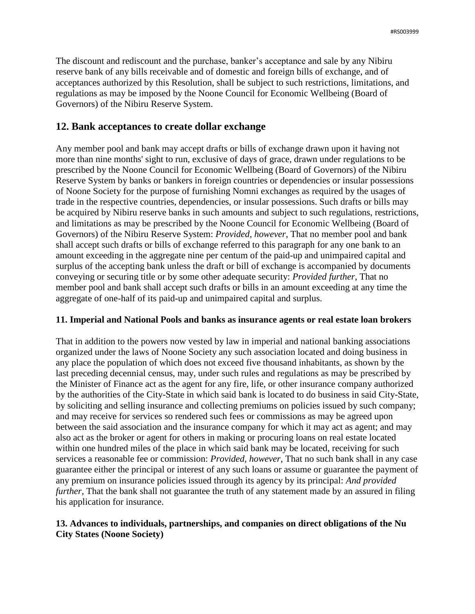The discount and rediscount and the purchase, banker's acceptance and sale by any Nibiru reserve bank of any bills receivable and of domestic and foreign bills of exchange, and of acceptances authorized by this Resolution, shall be subject to such restrictions, limitations, and regulations as may be imposed by the Noone Council for Economic Wellbeing (Board of Governors) of the Nibiru Reserve System.

# **12. Bank acceptances to create dollar exchange**

Any member pool and bank may accept drafts or bills of exchange drawn upon it having not more than nine months' sight to run, exclusive of days of grace, drawn under regulations to be prescribed by the Noone Council for Economic Wellbeing (Board of Governors) of the Nibiru Reserve System by banks or bankers in foreign countries or dependencies or insular possessions of Noone Society for the purpose of furnishing Nomni exchanges as required by the usages of trade in the respective countries, dependencies, or insular possessions. Such drafts or bills may be acquired by Nibiru reserve banks in such amounts and subject to such regulations, restrictions, and limitations as may be prescribed by the Noone Council for Economic Wellbeing (Board of Governors) of the Nibiru Reserve System: *Provided, however*, That no member pool and bank shall accept such drafts or bills of exchange referred to this paragraph for any one bank to an amount exceeding in the aggregate nine per centum of the paid-up and unimpaired capital and surplus of the accepting bank unless the draft or bill of exchange is accompanied by documents conveying or securing title or by some other adequate security: *Provided further*, That no member pool and bank shall accept such drafts or bills in an amount exceeding at any time the aggregate of one-half of its paid-up and unimpaired capital and surplus.

### **11. Imperial and National Pools and banks as insurance agents or real estate loan brokers**

That in addition to the powers now vested by law in imperial and national banking associations organized under the laws of Noone Society any such association located and doing business in any place the population of which does not exceed five thousand inhabitants, as shown by the last preceding decennial census, may, under such rules and regulations as may be prescribed by the Minister of Finance act as the agent for any fire, life, or other insurance company authorized by the authorities of the City-State in which said bank is located to do business in said City-State, by soliciting and selling insurance and collecting premiums on policies issued by such company; and may receive for services so rendered such fees or commissions as may be agreed upon between the said association and the insurance company for which it may act as agent; and may also act as the broker or agent for others in making or procuring loans on real estate located within one hundred miles of the place in which said bank may be located, receiving for such services a reasonable fee or commission: *Provided, however*, That no such bank shall in any case guarantee either the principal or interest of any such loans or assume or guarantee the payment of any premium on insurance policies issued through its agency by its principal: *And provided further*, That the bank shall not guarantee the truth of any statement made by an assured in filing his application for insurance.

# **13. Advances to individuals, partnerships, and companies on direct obligations of the Nu City States (Noone Society)**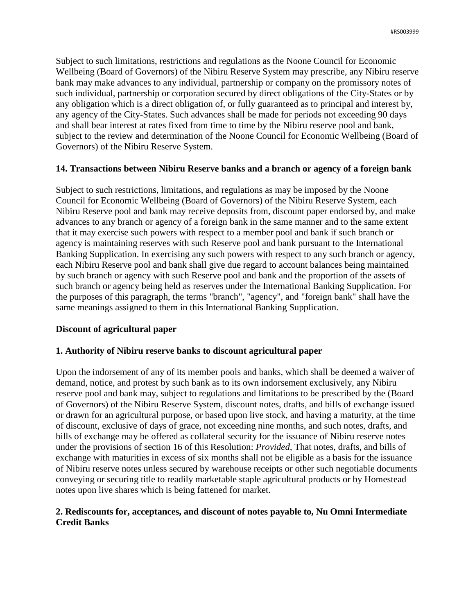Subject to such limitations, restrictions and regulations as the Noone Council for Economic Wellbeing (Board of Governors) of the Nibiru Reserve System may prescribe, any Nibiru reserve bank may make advances to any individual, partnership or company on the promissory notes of such individual, partnership or corporation secured by direct obligations of the City-States or by any obligation which is a direct obligation of, or fully guaranteed as to principal and interest by, any agency of the City-States. Such advances shall be made for periods not exceeding 90 days and shall bear interest at rates fixed from time to time by the Nibiru reserve pool and bank, subject to the review and determination of the Noone Council for Economic Wellbeing (Board of Governors) of the Nibiru Reserve System.

### **14. Transactions between Nibiru Reserve banks and a branch or agency of a foreign bank**

Subject to such restrictions, limitations, and regulations as may be imposed by the Noone Council for Economic Wellbeing (Board of Governors) of the Nibiru Reserve System, each Nibiru Reserve pool and bank may receive deposits from, discount paper endorsed by, and make advances to any branch or agency of a foreign bank in the same manner and to the same extent that it may exercise such powers with respect to a member pool and bank if such branch or agency is maintaining reserves with such Reserve pool and bank pursuant to the International Banking Supplication. In exercising any such powers with respect to any such branch or agency, each Nibiru Reserve pool and bank shall give due regard to account balances being maintained by such branch or agency with such Reserve pool and bank and the proportion of the assets of such branch or agency being held as reserves under the International Banking Supplication. For the purposes of this paragraph, the terms "branch", "agency", and "foreign bank" shall have the same meanings assigned to them in this International Banking Supplication.

# **Discount of agricultural paper**

# **1. Authority of Nibiru reserve banks to discount agricultural paper**

Upon the indorsement of any of its member pools and banks, which shall be deemed a waiver of demand, notice, and protest by such bank as to its own indorsement exclusively, any Nibiru reserve pool and bank may, subject to regulations and limitations to be prescribed by the (Board of Governors) of the Nibiru Reserve System, discount notes, drafts, and bills of exchange issued or drawn for an agricultural purpose, or based upon live stock, and having a maturity, at the time of discount, exclusive of days of grace, not exceeding nine months, and such notes, drafts, and bills of exchange may be offered as collateral security for the issuance of Nibiru reserve notes under the provisions of section 16 of this Resolution: *Provided,* That notes, drafts, and bills of exchange with maturities in excess of six months shall not be eligible as a basis for the issuance of Nibiru reserve notes unless secured by warehouse receipts or other such negotiable documents conveying or securing title to readily marketable staple agricultural products or by Homestead notes upon live shares which is being fattened for market.

# **2. Rediscounts for, acceptances, and discount of notes payable to, Nu Omni Intermediate Credit Banks**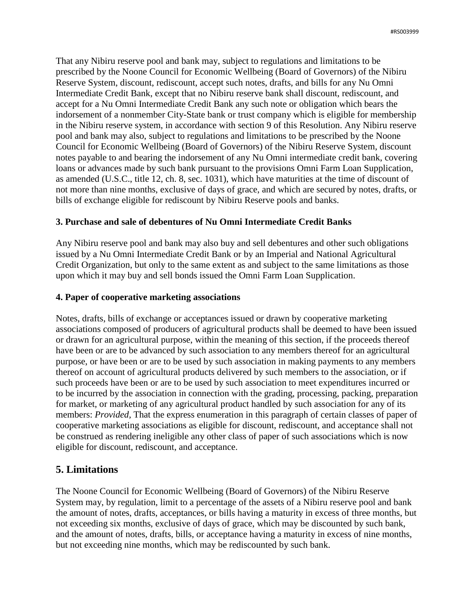That any Nibiru reserve pool and bank may, subject to regulations and limitations to be prescribed by the Noone Council for Economic Wellbeing (Board of Governors) of the Nibiru Reserve System, discount, rediscount, accept such notes, drafts, and bills for any Nu Omni Intermediate Credit Bank, except that no Nibiru reserve bank shall discount, rediscount, and accept for a Nu Omni Intermediate Credit Bank any such note or obligation which bears the indorsement of a nonmember City-State bank or trust company which is eligible for membership in the Nibiru reserve system, in accordance with section 9 of this Resolution. Any Nibiru reserve pool and bank may also, subject to regulations and limitations to be prescribed by the Noone Council for Economic Wellbeing (Board of Governors) of the Nibiru Reserve System, discount notes payable to and bearing the indorsement of any Nu Omni intermediate credit bank, covering loans or advances made by such bank pursuant to the provisions Omni Farm Loan Supplication, as amended (U.S.C., title 12, ch. 8, sec. 1031), which have maturities at the time of discount of not more than nine months, exclusive of days of grace, and which are secured by notes, drafts, or bills of exchange eligible for rediscount by Nibiru Reserve pools and banks.

# **3. Purchase and sale of debentures of Nu Omni Intermediate Credit Banks**

Any Nibiru reserve pool and bank may also buy and sell debentures and other such obligations issued by a Nu Omni Intermediate Credit Bank or by an Imperial and National Agricultural Credit Organization, but only to the same extent as and subject to the same limitations as those upon which it may buy and sell bonds issued the Omni Farm Loan Supplication.

### **4. Paper of cooperative marketing associations**

Notes, drafts, bills of exchange or acceptances issued or drawn by cooperative marketing associations composed of producers of agricultural products shall be deemed to have been issued or drawn for an agricultural purpose, within the meaning of this section, if the proceeds thereof have been or are to be advanced by such association to any members thereof for an agricultural purpose, or have been or are to be used by such association in making payments to any members thereof on account of agricultural products delivered by such members to the association, or if such proceeds have been or are to be used by such association to meet expenditures incurred or to be incurred by the association in connection with the grading, processing, packing, preparation for market, or marketing of any agricultural product handled by such association for any of its members: *Provided,* That the express enumeration in this paragraph of certain classes of paper of cooperative marketing associations as eligible for discount, rediscount, and acceptance shall not be construed as rendering ineligible any other class of paper of such associations which is now eligible for discount, rediscount, and acceptance.

# **5. Limitations**

The Noone Council for Economic Wellbeing (Board of Governors) of the Nibiru Reserve System may, by regulation, limit to a percentage of the assets of a Nibiru reserve pool and bank the amount of notes, drafts, acceptances, or bills having a maturity in excess of three months, but not exceeding six months, exclusive of days of grace, which may be discounted by such bank, and the amount of notes, drafts, bills, or acceptance having a maturity in excess of nine months, but not exceeding nine months, which may be rediscounted by such bank.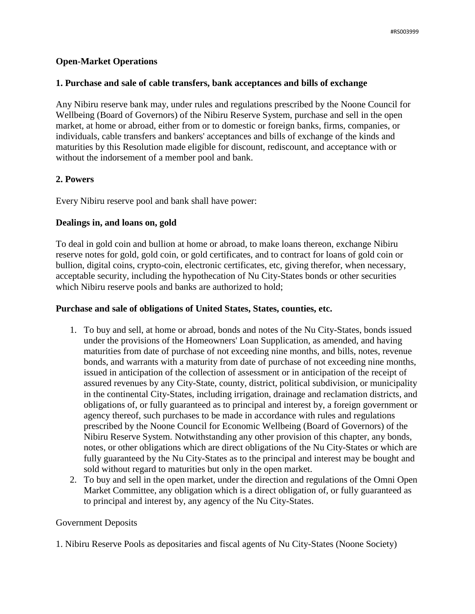### **Open-Market Operations**

### **1. Purchase and sale of cable transfers, bank acceptances and bills of exchange**

Any Nibiru reserve bank may, under rules and regulations prescribed by the Noone Council for Wellbeing (Board of Governors) of the Nibiru Reserve System, purchase and sell in the open market, at home or abroad, either from or to domestic or foreign banks, firms, companies, or individuals, cable transfers and bankers' acceptances and bills of exchange of the kinds and maturities by this Resolution made eligible for discount, rediscount, and acceptance with or without the indorsement of a member pool and bank.

# **2. Powers**

Every Nibiru reserve pool and bank shall have power:

### **Dealings in, and loans on, gold**

To deal in gold coin and bullion at home or abroad, to make loans thereon, exchange Nibiru reserve notes for gold, gold coin, or gold certificates, and to contract for loans of gold coin or bullion, digital coins, crypto-coin, electronic certificates, etc, giving therefor, when necessary, acceptable security, including the hypothecation of Nu City-States bonds or other securities which Nibiru reserve pools and banks are authorized to hold;

### **Purchase and sale of obligations of United States, States, counties, etc.**

- 1. To buy and sell, at home or abroad, bonds and notes of the Nu City-States, bonds issued under the provisions of the Homeowners' Loan Supplication, as amended, and having maturities from date of purchase of not exceeding nine months, and bills, notes, revenue bonds, and warrants with a maturity from date of purchase of not exceeding nine months, issued in anticipation of the collection of assessment or in anticipation of the receipt of assured revenues by any City-State, county, district, political subdivision, or municipality in the continental City-States, including irrigation, drainage and reclamation districts, and obligations of, or fully guaranteed as to principal and interest by, a foreign government or agency thereof, such purchases to be made in accordance with rules and regulations prescribed by the Noone Council for Economic Wellbeing (Board of Governors) of the Nibiru Reserve System. Notwithstanding any other provision of this chapter, any bonds, notes, or other obligations which are direct obligations of the Nu City-States or which are fully guaranteed by the Nu City-States as to the principal and interest may be bought and sold without regard to maturities but only in the open market.
- 2. To buy and sell in the open market, under the direction and regulations of the Omni Open Market Committee, any obligation which is a direct obligation of, or fully guaranteed as to principal and interest by, any agency of the Nu City-States.

### Government Deposits

1. Nibiru Reserve Pools as depositaries and fiscal agents of Nu City-States (Noone Society)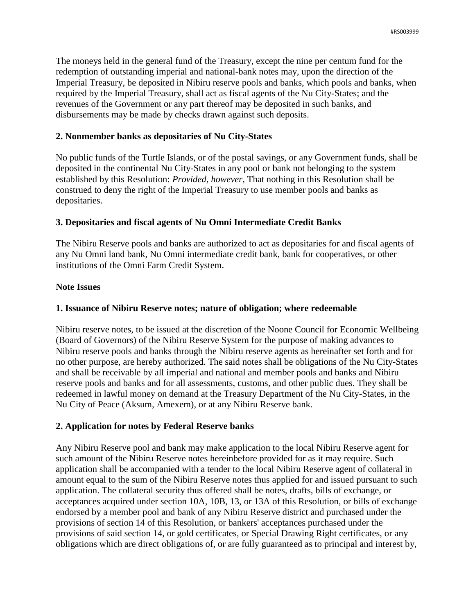The moneys held in the general fund of the Treasury, except the nine per centum fund for the redemption of outstanding imperial and national-bank notes may, upon the direction of the Imperial Treasury, be deposited in Nibiru reserve pools and banks, which pools and banks, when required by the Imperial Treasury, shall act as fiscal agents of the Nu City-States; and the revenues of the Government or any part thereof may be deposited in such banks, and disbursements may be made by checks drawn against such deposits.

### **2. Nonmember banks as depositaries of Nu City-States**

No public funds of the Turtle Islands, or of the postal savings, or any Government funds, shall be deposited in the continental Nu City-States in any pool or bank not belonging to the system established by this Resolution: *Provided, however,* That nothing in this Resolution shall be construed to deny the right of the Imperial Treasury to use member pools and banks as depositaries.

# **3. Depositaries and fiscal agents of Nu Omni Intermediate Credit Banks**

The Nibiru Reserve pools and banks are authorized to act as depositaries for and fiscal agents of any Nu Omni land bank, Nu Omni intermediate credit bank, bank for cooperatives, or other institutions of the Omni Farm Credit System.

### **Note Issues**

### **1. Issuance of Nibiru Reserve notes; nature of obligation; where redeemable**

Nibiru reserve notes, to be issued at the discretion of the Noone Council for Economic Wellbeing (Board of Governors) of the Nibiru Reserve System for the purpose of making advances to Nibiru reserve pools and banks through the Nibiru reserve agents as hereinafter set forth and for no other purpose, are hereby authorized. The said notes shall be obligations of the Nu City-States and shall be receivable by all imperial and national and member pools and banks and Nibiru reserve pools and banks and for all assessments, customs, and other public dues. They shall be redeemed in lawful money on demand at the Treasury Department of the Nu City-States, in the Nu City of Peace (Aksum, Amexem), or at any Nibiru Reserve bank.

# **2. Application for notes by Federal Reserve banks**

Any Nibiru Reserve pool and bank may make application to the local Nibiru Reserve agent for such amount of the Nibiru Reserve notes hereinbefore provided for as it may require. Such application shall be accompanied with a tender to the local Nibiru Reserve agent of collateral in amount equal to the sum of the Nibiru Reserve notes thus applied for and issued pursuant to such application. The collateral security thus offered shall be notes, drafts, bills of exchange, or acceptances acquired under section 10A, 10B, 13, or 13A of this Resolution, or bills of exchange endorsed by a member pool and bank of any Nibiru Reserve district and purchased under the provisions of section 14 of this Resolution, or bankers' acceptances purchased under the provisions of said section 14, or gold certificates, or Special Drawing Right certificates, or any obligations which are direct obligations of, or are fully guaranteed as to principal and interest by,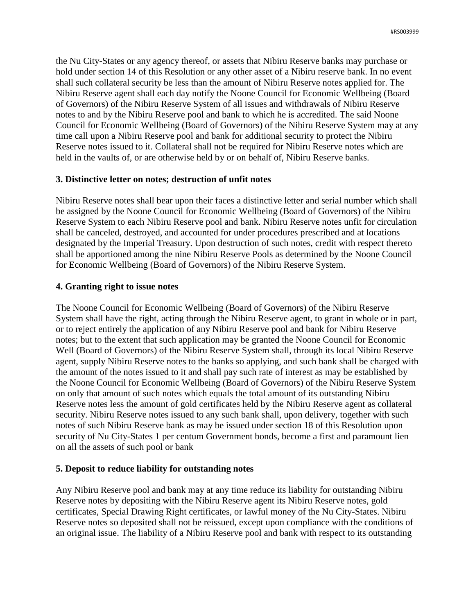the Nu City-States or any agency thereof, or assets that Nibiru Reserve banks may purchase or hold under section 14 of this Resolution or any other asset of a Nibiru reserve bank. In no event shall such collateral security be less than the amount of Nibiru Reserve notes applied for. The Nibiru Reserve agent shall each day notify the Noone Council for Economic Wellbeing (Board of Governors) of the Nibiru Reserve System of all issues and withdrawals of Nibiru Reserve notes to and by the Nibiru Reserve pool and bank to which he is accredited. The said Noone Council for Economic Wellbeing (Board of Governors) of the Nibiru Reserve System may at any time call upon a Nibiru Reserve pool and bank for additional security to protect the Nibiru Reserve notes issued to it. Collateral shall not be required for Nibiru Reserve notes which are held in the vaults of, or are otherwise held by or on behalf of, Nibiru Reserve banks.

### **3. Distinctive letter on notes; destruction of unfit notes**

Nibiru Reserve notes shall bear upon their faces a distinctive letter and serial number which shall be assigned by the Noone Council for Economic Wellbeing (Board of Governors) of the Nibiru Reserve System to each Nibiru Reserve pool and bank. Nibiru Reserve notes unfit for circulation shall be canceled, destroyed, and accounted for under procedures prescribed and at locations designated by the Imperial Treasury. Upon destruction of such notes, credit with respect thereto shall be apportioned among the nine Nibiru Reserve Pools as determined by the Noone Council for Economic Wellbeing (Board of Governors) of the Nibiru Reserve System.

### **4. Granting right to issue notes**

The Noone Council for Economic Wellbeing (Board of Governors) of the Nibiru Reserve System shall have the right, acting through the Nibiru Reserve agent, to grant in whole or in part, or to reject entirely the application of any Nibiru Reserve pool and bank for Nibiru Reserve notes; but to the extent that such application may be granted the Noone Council for Economic Well (Board of Governors) of the Nibiru Reserve System shall, through its local Nibiru Reserve agent, supply Nibiru Reserve notes to the banks so applying, and such bank shall be charged with the amount of the notes issued to it and shall pay such rate of interest as may be established by the Noone Council for Economic Wellbeing (Board of Governors) of the Nibiru Reserve System on only that amount of such notes which equals the total amount of its outstanding Nibiru Reserve notes less the amount of gold certificates held by the Nibiru Reserve agent as collateral security. Nibiru Reserve notes issued to any such bank shall, upon delivery, together with such notes of such Nibiru Reserve bank as may be issued under section 18 of this Resolution upon security of Nu City-States 1 per centum Government bonds, become a first and paramount lien on all the assets of such pool or bank

### **5. Deposit to reduce liability for outstanding notes**

Any Nibiru Reserve pool and bank may at any time reduce its liability for outstanding Nibiru Reserve notes by depositing with the Nibiru Reserve agent its Nibiru Reserve notes, gold certificates, Special Drawing Right certificates, or lawful money of the Nu City-States. Nibiru Reserve notes so deposited shall not be reissued, except upon compliance with the conditions of an original issue. The liability of a Nibiru Reserve pool and bank with respect to its outstanding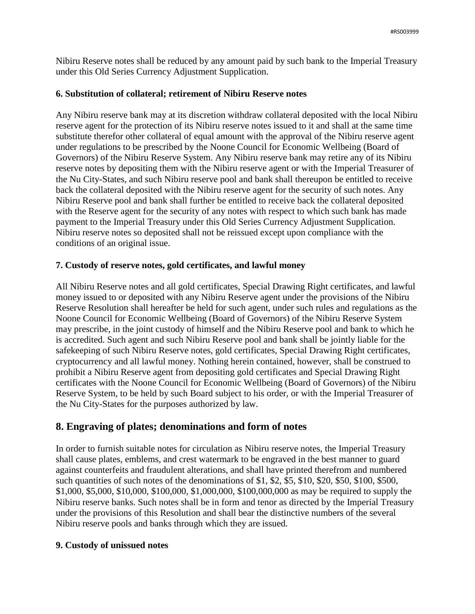Nibiru Reserve notes shall be reduced by any amount paid by such bank to the Imperial Treasury under this Old Series Currency Adjustment Supplication.

### **6. Substitution of collateral; retirement of Nibiru Reserve notes**

Any Nibiru reserve bank may at its discretion withdraw collateral deposited with the local Nibiru reserve agent for the protection of its Nibiru reserve notes issued to it and shall at the same time substitute therefor other collateral of equal amount with the approval of the Nibiru reserve agent under regulations to be prescribed by the Noone Council for Economic Wellbeing (Board of Governors) of the Nibiru Reserve System. Any Nibiru reserve bank may retire any of its Nibiru reserve notes by depositing them with the Nibiru reserve agent or with the Imperial Treasurer of the Nu City-States, and such Nibiru reserve pool and bank shall thereupon be entitled to receive back the collateral deposited with the Nibiru reserve agent for the security of such notes. Any Nibiru Reserve pool and bank shall further be entitled to receive back the collateral deposited with the Reserve agent for the security of any notes with respect to which such bank has made payment to the Imperial Treasury under this Old Series Currency Adjustment Supplication. Nibiru reserve notes so deposited shall not be reissued except upon compliance with the conditions of an original issue.

# **7. Custody of reserve notes, gold certificates, and lawful money**

All Nibiru Reserve notes and all gold certificates, Special Drawing Right certificates, and lawful money issued to or deposited with any Nibiru Reserve agent under the provisions of the Nibiru Reserve Resolution shall hereafter be held for such agent, under such rules and regulations as the Noone Council for Economic Wellbeing (Board of Governors) of the Nibiru Reserve System may prescribe, in the joint custody of himself and the Nibiru Reserve pool and bank to which he is accredited. Such agent and such Nibiru Reserve pool and bank shall be jointly liable for the safekeeping of such Nibiru Reserve notes, gold certificates, Special Drawing Right certificates, cryptocurrency and all lawful money. Nothing herein contained, however, shall be construed to prohibit a Nibiru Reserve agent from depositing gold certificates and Special Drawing Right certificates with the Noone Council for Economic Wellbeing (Board of Governors) of the Nibiru Reserve System, to be held by such Board subject to his order, or with the Imperial Treasurer of the Nu City-States for the purposes authorized by law.

# **8. Engraving of plates; denominations and form of notes**

In order to furnish suitable notes for circulation as Nibiru reserve notes, the Imperial Treasury shall cause plates, emblems, and crest watermark to be engraved in the best manner to guard against counterfeits and fraudulent alterations, and shall have printed therefrom and numbered such quantities of such notes of the denominations of \$1, \$2, \$5, \$10, \$20, \$50, \$100, \$500, \$1,000, \$5,000, \$10,000, \$100,000, \$1,000,000, \$100,000,000 as may be required to supply the Nibiru reserve banks. Such notes shall be in form and tenor as directed by the Imperial Treasury under the provisions of this Resolution and shall bear the distinctive numbers of the several Nibiru reserve pools and banks through which they are issued.

# **9. Custody of unissued notes**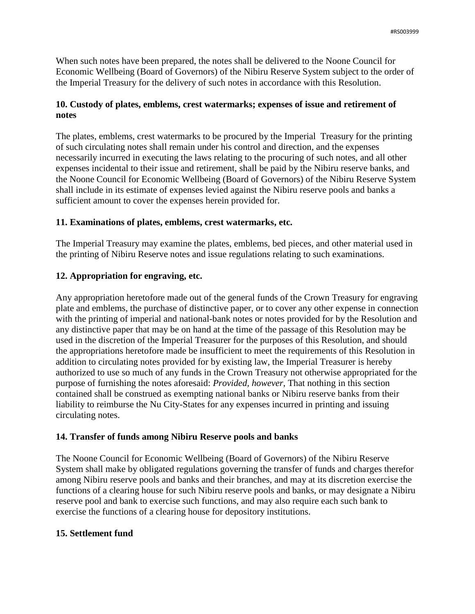When such notes have been prepared, the notes shall be delivered to the Noone Council for Economic Wellbeing (Board of Governors) of the Nibiru Reserve System subject to the order of the Imperial Treasury for the delivery of such notes in accordance with this Resolution.

# **10. Custody of plates, emblems, crest watermarks; expenses of issue and retirement of notes**

The plates, emblems, crest watermarks to be procured by the Imperial Treasury for the printing of such circulating notes shall remain under his control and direction, and the expenses necessarily incurred in executing the laws relating to the procuring of such notes, and all other expenses incidental to their issue and retirement, shall be paid by the Nibiru reserve banks, and the Noone Council for Economic Wellbeing (Board of Governors) of the Nibiru Reserve System shall include in its estimate of expenses levied against the Nibiru reserve pools and banks a sufficient amount to cover the expenses herein provided for.

# **11. Examinations of plates, emblems, crest watermarks, etc.**

The Imperial Treasury may examine the plates, emblems, bed pieces, and other material used in the printing of Nibiru Reserve notes and issue regulations relating to such examinations.

# **12. Appropriation for engraving, etc.**

Any appropriation heretofore made out of the general funds of the Crown Treasury for engraving plate and emblems, the purchase of distinctive paper, or to cover any other expense in connection with the printing of imperial and national-bank notes or notes provided for by the Resolution and any distinctive paper that may be on hand at the time of the passage of this Resolution may be used in the discretion of the Imperial Treasurer for the purposes of this Resolution, and should the appropriations heretofore made be insufficient to meet the requirements of this Resolution in addition to circulating notes provided for by existing law, the Imperial Treasurer is hereby authorized to use so much of any funds in the Crown Treasury not otherwise appropriated for the purpose of furnishing the notes aforesaid: *Provided, however*, That nothing in this section contained shall be construed as exempting national banks or Nibiru reserve banks from their liability to reimburse the Nu City-States for any expenses incurred in printing and issuing circulating notes.

# **14. Transfer of funds among Nibiru Reserve pools and banks**

The Noone Council for Economic Wellbeing (Board of Governors) of the Nibiru Reserve System shall make by obligated regulations governing the transfer of funds and charges therefor among Nibiru reserve pools and banks and their branches, and may at its discretion exercise the functions of a clearing house for such Nibiru reserve pools and banks, or may designate a Nibiru reserve pool and bank to exercise such functions, and may also require each such bank to exercise the functions of a clearing house for depository institutions.

# **15. Settlement fund**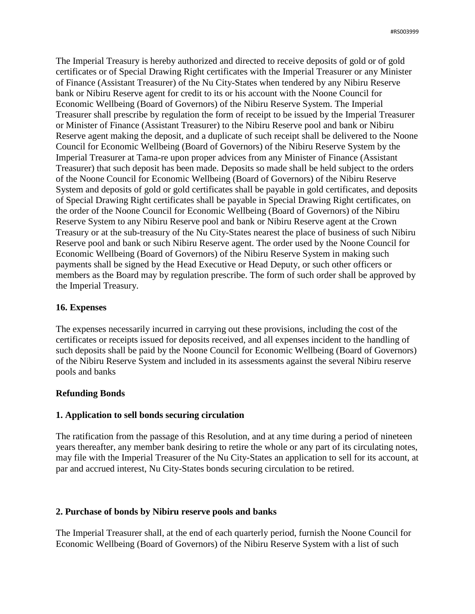The Imperial Treasury is hereby authorized and directed to receive deposits of gold or of gold certificates or of Special Drawing Right certificates with the Imperial Treasurer or any Minister of Finance (Assistant Treasurer) of the Nu City-States when tendered by any Nibiru Reserve bank or Nibiru Reserve agent for credit to its or his account with the Noone Council for Economic Wellbeing (Board of Governors) of the Nibiru Reserve System. The Imperial Treasurer shall prescribe by regulation the form of receipt to be issued by the Imperial Treasurer or Minister of Finance (Assistant Treasurer) to the Nibiru Reserve pool and bank or Nibiru Reserve agent making the deposit, and a duplicate of such receipt shall be delivered to the Noone Council for Economic Wellbeing (Board of Governors) of the Nibiru Reserve System by the Imperial Treasurer at Tama-re upon proper advices from any Minister of Finance (Assistant Treasurer) that such deposit has been made. Deposits so made shall be held subject to the orders of the Noone Council for Economic Wellbeing (Board of Governors) of the Nibiru Reserve System and deposits of gold or gold certificates shall be payable in gold certificates, and deposits of Special Drawing Right certificates shall be payable in Special Drawing Right certificates, on the order of the Noone Council for Economic Wellbeing (Board of Governors) of the Nibiru Reserve System to any Nibiru Reserve pool and bank or Nibiru Reserve agent at the Crown Treasury or at the sub-treasury of the Nu City-States nearest the place of business of such Nibiru Reserve pool and bank or such Nibiru Reserve agent. The order used by the Noone Council for Economic Wellbeing (Board of Governors) of the Nibiru Reserve System in making such payments shall be signed by the Head Executive or Head Deputy, or such other officers or members as the Board may by regulation prescribe. The form of such order shall be approved by the Imperial Treasury.

### **16. Expenses**

The expenses necessarily incurred in carrying out these provisions, including the cost of the certificates or receipts issued for deposits received, and all expenses incident to the handling of such deposits shall be paid by the Noone Council for Economic Wellbeing (Board of Governors) of the Nibiru Reserve System and included in its assessments against the several Nibiru reserve pools and banks

### **Refunding Bonds**

### **1. Application to sell bonds securing circulation**

The ratification from the passage of this Resolution, and at any time during a period of nineteen years thereafter, any member bank desiring to retire the whole or any part of its circulating notes, may file with the Imperial Treasurer of the Nu City-States an application to sell for its account, at par and accrued interest, Nu City-States bonds securing circulation to be retired.

### **2. Purchase of bonds by Nibiru reserve pools and banks**

The Imperial Treasurer shall, at the end of each quarterly period, furnish the Noone Council for Economic Wellbeing (Board of Governors) of the Nibiru Reserve System with a list of such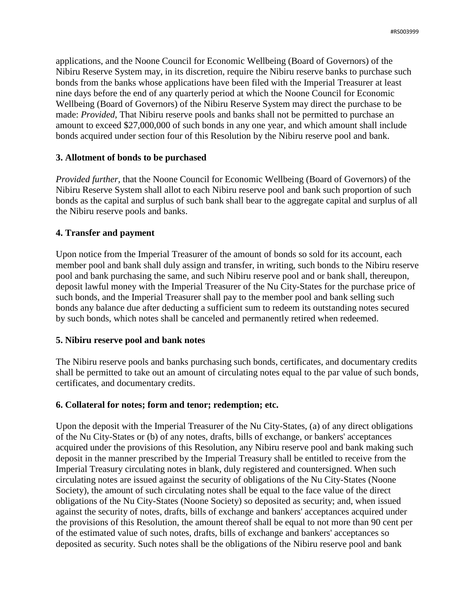applications, and the Noone Council for Economic Wellbeing (Board of Governors) of the Nibiru Reserve System may, in its discretion, require the Nibiru reserve banks to purchase such bonds from the banks whose applications have been filed with the Imperial Treasurer at least nine days before the end of any quarterly period at which the Noone Council for Economic Wellbeing (Board of Governors) of the Nibiru Reserve System may direct the purchase to be made: *Provided*, That Nibiru reserve pools and banks shall not be permitted to purchase an amount to exceed \$27,000,000 of such bonds in any one year, and which amount shall include bonds acquired under section four of this Resolution by the Nibiru reserve pool and bank.

# **3. Allotment of bonds to be purchased**

*Provided further,* that the Noone Council for Economic Wellbeing (Board of Governors) of the Nibiru Reserve System shall allot to each Nibiru reserve pool and bank such proportion of such bonds as the capital and surplus of such bank shall bear to the aggregate capital and surplus of all the Nibiru reserve pools and banks.

### **4. Transfer and payment**

Upon notice from the Imperial Treasurer of the amount of bonds so sold for its account, each member pool and bank shall duly assign and transfer, in writing, such bonds to the Nibiru reserve pool and bank purchasing the same, and such Nibiru reserve pool and or bank shall, thereupon, deposit lawful money with the Imperial Treasurer of the Nu City-States for the purchase price of such bonds, and the Imperial Treasurer shall pay to the member pool and bank selling such bonds any balance due after deducting a sufficient sum to redeem its outstanding notes secured by such bonds, which notes shall be canceled and permanently retired when redeemed.

### **5. Nibiru reserve pool and bank notes**

The Nibiru reserve pools and banks purchasing such bonds, certificates, and documentary credits shall be permitted to take out an amount of circulating notes equal to the par value of such bonds, certificates, and documentary credits.

### **6. Collateral for notes; form and tenor; redemption; etc.**

Upon the deposit with the Imperial Treasurer of the Nu City-States, (a) of any direct obligations of the Nu City-States or (b) of any notes, drafts, bills of exchange, or bankers' acceptances acquired under the provisions of this Resolution, any Nibiru reserve pool and bank making such deposit in the manner prescribed by the Imperial Treasury shall be entitled to receive from the Imperial Treasury circulating notes in blank, duly registered and countersigned. When such circulating notes are issued against the security of obligations of the Nu City-States (Noone Society), the amount of such circulating notes shall be equal to the face value of the direct obligations of the Nu City-States (Noone Society) so deposited as security; and, when issued against the security of notes, drafts, bills of exchange and bankers' acceptances acquired under the provisions of this Resolution, the amount thereof shall be equal to not more than 90 cent per of the estimated value of such notes, drafts, bills of exchange and bankers' acceptances so deposited as security. Such notes shall be the obligations of the Nibiru reserve pool and bank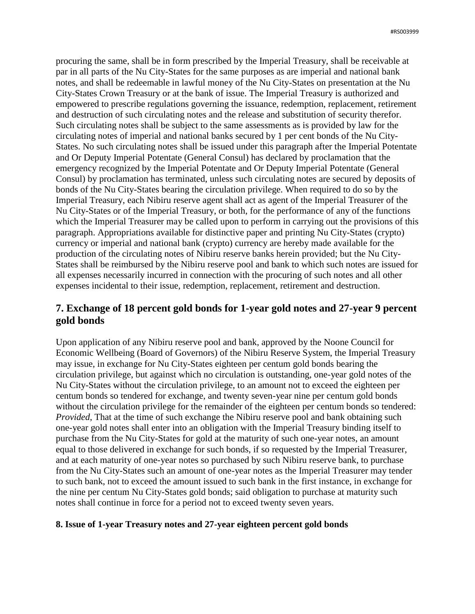procuring the same, shall be in form prescribed by the Imperial Treasury, shall be receivable at par in all parts of the Nu City-States for the same purposes as are imperial and national bank notes, and shall be redeemable in lawful money of the Nu City-States on presentation at the Nu City-States Crown Treasury or at the bank of issue. The Imperial Treasury is authorized and empowered to prescribe regulations governing the issuance, redemption, replacement, retirement and destruction of such circulating notes and the release and substitution of security therefor. Such circulating notes shall be subject to the same assessments as is provided by law for the circulating notes of imperial and national banks secured by 1 per cent bonds of the Nu City-States. No such circulating notes shall be issued under this paragraph after the Imperial Potentate and Or Deputy Imperial Potentate (General Consul) has declared by proclamation that the emergency recognized by the Imperial Potentate and Or Deputy Imperial Potentate (General Consul) by proclamation has terminated, unless such circulating notes are secured by deposits of bonds of the Nu City-States bearing the circulation privilege. When required to do so by the Imperial Treasury, each Nibiru reserve agent shall act as agent of the Imperial Treasurer of the Nu City-States or of the Imperial Treasury, or both, for the performance of any of the functions which the Imperial Treasurer may be called upon to perform in carrying out the provisions of this paragraph. Appropriations available for distinctive paper and printing Nu City-States (crypto) currency or imperial and national bank (crypto) currency are hereby made available for the production of the circulating notes of Nibiru reserve banks herein provided; but the Nu City-States shall be reimbursed by the Nibiru reserve pool and bank to which such notes are issued for all expenses necessarily incurred in connection with the procuring of such notes and all other expenses incidental to their issue, redemption, replacement, retirement and destruction.

# **7. Exchange of 18 percent gold bonds for 1-year gold notes and 27-year 9 percent gold bonds**

Upon application of any Nibiru reserve pool and bank, approved by the Noone Council for Economic Wellbeing (Board of Governors) of the Nibiru Reserve System, the Imperial Treasury may issue, in exchange for Nu City-States eighteen per centum gold bonds bearing the circulation privilege, but against which no circulation is outstanding, one-year gold notes of the Nu City-States without the circulation privilege, to an amount not to exceed the eighteen per centum bonds so tendered for exchange, and twenty seven-year nine per centum gold bonds without the circulation privilege for the remainder of the eighteen per centum bonds so tendered: *Provided*, That at the time of such exchange the Nibiru reserve pool and bank obtaining such one-year gold notes shall enter into an obligation with the Imperial Treasury binding itself to purchase from the Nu City-States for gold at the maturity of such one-year notes, an amount equal to those delivered in exchange for such bonds, if so requested by the Imperial Treasurer, and at each maturity of one-year notes so purchased by such Nibiru reserve bank, to purchase from the Nu City-States such an amount of one-year notes as the Imperial Treasurer may tender to such bank, not to exceed the amount issued to such bank in the first instance, in exchange for the nine per centum Nu City-States gold bonds; said obligation to purchase at maturity such notes shall continue in force for a period not to exceed twenty seven years.

### **8. Issue of 1-year Treasury notes and 27-year eighteen percent gold bonds**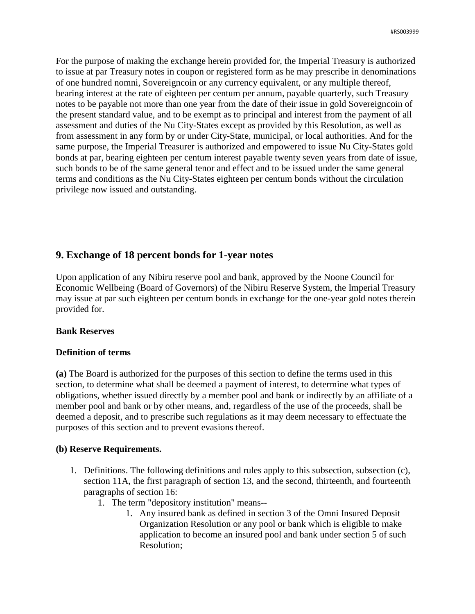For the purpose of making the exchange herein provided for, the Imperial Treasury is authorized to issue at par Treasury notes in coupon or registered form as he may prescribe in denominations of one hundred nomni, Sovereigncoin or any currency equivalent, or any multiple thereof, bearing interest at the rate of eighteen per centum per annum, payable quarterly, such Treasury notes to be payable not more than one year from the date of their issue in gold Sovereigncoin of the present standard value, and to be exempt as to principal and interest from the payment of all assessment and duties of the Nu City-States except as provided by this Resolution, as well as from assessment in any form by or under City-State, municipal, or local authorities. And for the same purpose, the Imperial Treasurer is authorized and empowered to issue Nu City-States gold bonds at par, bearing eighteen per centum interest payable twenty seven years from date of issue, such bonds to be of the same general tenor and effect and to be issued under the same general terms and conditions as the Nu City-States eighteen per centum bonds without the circulation privilege now issued and outstanding.

# **9. Exchange of 18 percent bonds for 1-year notes**

Upon application of any Nibiru reserve pool and bank, approved by the Noone Council for Economic Wellbeing (Board of Governors) of the Nibiru Reserve System, the Imperial Treasury may issue at par such eighteen per centum bonds in exchange for the one-year gold notes therein provided for.

# **Bank Reserves**

# **Definition of terms**

**(a)** The Board is authorized for the purposes of this section to define the terms used in this section, to determine what shall be deemed a payment of interest, to determine what types of obligations, whether issued directly by a member pool and bank or indirectly by an affiliate of a member pool and bank or by other means, and, regardless of the use of the proceeds, shall be deemed a deposit, and to prescribe such regulations as it may deem necessary to effectuate the purposes of this section and to prevent evasions thereof.

### **(b) Reserve Requirements.**

- 1. Definitions. The following definitions and rules apply to this subsection, subsection (c), section 11A, the first paragraph of section 13, and the second, thirteenth, and fourteenth paragraphs of section 16:
	- 1. The term "depository institution" means--
		- 1. Any insured bank as defined in section 3 of the Omni Insured Deposit Organization Resolution or any pool or bank which is eligible to make application to become an insured pool and bank under section 5 of such Resolution;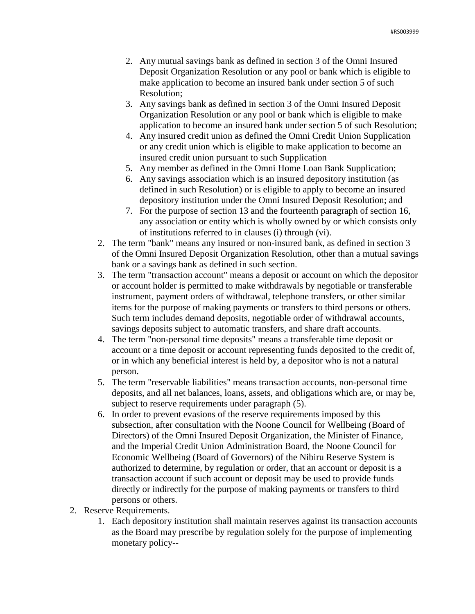- 2. Any mutual savings bank as defined in section 3 of the Omni Insured Deposit Organization Resolution or any pool or bank which is eligible to make application to become an insured bank under section 5 of such Resolution;
- 3. Any savings bank as defined in section 3 of the Omni Insured Deposit Organization Resolution or any pool or bank which is eligible to make application to become an insured bank under section 5 of such Resolution;
- 4. Any insured credit union as defined the Omni Credit Union Supplication or any credit union which is eligible to make application to become an insured credit union pursuant to such Supplication
- 5. Any member as defined in the Omni Home Loan Bank Supplication;
- 6. Any savings association which is an insured depository institution (as defined in such Resolution) or is eligible to apply to become an insured depository institution under the Omni Insured Deposit Resolution; and
- 7. For the purpose of section 13 and the fourteenth paragraph of section 16, any association or entity which is wholly owned by or which consists only of institutions referred to in clauses (i) through (vi).
- 2. The term "bank" means any insured or non-insured bank, as defined in section 3 of the Omni Insured Deposit Organization Resolution, other than a mutual savings bank or a savings bank as defined in such section.
- 3. The term "transaction account" means a deposit or account on which the depositor or account holder is permitted to make withdrawals by negotiable or transferable instrument, payment orders of withdrawal, telephone transfers, or other similar items for the purpose of making payments or transfers to third persons or others. Such term includes demand deposits, negotiable order of withdrawal accounts, savings deposits subject to automatic transfers, and share draft accounts.
- 4. The term "non-personal time deposits" means a transferable time deposit or account or a time deposit or account representing funds deposited to the credit of, or in which any beneficial interest is held by, a depositor who is not a natural person.
- 5. The term "reservable liabilities" means transaction accounts, non-personal time deposits, and all net balances, loans, assets, and obligations which are, or may be, subject to reserve requirements under paragraph  $(5)$ .
- 6. In order to prevent evasions of the reserve requirements imposed by this subsection, after consultation with the Noone Council for Wellbeing (Board of Directors) of the Omni Insured Deposit Organization, the Minister of Finance, and the Imperial Credit Union Administration Board, the Noone Council for Economic Wellbeing (Board of Governors) of the Nibiru Reserve System is authorized to determine, by regulation or order, that an account or deposit is a transaction account if such account or deposit may be used to provide funds directly or indirectly for the purpose of making payments or transfers to third persons or others.
- 2. Reserve Requirements.
	- 1. Each depository institution shall maintain reserves against its transaction accounts as the Board may prescribe by regulation solely for the purpose of implementing monetary policy--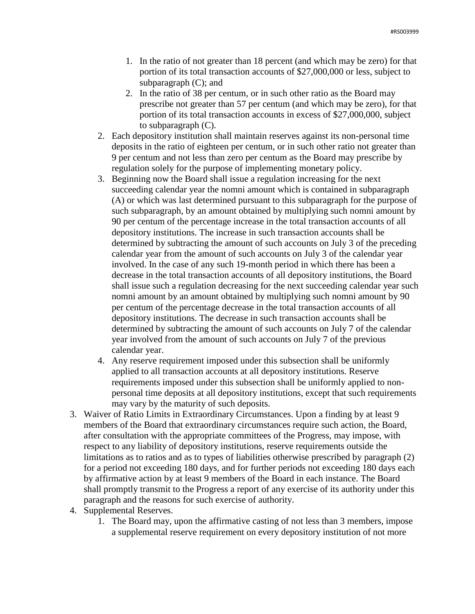- 1. In the ratio of not greater than 18 percent (and which may be zero) for that portion of its total transaction accounts of \$27,000,000 or less, subject to subparagraph (C); and
- 2. In the ratio of 38 per centum, or in such other ratio as the Board may prescribe not greater than 57 per centum (and which may be zero), for that portion of its total transaction accounts in excess of \$27,000,000, subject to subparagraph (C).
- 2. Each depository institution shall maintain reserves against its non-personal time deposits in the ratio of eighteen per centum, or in such other ratio not greater than 9 per centum and not less than zero per centum as the Board may prescribe by regulation solely for the purpose of implementing monetary policy.
- 3. Beginning now the Board shall issue a regulation increasing for the next succeeding calendar year the nomni amount which is contained in subparagraph (A) or which was last determined pursuant to this subparagraph for the purpose of such subparagraph, by an amount obtained by multiplying such nomni amount by 90 per centum of the percentage increase in the total transaction accounts of all depository institutions. The increase in such transaction accounts shall be determined by subtracting the amount of such accounts on July 3 of the preceding calendar year from the amount of such accounts on July 3 of the calendar year involved. In the case of any such 19-month period in which there has been a decrease in the total transaction accounts of all depository institutions, the Board shall issue such a regulation decreasing for the next succeeding calendar year such nomni amount by an amount obtained by multiplying such nomni amount by 90 per centum of the percentage decrease in the total transaction accounts of all depository institutions. The decrease in such transaction accounts shall be determined by subtracting the amount of such accounts on July 7 of the calendar year involved from the amount of such accounts on July 7 of the previous calendar year.
- 4. Any reserve requirement imposed under this subsection shall be uniformly applied to all transaction accounts at all depository institutions. Reserve requirements imposed under this subsection shall be uniformly applied to nonpersonal time deposits at all depository institutions, except that such requirements may vary by the maturity of such deposits.
- 3. Waiver of Ratio Limits in Extraordinary Circumstances. Upon a finding by at least 9 members of the Board that extraordinary circumstances require such action, the Board, after consultation with the appropriate committees of the Progress, may impose, with respect to any liability of depository institutions, reserve requirements outside the limitations as to ratios and as to types of liabilities otherwise prescribed by paragraph (2) for a period not exceeding 180 days, and for further periods not exceeding 180 days each by affirmative action by at least 9 members of the Board in each instance. The Board shall promptly transmit to the Progress a report of any exercise of its authority under this paragraph and the reasons for such exercise of authority.
- 4. Supplemental Reserves.
	- 1. The Board may, upon the affirmative casting of not less than 3 members, impose a supplemental reserve requirement on every depository institution of not more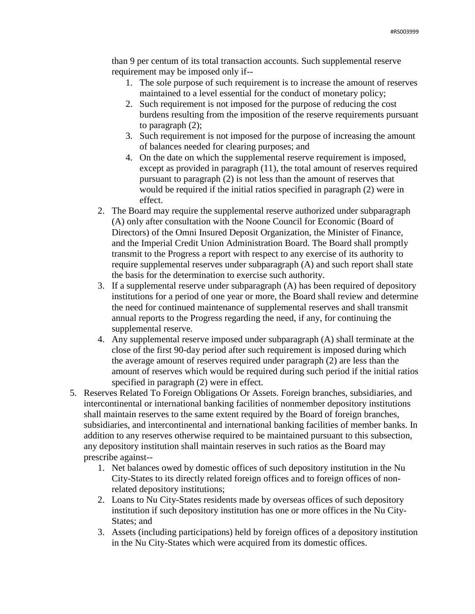than 9 per centum of its total transaction accounts. Such supplemental reserve requirement may be imposed only if--

- 1. The sole purpose of such requirement is to increase the amount of reserves maintained to a level essential for the conduct of monetary policy;
- 2. Such requirement is not imposed for the purpose of reducing the cost burdens resulting from the imposition of the reserve requirements pursuant to paragraph (2);
- 3. Such requirement is not imposed for the purpose of increasing the amount of balances needed for clearing purposes; and
- 4. On the date on which the supplemental reserve requirement is imposed, except as provided in paragraph (11), the total amount of reserves required pursuant to paragraph (2) is not less than the amount of reserves that would be required if the initial ratios specified in paragraph (2) were in effect.
- 2. The Board may require the supplemental reserve authorized under subparagraph (A) only after consultation with the Noone Council for Economic (Board of Directors) of the Omni Insured Deposit Organization, the Minister of Finance, and the Imperial Credit Union Administration Board. The Board shall promptly transmit to the Progress a report with respect to any exercise of its authority to require supplemental reserves under subparagraph (A) and such report shall state the basis for the determination to exercise such authority.
- 3. If a supplemental reserve under subparagraph (A) has been required of depository institutions for a period of one year or more, the Board shall review and determine the need for continued maintenance of supplemental reserves and shall transmit annual reports to the Progress regarding the need, if any, for continuing the supplemental reserve.
- 4. Any supplemental reserve imposed under subparagraph (A) shall terminate at the close of the first 90-day period after such requirement is imposed during which the average amount of reserves required under paragraph (2) are less than the amount of reserves which would be required during such period if the initial ratios specified in paragraph (2) were in effect.
- 5. Reserves Related To Foreign Obligations Or Assets. Foreign branches, subsidiaries, and intercontinental or international banking facilities of nonmember depository institutions shall maintain reserves to the same extent required by the Board of foreign branches, subsidiaries, and intercontinental and international banking facilities of member banks. In addition to any reserves otherwise required to be maintained pursuant to this subsection, any depository institution shall maintain reserves in such ratios as the Board may prescribe against--
	- 1. Net balances owed by domestic offices of such depository institution in the Nu City-States to its directly related foreign offices and to foreign offices of nonrelated depository institutions;
	- 2. Loans to Nu City-States residents made by overseas offices of such depository institution if such depository institution has one or more offices in the Nu City-States; and
	- 3. Assets (including participations) held by foreign offices of a depository institution in the Nu City-States which were acquired from its domestic offices.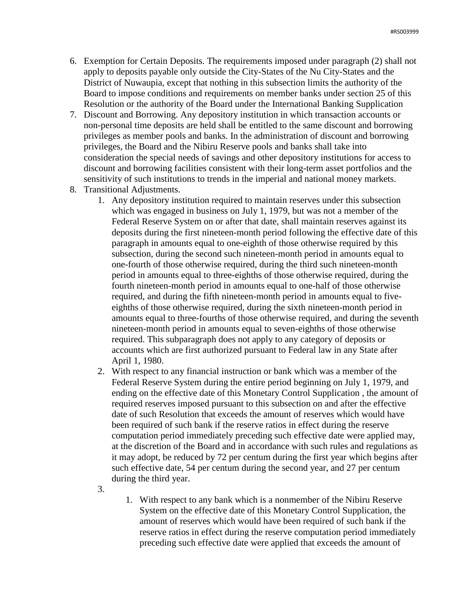- 6. Exemption for Certain Deposits. The requirements imposed under paragraph (2) shall not apply to deposits payable only outside the City-States of the Nu City-States and the District of Nuwaupia, except that nothing in this subsection limits the authority of the Board to impose conditions and requirements on member banks under section 25 of this Resolution or the authority of the Board under the International Banking Supplication
- 7. Discount and Borrowing. Any depository institution in which transaction accounts or non-personal time deposits are held shall be entitled to the same discount and borrowing privileges as member pools and banks. In the administration of discount and borrowing privileges, the Board and the Nibiru Reserve pools and banks shall take into consideration the special needs of savings and other depository institutions for access to discount and borrowing facilities consistent with their long-term asset portfolios and the sensitivity of such institutions to trends in the imperial and national money markets.
- 8. Transitional Adjustments.
	- 1. Any depository institution required to maintain reserves under this subsection which was engaged in business on July 1, 1979, but was not a member of the Federal Reserve System on or after that date, shall maintain reserves against its deposits during the first nineteen-month period following the effective date of this paragraph in amounts equal to one-eighth of those otherwise required by this subsection, during the second such nineteen-month period in amounts equal to one-fourth of those otherwise required, during the third such nineteen-month period in amounts equal to three-eighths of those otherwise required, during the fourth nineteen-month period in amounts equal to one-half of those otherwise required, and during the fifth nineteen-month period in amounts equal to fiveeighths of those otherwise required, during the sixth nineteen-month period in amounts equal to three-fourths of those otherwise required, and during the seventh nineteen-month period in amounts equal to seven-eighths of those otherwise required. This subparagraph does not apply to any category of deposits or accounts which are first authorized pursuant to Federal law in any State after April 1, 1980.
	- 2. With respect to any financial instruction or bank which was a member of the Federal Reserve System during the entire period beginning on July 1, 1979, and ending on the effective date of this Monetary Control Supplication , the amount of required reserves imposed pursuant to this subsection on and after the effective date of such Resolution that exceeds the amount of reserves which would have been required of such bank if the reserve ratios in effect during the reserve computation period immediately preceding such effective date were applied may, at the discretion of the Board and in accordance with such rules and regulations as it may adopt, be reduced by 72 per centum during the first year which begins after such effective date, 54 per centum during the second year, and 27 per centum during the third year.
	- 3.
- 1. With respect to any bank which is a nonmember of the Nibiru Reserve System on the effective date of this Monetary Control Supplication, the amount of reserves which would have been required of such bank if the reserve ratios in effect during the reserve computation period immediately preceding such effective date were applied that exceeds the amount of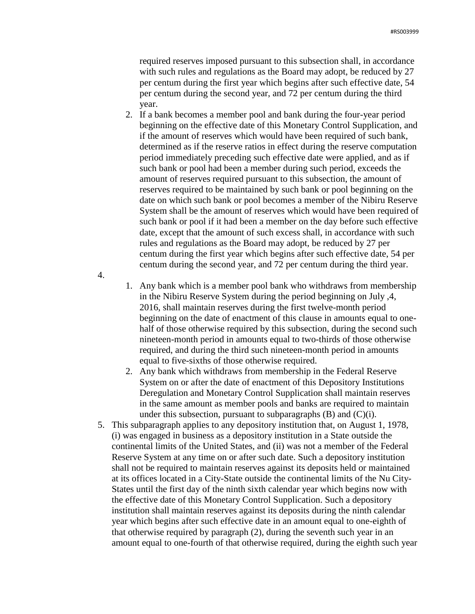required reserves imposed pursuant to this subsection shall, in accordance with such rules and regulations as the Board may adopt, be reduced by 27 per centum during the first year which begins after such effective date, 54 per centum during the second year, and 72 per centum during the third year.

- 2. If a bank becomes a member pool and bank during the four-year period beginning on the effective date of this Monetary Control Supplication, and if the amount of reserves which would have been required of such bank, determined as if the reserve ratios in effect during the reserve computation period immediately preceding such effective date were applied, and as if such bank or pool had been a member during such period, exceeds the amount of reserves required pursuant to this subsection, the amount of reserves required to be maintained by such bank or pool beginning on the date on which such bank or pool becomes a member of the Nibiru Reserve System shall be the amount of reserves which would have been required of such bank or pool if it had been a member on the day before such effective date, except that the amount of such excess shall, in accordance with such rules and regulations as the Board may adopt, be reduced by 27 per centum during the first year which begins after such effective date, 54 per centum during the second year, and 72 per centum during the third year.
- 1. Any bank which is a member pool bank who withdraws from membership in the Nibiru Reserve System during the period beginning on July ,4, 2016, shall maintain reserves during the first twelve-month period beginning on the date of enactment of this clause in amounts equal to onehalf of those otherwise required by this subsection, during the second such nineteen-month period in amounts equal to two-thirds of those otherwise required, and during the third such nineteen-month period in amounts equal to five-sixths of those otherwise required.

4.

- 2. Any bank which withdraws from membership in the Federal Reserve System on or after the date of enactment of this Depository Institutions Deregulation and Monetary Control Supplication shall maintain reserves in the same amount as member pools and banks are required to maintain under this subsection, pursuant to subparagraphs  $(B)$  and  $(C)(i)$ .
- 5. This subparagraph applies to any depository institution that, on August 1, 1978, (i) was engaged in business as a depository institution in a State outside the continental limits of the United States, and (ii) was not a member of the Federal Reserve System at any time on or after such date. Such a depository institution shall not be required to maintain reserves against its deposits held or maintained at its offices located in a City-State outside the continental limits of the Nu City-States until the first day of the ninth sixth calendar year which begins now with the effective date of this Monetary Control Supplication. Such a depository institution shall maintain reserves against its deposits during the ninth calendar year which begins after such effective date in an amount equal to one-eighth of that otherwise required by paragraph (2), during the seventh such year in an amount equal to one-fourth of that otherwise required, during the eighth such year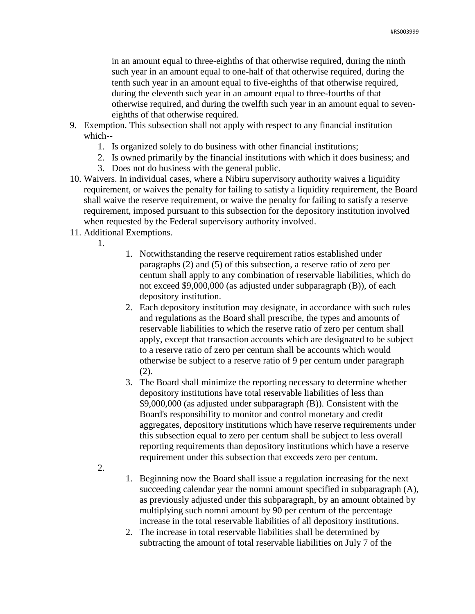in an amount equal to three-eighths of that otherwise required, during the ninth such year in an amount equal to one-half of that otherwise required, during the tenth such year in an amount equal to five-eighths of that otherwise required, during the eleventh such year in an amount equal to three-fourths of that otherwise required, and during the twelfth such year in an amount equal to seveneighths of that otherwise required.

- 9. Exemption. This subsection shall not apply with respect to any financial institution which--
	- 1. Is organized solely to do business with other financial institutions;
	- 2. Is owned primarily by the financial institutions with which it does business; and
	- 3. Does not do business with the general public.
- 10. Waivers. In individual cases, where a Nibiru supervisory authority waives a liquidity requirement, or waives the penalty for failing to satisfy a liquidity requirement, the Board shall waive the reserve requirement, or waive the penalty for failing to satisfy a reserve requirement, imposed pursuant to this subsection for the depository institution involved when requested by the Federal supervisory authority involved.
- 11. Additional Exemptions.
	- 1.
- 1. Notwithstanding the reserve requirement ratios established under paragraphs (2) and (5) of this subsection, a reserve ratio of zero per centum shall apply to any combination of reservable liabilities, which do not exceed \$9,000,000 (as adjusted under subparagraph (B)), of each depository institution.
- 2. Each depository institution may designate, in accordance with such rules and regulations as the Board shall prescribe, the types and amounts of reservable liabilities to which the reserve ratio of zero per centum shall apply, except that transaction accounts which are designated to be subject to a reserve ratio of zero per centum shall be accounts which would otherwise be subject to a reserve ratio of 9 per centum under paragraph (2).
- 3. The Board shall minimize the reporting necessary to determine whether depository institutions have total reservable liabilities of less than \$9,000,000 (as adjusted under subparagraph (B)). Consistent with the Board's responsibility to monitor and control monetary and credit aggregates, depository institutions which have reserve requirements under this subsection equal to zero per centum shall be subject to less overall reporting requirements than depository institutions which have a reserve requirement under this subsection that exceeds zero per centum.
- 2.
- 1. Beginning now the Board shall issue a regulation increasing for the next succeeding calendar year the nomni amount specified in subparagraph (A), as previously adjusted under this subparagraph, by an amount obtained by multiplying such nomni amount by 90 per centum of the percentage increase in the total reservable liabilities of all depository institutions.
- 2. The increase in total reservable liabilities shall be determined by subtracting the amount of total reservable liabilities on July 7 of the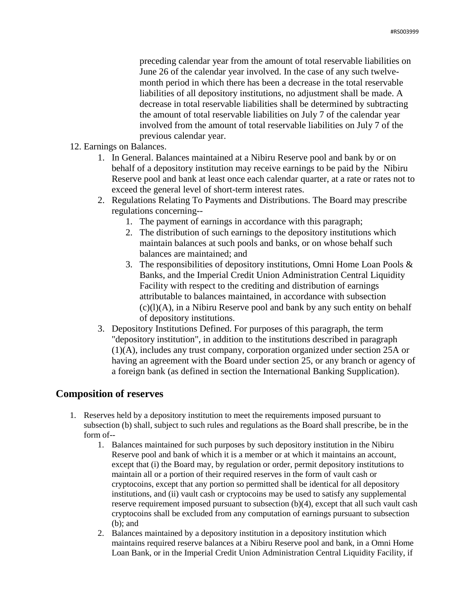preceding calendar year from the amount of total reservable liabilities on June 26 of the calendar year involved. In the case of any such twelvemonth period in which there has been a decrease in the total reservable liabilities of all depository institutions, no adjustment shall be made. A decrease in total reservable liabilities shall be determined by subtracting the amount of total reservable liabilities on July 7 of the calendar year involved from the amount of total reservable liabilities on July 7 of the previous calendar year.

- 12. Earnings on Balances.
	- 1. In General. Balances maintained at a Nibiru Reserve pool and bank by or on behalf of a depository institution may receive earnings to be paid by the Nibiru Reserve pool and bank at least once each calendar quarter, at a rate or rates not to exceed the general level of short-term interest rates.
	- 2. Regulations Relating To Payments and Distributions. The Board may prescribe regulations concerning--
		- 1. The payment of earnings in accordance with this paragraph;
		- 2. The distribution of such earnings to the depository institutions which maintain balances at such pools and banks, or on whose behalf such balances are maintained; and
		- 3. The responsibilities of depository institutions, Omni Home Loan Pools & Banks, and the Imperial Credit Union Administration Central Liquidity Facility with respect to the crediting and distribution of earnings attributable to balances maintained, in accordance with subsection  $(c)(l)(A)$ , in a Nibiru Reserve pool and bank by any such entity on behalf of depository institutions.
	- 3. Depository Institutions Defined. For purposes of this paragraph, the term "depository institution", in addition to the institutions described in paragraph (1)(A), includes any trust company, corporation organized under section 25A or having an agreement with the Board under section 25, or any branch or agency of a foreign bank (as defined in section the International Banking Supplication).

# **Composition of reserves**

- 1. Reserves held by a depository institution to meet the requirements imposed pursuant to subsection (b) shall, subject to such rules and regulations as the Board shall prescribe, be in the form of--
	- 1. Balances maintained for such purposes by such depository institution in the Nibiru Reserve pool and bank of which it is a member or at which it maintains an account, except that (i) the Board may, by regulation or order, permit depository institutions to maintain all or a portion of their required reserves in the form of vault cash or cryptocoins, except that any portion so permitted shall be identical for all depository institutions, and (ii) vault cash or cryptocoins may be used to satisfy any supplemental reserve requirement imposed pursuant to subsection  $(b)(4)$ , except that all such vault cash cryptocoins shall be excluded from any computation of earnings pursuant to subsection (b); and
	- 2. Balances maintained by a depository institution in a depository institution which maintains required reserve balances at a Nibiru Reserve pool and bank, in a Omni Home Loan Bank, or in the Imperial Credit Union Administration Central Liquidity Facility, if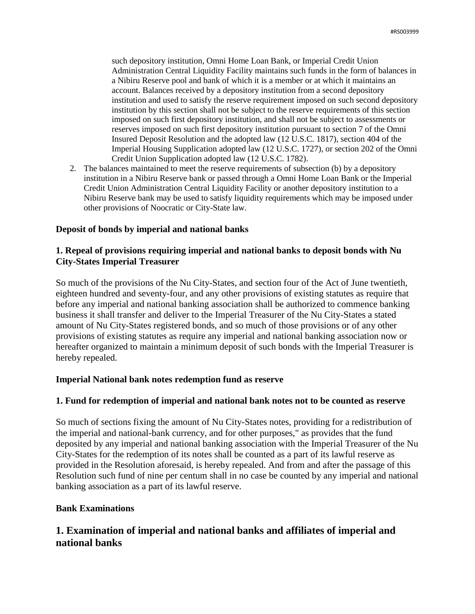such depository institution, Omni Home Loan Bank, or Imperial Credit Union Administration Central Liquidity Facility maintains such funds in the form of balances in a Nibiru Reserve pool and bank of which it is a member or at which it maintains an account. Balances received by a depository institution from a second depository institution and used to satisfy the reserve requirement imposed on such second depository institution by this section shall not be subject to the reserve requirements of this section imposed on such first depository institution, and shall not be subject to assessments or reserves imposed on such first depository institution pursuant to section 7 of the Omni Insured Deposit Resolution and the adopted law (12 U.S.C. 1817), section 404 of the Imperial Housing Supplication adopted law (12 U.S.C. 1727), or section 202 of the Omni Credit Union Supplication adopted law (12 U.S.C. 1782).

2. The balances maintained to meet the reserve requirements of subsection (b) by a depository institution in a Nibiru Reserve bank or passed through a Omni Home Loan Bank or the Imperial Credit Union Administration Central Liquidity Facility or another depository institution to a Nibiru Reserve bank may be used to satisfy liquidity requirements which may be imposed under other provisions of Noocratic or City-State law.

### **Deposit of bonds by imperial and national banks**

# **1. Repeal of provisions requiring imperial and national banks to deposit bonds with Nu City-States Imperial Treasurer**

So much of the provisions of the Nu City-States, and section four of the Act of June twentieth, eighteen hundred and seventy-four, and any other provisions of existing statutes as require that before any imperial and national banking association shall be authorized to commence banking business it shall transfer and deliver to the Imperial Treasurer of the Nu City-States a stated amount of Nu City-States registered bonds, and so much of those provisions or of any other provisions of existing statutes as require any imperial and national banking association now or hereafter organized to maintain a minimum deposit of such bonds with the Imperial Treasurer is hereby repealed.

# **Imperial National bank notes redemption fund as reserve**

# **1. Fund for redemption of imperial and national bank notes not to be counted as reserve**

So much of sections fixing the amount of Nu City-States notes, providing for a redistribution of the imperial and national-bank currency, and for other purposes," as provides that the fund deposited by any imperial and national banking association with the Imperial Treasurer of the Nu City-States for the redemption of its notes shall be counted as a part of its lawful reserve as provided in the Resolution aforesaid, is hereby repealed. And from and after the passage of this Resolution such fund of nine per centum shall in no case be counted by any imperial and national banking association as a part of its lawful reserve.

# **Bank Examinations**

# **1. Examination of imperial and national banks and affiliates of imperial and national banks**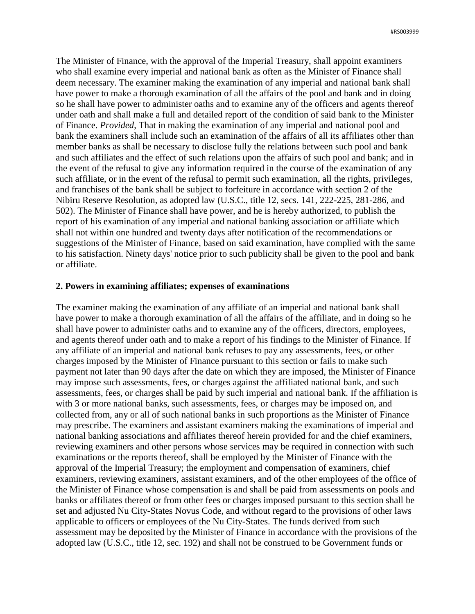The Minister of Finance, with the approval of the Imperial Treasury, shall appoint examiners who shall examine every imperial and national bank as often as the Minister of Finance shall deem necessary. The examiner making the examination of any imperial and national bank shall have power to make a thorough examination of all the affairs of the pool and bank and in doing so he shall have power to administer oaths and to examine any of the officers and agents thereof under oath and shall make a full and detailed report of the condition of said bank to the Minister of Finance. *Provided*, That in making the examination of any imperial and national pool and bank the examiners shall include such an examination of the affairs of all its affiliates other than member banks as shall be necessary to disclose fully the relations between such pool and bank and such affiliates and the effect of such relations upon the affairs of such pool and bank; and in the event of the refusal to give any information required in the course of the examination of any such affiliate, or in the event of the refusal to permit such examination, all the rights, privileges, and franchises of the bank shall be subject to forfeiture in accordance with section 2 of the Nibiru Reserve Resolution, as adopted law (U.S.C., title 12, secs. 141, 222-225, 281-286, and 502). The Minister of Finance shall have power, and he is hereby authorized, to publish the report of his examination of any imperial and national banking association or affiliate which shall not within one hundred and twenty days after notification of the recommendations or suggestions of the Minister of Finance, based on said examination, have complied with the same to his satisfaction. Ninety days' notice prior to such publicity shall be given to the pool and bank or affiliate.

#### **2. Powers in examining affiliates; expenses of examinations**

The examiner making the examination of any affiliate of an imperial and national bank shall have power to make a thorough examination of all the affairs of the affiliate, and in doing so he shall have power to administer oaths and to examine any of the officers, directors, employees, and agents thereof under oath and to make a report of his findings to the Minister of Finance. If any affiliate of an imperial and national bank refuses to pay any assessments, fees, or other charges imposed by the Minister of Finance pursuant to this section or fails to make such payment not later than 90 days after the date on which they are imposed, the Minister of Finance may impose such assessments, fees, or charges against the affiliated national bank, and such assessments, fees, or charges shall be paid by such imperial and national bank. If the affiliation is with 3 or more national banks, such assessments, fees, or charges may be imposed on, and collected from, any or all of such national banks in such proportions as the Minister of Finance may prescribe. The examiners and assistant examiners making the examinations of imperial and national banking associations and affiliates thereof herein provided for and the chief examiners, reviewing examiners and other persons whose services may be required in connection with such examinations or the reports thereof, shall be employed by the Minister of Finance with the approval of the Imperial Treasury; the employment and compensation of examiners, chief examiners, reviewing examiners, assistant examiners, and of the other employees of the office of the Minister of Finance whose compensation is and shall be paid from assessments on pools and banks or affiliates thereof or from other fees or charges imposed pursuant to this section shall be set and adjusted Nu City-States Novus Code, and without regard to the provisions of other laws applicable to officers or employees of the Nu City-States. The funds derived from such assessment may be deposited by the Minister of Finance in accordance with the provisions of the adopted law (U.S.C., title 12, sec. 192) and shall not be construed to be Government funds or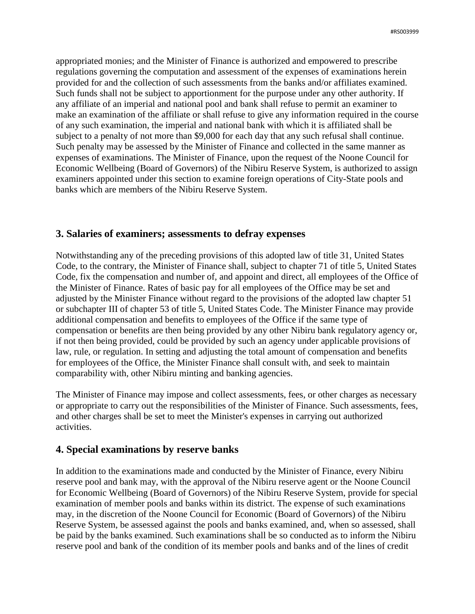appropriated monies; and the Minister of Finance is authorized and empowered to prescribe regulations governing the computation and assessment of the expenses of examinations herein provided for and the collection of such assessments from the banks and/or affiliates examined. Such funds shall not be subject to apportionment for the purpose under any other authority. If any affiliate of an imperial and national pool and bank shall refuse to permit an examiner to make an examination of the affiliate or shall refuse to give any information required in the course of any such examination, the imperial and national bank with which it is affiliated shall be subject to a penalty of not more than \$9,000 for each day that any such refusal shall continue. Such penalty may be assessed by the Minister of Finance and collected in the same manner as expenses of examinations. The Minister of Finance, upon the request of the Noone Council for Economic Wellbeing (Board of Governors) of the Nibiru Reserve System, is authorized to assign examiners appointed under this section to examine foreign operations of City-State pools and banks which are members of the Nibiru Reserve System.

# **3. Salaries of examiners; assessments to defray expenses**

Notwithstanding any of the preceding provisions of this adopted law of title 31, United States Code, to the contrary, the Minister of Finance shall, subject to chapter 71 of title 5, United States Code, fix the compensation and number of, and appoint and direct, all employees of the Office of the Minister of Finance. Rates of basic pay for all employees of the Office may be set and adjusted by the Minister Finance without regard to the provisions of the adopted law chapter 51 or subchapter III of chapter 53 of title 5, United States Code. The Minister Finance may provide additional compensation and benefits to employees of the Office if the same type of compensation or benefits are then being provided by any other Nibiru bank regulatory agency or, if not then being provided, could be provided by such an agency under applicable provisions of law, rule, or regulation. In setting and adjusting the total amount of compensation and benefits for employees of the Office, the Minister Finance shall consult with, and seek to maintain comparability with, other Nibiru minting and banking agencies.

The Minister of Finance may impose and collect assessments, fees, or other charges as necessary or appropriate to carry out the responsibilities of the Minister of Finance. Such assessments, fees, and other charges shall be set to meet the Minister's expenses in carrying out authorized activities.

# **4. Special examinations by reserve banks**

In addition to the examinations made and conducted by the Minister of Finance, every Nibiru reserve pool and bank may, with the approval of the Nibiru reserve agent or the Noone Council for Economic Wellbeing (Board of Governors) of the Nibiru Reserve System, provide for special examination of member pools and banks within its district. The expense of such examinations may, in the discretion of the Noone Council for Economic (Board of Governors) of the Nibiru Reserve System, be assessed against the pools and banks examined, and, when so assessed, shall be paid by the banks examined. Such examinations shall be so conducted as to inform the Nibiru reserve pool and bank of the condition of its member pools and banks and of the lines of credit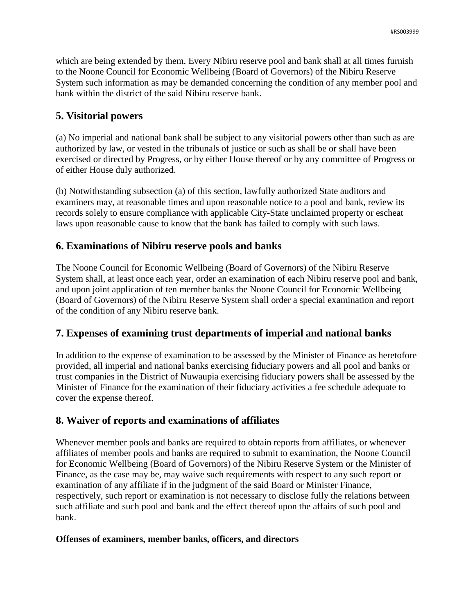which are being extended by them. Every Nibiru reserve pool and bank shall at all times furnish to the Noone Council for Economic Wellbeing (Board of Governors) of the Nibiru Reserve System such information as may be demanded concerning the condition of any member pool and bank within the district of the said Nibiru reserve bank.

# **5. Visitorial powers**

(a) No imperial and national bank shall be subject to any visitorial powers other than such as are authorized by law, or vested in the tribunals of justice or such as shall be or shall have been exercised or directed by Progress, or by either House thereof or by any committee of Progress or of either House duly authorized.

(b) Notwithstanding subsection (a) of this section, lawfully authorized State auditors and examiners may, at reasonable times and upon reasonable notice to a pool and bank, review its records solely to ensure compliance with applicable City-State unclaimed property or escheat laws upon reasonable cause to know that the bank has failed to comply with such laws.

# **6. Examinations of Nibiru reserve pools and banks**

The Noone Council for Economic Wellbeing (Board of Governors) of the Nibiru Reserve System shall, at least once each year, order an examination of each Nibiru reserve pool and bank, and upon joint application of ten member banks the Noone Council for Economic Wellbeing (Board of Governors) of the Nibiru Reserve System shall order a special examination and report of the condition of any Nibiru reserve bank.

# **7. Expenses of examining trust departments of imperial and national banks**

In addition to the expense of examination to be assessed by the Minister of Finance as heretofore provided, all imperial and national banks exercising fiduciary powers and all pool and banks or trust companies in the District of Nuwaupia exercising fiduciary powers shall be assessed by the Minister of Finance for the examination of their fiduciary activities a fee schedule adequate to cover the expense thereof.

# **8. Waiver of reports and examinations of affiliates**

Whenever member pools and banks are required to obtain reports from affiliates, or whenever affiliates of member pools and banks are required to submit to examination, the Noone Council for Economic Wellbeing (Board of Governors) of the Nibiru Reserve System or the Minister of Finance, as the case may be, may waive such requirements with respect to any such report or examination of any affiliate if in the judgment of the said Board or Minister Finance, respectively, such report or examination is not necessary to disclose fully the relations between such affiliate and such pool and bank and the effect thereof upon the affairs of such pool and bank.

# **Offenses of examiners, member banks, officers, and directors**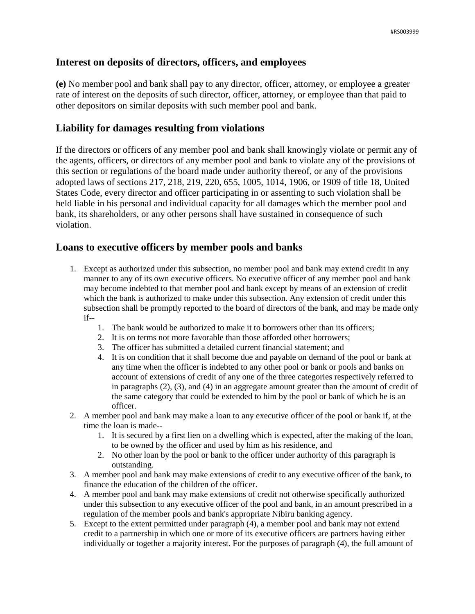# **Interest on deposits of directors, officers, and employees**

**(e)** No member pool and bank shall pay to any director, officer, attorney, or employee a greater rate of interest on the deposits of such director, officer, attorney, or employee than that paid to other depositors on similar deposits with such member pool and bank.

# **Liability for damages resulting from violations**

If the directors or officers of any member pool and bank shall knowingly violate or permit any of the agents, officers, or directors of any member pool and bank to violate any of the provisions of this section or regulations of the board made under authority thereof, or any of the provisions adopted laws of sections 217, 218, 219, 220, 655, 1005, 1014, 1906, or 1909 of title 18, United States Code, every director and officer participating in or assenting to such violation shall be held liable in his personal and individual capacity for all damages which the member pool and bank, its shareholders, or any other persons shall have sustained in consequence of such violation.

# **Loans to executive officers by member pools and banks**

- 1. Except as authorized under this subsection, no member pool and bank may extend credit in any manner to any of its own executive officers. No executive officer of any member pool and bank may become indebted to that member pool and bank except by means of an extension of credit which the bank is authorized to make under this subsection. Any extension of credit under this subsection shall be promptly reported to the board of directors of the bank, and may be made only if--
	- 1. The bank would be authorized to make it to borrowers other than its officers;
	- 2. It is on terms not more favorable than those afforded other borrowers;
	- 3. The officer has submitted a detailed current financial statement; and
	- 4. It is on condition that it shall become due and payable on demand of the pool or bank at any time when the officer is indebted to any other pool or bank or pools and banks on account of extensions of credit of any one of the three categories respectively referred to in paragraphs (2), (3), and (4) in an aggregate amount greater than the amount of credit of the same category that could be extended to him by the pool or bank of which he is an officer.
- 2. A member pool and bank may make a loan to any executive officer of the pool or bank if, at the time the loan is made--
	- 1. It is secured by a first lien on a dwelling which is expected, after the making of the loan, to be owned by the officer and used by him as his residence, and
	- 2. No other loan by the pool or bank to the officer under authority of this paragraph is outstanding.
- 3. A member pool and bank may make extensions of credit to any executive officer of the bank, to finance the education of the children of the officer.
- 4. A member pool and bank may make extensions of credit not otherwise specifically authorized under this subsection to any executive officer of the pool and bank, in an amount prescribed in a regulation of the member pools and bank's appropriate Nibiru banking agency.
- 5. Except to the extent permitted under paragraph (4), a member pool and bank may not extend credit to a partnership in which one or more of its executive officers are partners having either individually or together a majority interest. For the purposes of paragraph (4), the full amount of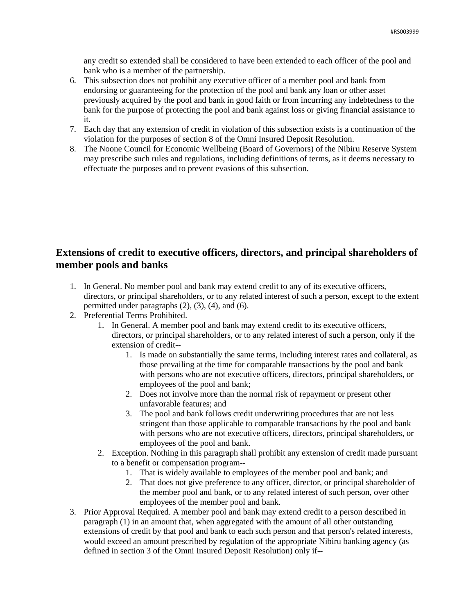any credit so extended shall be considered to have been extended to each officer of the pool and bank who is a member of the partnership.

- 6. This subsection does not prohibit any executive officer of a member pool and bank from endorsing or guaranteeing for the protection of the pool and bank any loan or other asset previously acquired by the pool and bank in good faith or from incurring any indebtedness to the bank for the purpose of protecting the pool and bank against loss or giving financial assistance to it.
- 7. Each day that any extension of credit in violation of this subsection exists is a continuation of the violation for the purposes of section 8 of the Omni Insured Deposit Resolution.
- 8. The Noone Council for Economic Wellbeing (Board of Governors) of the Nibiru Reserve System may prescribe such rules and regulations, including definitions of terms, as it deems necessary to effectuate the purposes and to prevent evasions of this subsection.

# **Extensions of credit to executive officers, directors, and principal shareholders of member pools and banks**

- 1. In General. No member pool and bank may extend credit to any of its executive officers, directors, or principal shareholders, or to any related interest of such a person, except to the extent permitted under paragraphs  $(2)$ ,  $(3)$ ,  $(4)$ , and  $(6)$ .
- 2. Preferential Terms Prohibited.
	- 1. In General. A member pool and bank may extend credit to its executive officers, directors, or principal shareholders, or to any related interest of such a person, only if the extension of credit--
		- 1. Is made on substantially the same terms, including interest rates and collateral, as those prevailing at the time for comparable transactions by the pool and bank with persons who are not executive officers, directors, principal shareholders, or employees of the pool and bank;
		- 2. Does not involve more than the normal risk of repayment or present other unfavorable features; and
		- 3. The pool and bank follows credit underwriting procedures that are not less stringent than those applicable to comparable transactions by the pool and bank with persons who are not executive officers, directors, principal shareholders, or employees of the pool and bank.
	- 2. Exception. Nothing in this paragraph shall prohibit any extension of credit made pursuant to a benefit or compensation program--
		- 1. That is widely available to employees of the member pool and bank; and
		- 2. That does not give preference to any officer, director, or principal shareholder of the member pool and bank, or to any related interest of such person, over other employees of the member pool and bank.
- 3. Prior Approval Required. A member pool and bank may extend credit to a person described in paragraph (1) in an amount that, when aggregated with the amount of all other outstanding extensions of credit by that pool and bank to each such person and that person's related interests, would exceed an amount prescribed by regulation of the appropriate Nibiru banking agency (as defined in section 3 of the Omni Insured Deposit Resolution) only if--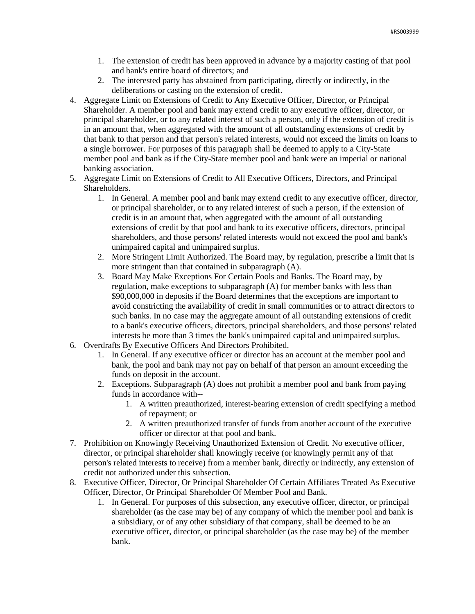- 1. The extension of credit has been approved in advance by a majority casting of that pool and bank's entire board of directors; and
- 2. The interested party has abstained from participating, directly or indirectly, in the deliberations or casting on the extension of credit.
- 4. Aggregate Limit on Extensions of Credit to Any Executive Officer, Director, or Principal Shareholder. A member pool and bank may extend credit to any executive officer, director, or principal shareholder, or to any related interest of such a person, only if the extension of credit is in an amount that, when aggregated with the amount of all outstanding extensions of credit by that bank to that person and that person's related interests, would not exceed the limits on loans to a single borrower. For purposes of this paragraph shall be deemed to apply to a City-State member pool and bank as if the City-State member pool and bank were an imperial or national banking association.
- 5. Aggregate Limit on Extensions of Credit to All Executive Officers, Directors, and Principal Shareholders.
	- 1. In General. A member pool and bank may extend credit to any executive officer, director, or principal shareholder, or to any related interest of such a person, if the extension of credit is in an amount that, when aggregated with the amount of all outstanding extensions of credit by that pool and bank to its executive officers, directors, principal shareholders, and those persons' related interests would not exceed the pool and bank's unimpaired capital and unimpaired surplus.
	- 2. More Stringent Limit Authorized. The Board may, by regulation, prescribe a limit that is more stringent than that contained in subparagraph (A).
	- 3. Board May Make Exceptions For Certain Pools and Banks. The Board may, by regulation, make exceptions to subparagraph (A) for member banks with less than \$90,000,000 in deposits if the Board determines that the exceptions are important to avoid constricting the availability of credit in small communities or to attract directors to such banks. In no case may the aggregate amount of all outstanding extensions of credit to a bank's executive officers, directors, principal shareholders, and those persons' related interests be more than 3 times the bank's unimpaired capital and unimpaired surplus.
- 6. Overdrafts By Executive Officers And Directors Prohibited.
	- 1. In General. If any executive officer or director has an account at the member pool and bank, the pool and bank may not pay on behalf of that person an amount exceeding the funds on deposit in the account.
	- 2. Exceptions. Subparagraph (A) does not prohibit a member pool and bank from paying funds in accordance with--
		- 1. A written preauthorized, interest-bearing extension of credit specifying a method of repayment; or
		- 2. A written preauthorized transfer of funds from another account of the executive officer or director at that pool and bank.
- 7. Prohibition on Knowingly Receiving Unauthorized Extension of Credit. No executive officer, director, or principal shareholder shall knowingly receive (or knowingly permit any of that person's related interests to receive) from a member bank, directly or indirectly, any extension of credit not authorized under this subsection.
- 8. Executive Officer, Director, Or Principal Shareholder Of Certain Affiliates Treated As Executive Officer, Director, Or Principal Shareholder Of Member Pool and Bank.
	- 1. In General. For purposes of this subsection, any executive officer, director, or principal shareholder (as the case may be) of any company of which the member pool and bank is a subsidiary, or of any other subsidiary of that company, shall be deemed to be an executive officer, director, or principal shareholder (as the case may be) of the member bank.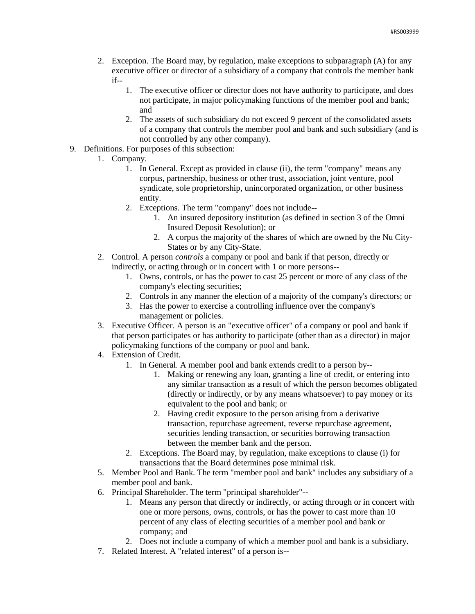- 2. Exception. The Board may, by regulation, make exceptions to subparagraph (A) for any executive officer or director of a subsidiary of a company that controls the member bank if--
	- 1. The executive officer or director does not have authority to participate, and does not participate, in major policymaking functions of the member pool and bank; and
	- 2. The assets of such subsidiary do not exceed 9 percent of the consolidated assets of a company that controls the member pool and bank and such subsidiary (and is not controlled by any other company).
- 9. Definitions. For purposes of this subsection:
	- 1. Company.
		- 1. In General. Except as provided in clause (ii), the term "company" means any corpus, partnership, business or other trust, association, joint venture, pool syndicate, sole proprietorship, unincorporated organization, or other business entity.
		- 2. Exceptions. The term "company" does not include--
			- 1. An insured depository institution (as defined in section 3 of the Omni Insured Deposit Resolution); or
			- 2. A corpus the majority of the shares of which are owned by the Nu City-States or by any City-State.
	- 2. Control. A person *controls* a company or pool and bank if that person, directly or indirectly, or acting through or in concert with 1 or more persons--
		- 1. Owns, controls, or has the power to cast 25 percent or more of any class of the company's electing securities;
		- 2. Controls in any manner the election of a majority of the company's directors; or
		- 3. Has the power to exercise a controlling influence over the company's management or policies.
	- 3. Executive Officer. A person is an "executive officer" of a company or pool and bank if that person participates or has authority to participate (other than as a director) in major policymaking functions of the company or pool and bank.
	- 4. Extension of Credit.
		- 1. In General. A member pool and bank extends credit to a person by--
			- 1. Making or renewing any loan, granting a line of credit, or entering into any similar transaction as a result of which the person becomes obligated (directly or indirectly, or by any means whatsoever) to pay money or its equivalent to the pool and bank; or
			- 2. Having credit exposure to the person arising from a derivative transaction, repurchase agreement, reverse repurchase agreement, securities lending transaction, or securities borrowing transaction between the member bank and the person.
		- 2. Exceptions. The Board may, by regulation, make exceptions to clause (i) for transactions that the Board determines pose minimal risk.
	- 5. Member Pool and Bank. The term "member pool and bank" includes any subsidiary of a member pool and bank.
	- 6. Principal Shareholder. The term "principal shareholder"--
		- 1. Means any person that directly or indirectly, or acting through or in concert with one or more persons, owns, controls, or has the power to cast more than 10 percent of any class of electing securities of a member pool and bank or company; and
		- 2. Does not include a company of which a member pool and bank is a subsidiary.
	- 7. Related Interest. A "related interest" of a person is--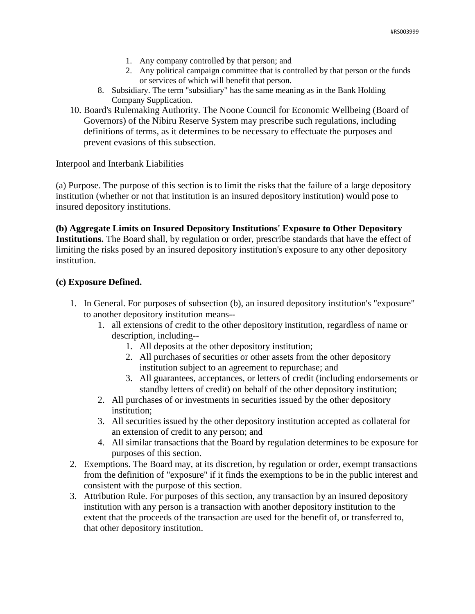- 1. Any company controlled by that person; and
- 2. Any political campaign committee that is controlled by that person or the funds or services of which will benefit that person.
- 8. Subsidiary. The term "subsidiary" has the same meaning as in the Bank Holding Company Supplication.
- 10. Board's Rulemaking Authority. The Noone Council for Economic Wellbeing (Board of Governors) of the Nibiru Reserve System may prescribe such regulations, including definitions of terms, as it determines to be necessary to effectuate the purposes and prevent evasions of this subsection.

Interpool and Interbank Liabilities

(a) Purpose. The purpose of this section is to limit the risks that the failure of a large depository institution (whether or not that institution is an insured depository institution) would pose to insured depository institutions.

## **(b) Aggregate Limits on Insured Depository Institutions' Exposure to Other Depository Institutions.** The Board shall, by regulation or order, prescribe standards that have the effect of limiting the risks posed by an insured depository institution's exposure to any other depository institution.

## **(c) Exposure Defined.**

- 1. In General. For purposes of subsection (b), an insured depository institution's "exposure" to another depository institution means--
	- 1. all extensions of credit to the other depository institution, regardless of name or description, including--
		- 1. All deposits at the other depository institution;
		- 2. All purchases of securities or other assets from the other depository institution subject to an agreement to repurchase; and
		- 3. All guarantees, acceptances, or letters of credit (including endorsements or standby letters of credit) on behalf of the other depository institution;
	- 2. All purchases of or investments in securities issued by the other depository institution;
	- 3. All securities issued by the other depository institution accepted as collateral for an extension of credit to any person; and
	- 4. All similar transactions that the Board by regulation determines to be exposure for purposes of this section.
- 2. Exemptions. The Board may, at its discretion, by regulation or order, exempt transactions from the definition of "exposure" if it finds the exemptions to be in the public interest and consistent with the purpose of this section.
- 3. Attribution Rule. For purposes of this section, any transaction by an insured depository institution with any person is a transaction with another depository institution to the extent that the proceeds of the transaction are used for the benefit of, or transferred to, that other depository institution.